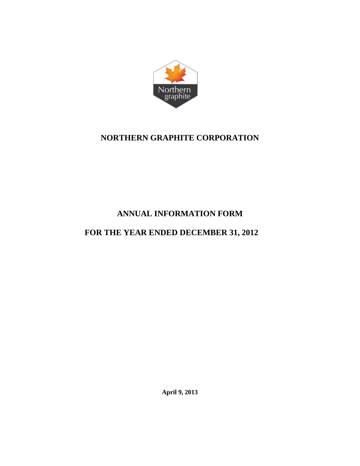

## **NORTHERN GRAPHITE CORPORATION**

# **ANNUAL INFORMATION FORM**

# **FOR THE YEAR ENDED DECEMBER 31, 2012**

**April 9, 2013**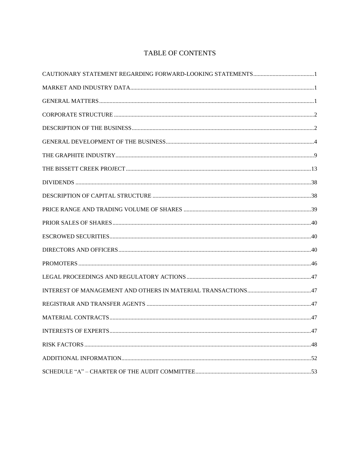## TABLE OF CONTENTS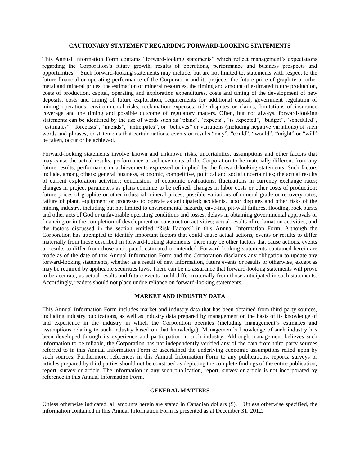#### **CAUTIONARY STATEMENT REGARDING FORWARD-LOOKING STATEMENTS**

<span id="page-2-0"></span>This Annual Information Form contains "forward-looking statements" which reflect management's expectations regarding the Corporation's future growth, results of operations, performance and business prospects and opportunities. Such forward-looking statements may include, but are not limited to, statements with respect to the future financial or operating performance of the Corporation and its projects, the future price of graphite or other metal and mineral prices, the estimation of mineral resources, the timing and amount of estimated future production, costs of production, capital, operating and exploration expenditures, costs and timing of the development of new deposits, costs and timing of future exploration, requirements for additional capital, government regulation of mining operations, environmental risks, reclamation expenses, title disputes or claims, limitations of insurance coverage and the timing and possible outcome of regulatory matters. Often, but not always, forward-looking statements can be identified by the use of words such as "plans", "expects", "is expected", "budget", "scheduled", "estimates", "forecasts", "intends", "anticipates", or "believes" or variations (including negative variations) of such words and phrases, or statements that certain actions, events or results "may", "could", "would", "might" or "will" be taken, occur or be achieved.

Forward-looking statements involve known and unknown risks, uncertainties, assumptions and other factors that may cause the actual results, performance or achievements of the Corporation to be materially different from any future results, performance or achievements expressed or implied by the forward-looking statements. Such factors include, among others: general business, economic, competitive, political and social uncertainties; the actual results of current exploration activities; conclusions of economic evaluations; fluctuations in currency exchange rates; changes in project parameters as plans continue to be refined; changes in labor costs or other costs of production; future prices of graphite or other industrial mineral prices; possible variations of mineral grade or recovery rates; failure of plant, equipment or processes to operate as anticipated; accidents, labor disputes and other risks of the mining industry, including but not limited to environmental hazards, cave-ins, pit-wall failures, flooding, rock bursts and other acts of God or unfavorable operating conditions and losses; delays in obtaining governmental approvals or financing or in the completion of development or construction activities; actual results of reclamation activities, and the factors discussed in the section entitled "Risk Factors" in this Annual Information Form. Although the Corporation has attempted to identify important factors that could cause actual actions, events or results to differ materially from those described in forward-looking statements, there may be other factors that cause actions, events or results to differ from those anticipated, estimated or intended. Forward-looking statements contained herein are made as of the date of this Annual Information Form and the Corporation disclaims any obligation to update any forward-looking statements, whether as a result of new information, future events or results or otherwise, except as may be required by applicable securities laws. There can be no assurance that forward-looking statements will prove to be accurate, as actual results and future events could differ materially from those anticipated in such statements. Accordingly, readers should not place undue reliance on forward-looking statements.

#### **MARKET AND INDUSTRY DATA**

<span id="page-2-1"></span>This Annual Information Form includes market and industry data that has been obtained from third party sources, including industry publications, as well as industry data prepared by management on the basis of its knowledge of and experience in the industry in which the Corporation operates (including management's estimates and assumptions relating to such industry based on that knowledge). Management's knowledge of such industry has been developed through its experience and participation in such industry. Although management believes such information to be reliable, the Corporation has not independently verified any of the data from third party sources referred to in this Annual Information Form or ascertained the underlying economic assumptions relied upon by such sources. Furthermore, references in this Annual Information Form to any publications, reports, surveys or articles prepared by third parties should not be construed as depicting the complete findings of the entire publication, report, survey or article. The information in any such publication, report, survey or article is not incorporated by reference in this Annual Information Form.

#### **GENERAL MATTERS**

<span id="page-2-2"></span>Unless otherwise indicated, all amounts herein are stated in Canadian dollars (\$). Unless otherwise specified, the information contained in this Annual Information Form is presented as at December 31, 2012.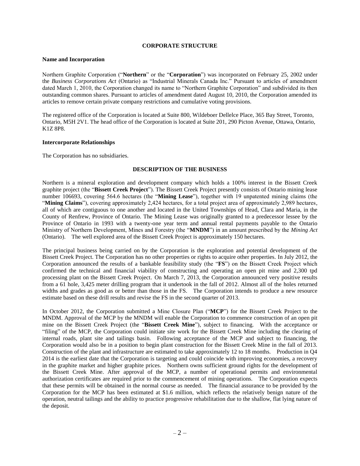#### **CORPORATE STRUCTURE**

#### <span id="page-3-0"></span>**Name and Incorporation**

Northern Graphite Corporation ("**Northern**" or the "**Corporation**") was incorporated on February 25, 2002 under the *Business Corporations Act* (Ontario) as "Industrial Minerals Canada Inc." Pursuant to articles of amendment dated March 1, 2010, the Corporation changed its name to "Northern Graphite Corporation" and subdivided its then outstanding common shares. Pursuant to articles of amendment dated August 10, 2010, the Corporation amended its articles to remove certain private company restrictions and cumulative voting provisions.

The registered office of the Corporation is located at Suite 800, Wildeboer Dellelce Place, 365 Bay Street, Toronto, Ontario, M5H 2V1. The head office of the Corporation is located at Suite 201, 290 Picton Avenue, Ottawa, Ontario, K1Z 8P8.

#### **Intercorporate Relationships**

<span id="page-3-1"></span>The Corporation has no subsidiaries.

#### **DESCRIPTION OF THE BUSINESS**

Northern is a mineral exploration and development company which holds a 100% interest in the Bissett Creek graphite project (the "**Bissett Creek Project**"). The Bissett Creek Project presently consists of Ontario mining lease number 106693, covering 564.6 hectares (the "**Mining Lease**"), together with 19 unpatented mining claims (the "**Mining Claims**"), covering approximately 2,424 hectares, for a total project area of approximately 2,989 hectares, all of which are contiguous to one another and located in the United Townships of Head, Clara and Maria, in the County of Renfrew, Province of Ontario. The Mining Lease was originally granted to a predecessor lessee by the Province of Ontario in 1993 with a twenty-one year term and annual rental payments payable to the Ontario Ministry of Northern Development, Mines and Forestry (the "**MNDM**") in an amount prescribed by the *Mining Act* (Ontario). The well explored area of the Bissett Creek Project is approximately 150 hectares.

The principal business being carried on by the Corporation is the exploration and potential development of the Bissett Creek Project. The Corporation has no other properties or rights to acquire other properties. In July 2012, the Corporation announced the results of a bankable feasibility study (the "**FS**") on the Bissett Creek Project which confirmed the technical and financial viability of constructing and operating an open pit mine and 2,300 tpd processing plant on the Bissett Creek Project. On March 7, 2013, the Corporation announced very positive results from a 61 hole, 3,425 meter drilling program that it undertook in the fall of 2012. Almost all of the holes returned widths and grades as good as or better than those in the FS. The Corporation intends to produce a new resource estimate based on these drill results and revise the FS in the second quarter of 2013.

In October 2012, the Corporation submitted a Mine Closure Plan ("**MCP**") for the Bissett Creek Project to the MNDM. Approval of the MCP by the MNDM will enable the Corporation to commence construction of an open pit mine on the Bissett Creek Project (the "**Bissett Creek Mine**"), subject to financing. With the acceptance or "filing" of the MCP, the Corporation could initiate site work for the Bissett Creek Mine including the clearing of internal roads, plant site and tailings basin. Following acceptance of the MCP and subject to financing, the Corporation would also be in a position to begin plant construction for the Bissett Creek Mine in the fall of 2013. Construction of the plant and infrastructure are estimated to take approximately 12 to 18 months. Production in Q4 2014 is the earliest date that the Corporation is targeting and could coincide with improving economies, a recovery in the graphite market and higher graphite prices. Northern owns sufficient ground rights for the development of the Bissett Creek Mine. After approval of the MCP, a number of operational permits and environmental authorization certificates are required prior to the commencement of mining operations. The Corporation expects that these permits will be obtained in the normal course as needed. The financial assurance to be provided by the Corporation for the MCP has been estimated at \$1.6 million, which reflects the relatively benign nature of the operation, neutral tailings and the ability to practice progressive rehabilitation due to the shallow, flat lying nature of the deposit.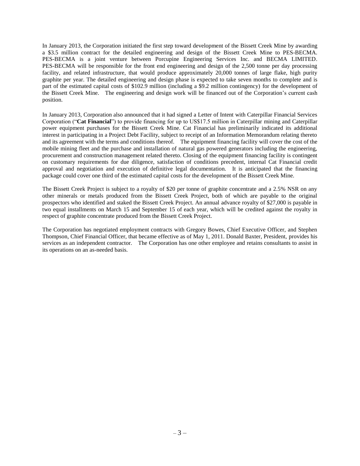In January 2013, the Corporation initiated the first step toward development of the Bissett Creek Mine by awarding a \$3.5 million contract for the detailed engineering and design of the Bissett Creek Mine to PES-BECMA. PES-BECMA is a joint venture between Porcupine Engineering Services Inc. and BECMA LIMITED. PES-BECMA will be responsible for the front end engineering and design of the 2,500 tonne per day processing facility, and related infrastructure, that would produce approximately 20,000 tonnes of large flake, high purity graphite per year. The detailed engineering and design phase is expected to take seven months to complete and is part of the estimated capital costs of \$102.9 million (including a \$9.2 million contingency) for the development of the Bissett Creek Mine. The engineering and design work will be financed out of the Corporation's current cash position.

In January 2013, Corporation also announced that it had signed a Letter of Intent with Caterpillar Financial Services Corporation ("**Cat Financial**") to provide financing for up to US\$17.5 million in Caterpillar mining and Caterpillar power equipment purchases for the Bissett Creek Mine. Cat Financial has preliminarily indicated its additional interest in participating in a Project Debt Facility, subject to receipt of an Information Memorandum relating thereto and its agreement with the terms and conditions thereof. The equipment financing facility will cover the cost of the mobile mining fleet and the purchase and installation of natural gas powered generators including the engineering, procurement and construction management related thereto. Closing of the equipment financing facility is contingent on customary requirements for due diligence, satisfaction of conditions precedent, internal Cat Financial credit approval and negotiation and execution of definitive legal documentation. It is anticipated that the financing package could cover one third of the estimated capital costs for the development of the Bissett Creek Mine.

The Bissett Creek Project is subject to a royalty of \$20 per tonne of graphite concentrate and a 2.5% NSR on any other minerals or metals produced from the Bissett Creek Project, both of which are payable to the original prospectors who identified and staked the Bissett Creek Project. An annual advance royalty of \$27,000 is payable in two equal installments on March 15 and September 15 of each year, which will be credited against the royalty in respect of graphite concentrate produced from the Bissett Creek Project.

<span id="page-4-0"></span>The Corporation has negotiated employment contracts with Gregory Bowes, Chief Executive Officer, and Stephen Thompson, Chief Financial Officer, that became effective as of May 1, 2011. Donald Baxter, President, provides his services as an independent contractor. The Corporation has one other employee and retains consultants to assist in its operations on an as-needed basis.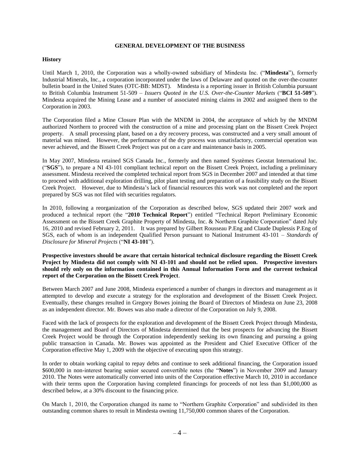#### **GENERAL DEVELOPMENT OF THE BUSINESS**

#### **History**

Until March 1, 2010, the Corporation was a wholly-owned subsidiary of Mindesta Inc. ("**Mindesta**"), formerly Industrial Minerals, Inc., a corporation incorporated under the laws of Delaware and quoted on the over-the-counter bulletin board in the United States (OTC-BB: MDST). Mindesta is a reporting issuer in British Columbia pursuant to British Columbia Instrument 51-509 – *Issuers Quoted in the U.S. Over-the-Counter Markets* ("**BCI 51-509**"). Mindesta acquired the Mining Lease and a number of associated mining claims in 2002 and assigned them to the Corporation in 2003.

The Corporation filed a Mine Closure Plan with the MNDM in 2004, the acceptance of which by the MNDM authorized Northern to proceed with the construction of a mine and processing plant on the Bissett Creek Project property. A small processing plant, based on a dry recovery process, was constructed and a very small amount of material was mined. However, the performance of the dry process was unsatisfactory, commercial operation was never achieved, and the Bissett Creek Project was put on a care and maintenance basis in 2005.

In May 2007, Mindesta retained SGS Canada Inc., formerly and then named Systèmes Geostat International Inc. ("**SGS**"), to prepare a NI 43-101 compliant technical report on the Bissett Creek Project, including a preliminary assessment. Mindesta received the completed technical report from SGS in December 2007 and intended at that time to proceed with additional exploration drilling, pilot plant testing and preparation of a feasibility study on the Bissett Creek Project. However, due to Mindesta's lack of financial resources this work was not completed and the report prepared by SGS was not filed with securities regulators.

In 2010, following a reorganization of the Corporation as described below, SGS updated their 2007 work and produced a technical report (the "**2010 Technical Report**") entitled "Technical Report Preliminary Economic Assessment on the Bissett Creek Graphite Property of Mindesta, Inc. & Northern Graphite Corporation" dated July 16, 2010 and revised February 2, 2011. It was prepared by Gilbert Rousseau P.Eng and Claude Duplessis P.Eng of SGS, each of whom is an independent Qualified Person pursuant to National Instrument 43-101 – *Standards of Disclosure for Mineral Projects* ("**NI 43-101**").

**Prospective investors should be aware that certain historical technical disclosure regarding the Bissett Creek Project by Mindesta did not comply with NI 43-101 and should not be relied upon. Prospective investors should rely only on the information contained in this Annual Information Form and the current technical report of the Corporation on the Bissett Creek Project**.

Between March 2007 and June 2008, Mindesta experienced a number of changes in directors and management as it attempted to develop and execute a strategy for the exploration and development of the Bissett Creek Project. Eventually, these changes resulted in Gregory Bowes joining the Board of Directors of Mindesta on June 23, 2008 as an independent director. Mr. Bowes was also made a director of the Corporation on July 9, 2008.

Faced with the lack of prospects for the exploration and development of the Bissett Creek Project through Mindesta, the management and Board of Directors of Mindesta determined that the best prospects for advancing the Bissett Creek Project would be through the Corporation independently seeking its own financing and pursuing a going public transaction in Canada. Mr. Bowes was appointed as the President and Chief Executive Officer of the Corporation effective May 1, 2009 with the objective of executing upon this strategy.

In order to obtain working capital to repay debts and continue to seek additional financing, the Corporation issued \$600,000 in non-interest bearing senior secured convertible notes (the "**Notes**") in November 2009 and January 2010. The Notes were automatically converted into units of the Corporation effective March 10, 2010 in accordance with their terms upon the Corporation having completed financings for proceeds of not less than \$1,000,000 as described below, at a 30% discount to the financing price.

On March 1, 2010, the Corporation changed its name to "Northern Graphite Corporation" and subdivided its then outstanding common shares to result in Mindesta owning 11,750,000 common shares of the Corporation.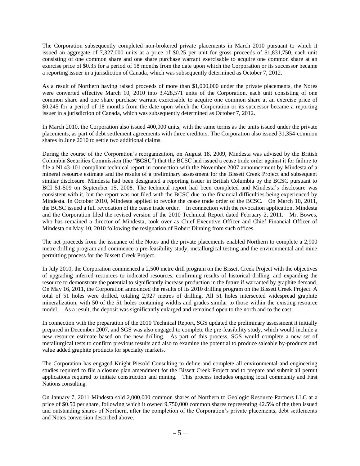The Corporation subsequently completed non-brokered private placements in March 2010 pursuant to which it issued an aggregate of 7,327,000 units at a price of \$0.25 per unit for gross proceeds of \$1,831,750, each unit consisting of one common share and one share purchase warrant exercisable to acquire one common share at an exercise price of \$0.35 for a period of 18 months from the date upon which the Corporation or its successor became a reporting issuer in a jurisdiction of Canada, which was subsequently determined as October 7, 2012.

As a result of Northern having raised proceeds of more than \$1,000,000 under the private placements, the Notes were converted effective March 10, 2010 into 3,428,571 units of the Corporation, each unit consisting of one common share and one share purchase warrant exercisable to acquire one common share at an exercise price of \$0.245 for a period of 18 months from the date upon which the Corporation or its successor became a reporting issuer in a jurisdiction of Canada, which was subsequently determined as October 7, 2012.

In March 2010, the Corporation also issued 400,000 units, with the same terms as the units issued under the private placements, as part of debt settlement agreements with three creditors. The Corporation also issued 31,354 common shares in June 2010 to settle two additional claims.

During the course of the Corporation's reorganization, on August 18, 2009, Mindesta was advised by the British Columbia Securities Commission (the "**BCSC**") that the BCSC had issued a cease trade order against it for failure to file a NI 43-101 compliant technical report in connection with the November 2007 announcement by Mindesta of a mineral resource estimate and the results of a preliminary assessment for the Bissett Creek Project and subsequent similar disclosure. Mindesta had been designated a reporting issuer in British Columbia by the BCSC pursuant to BCI 51-509 on September 15, 2008. The technical report had been completed and Mindesta's disclosure was consistent with it, but the report was not filed with the BCSC due to the financial difficulties being experienced by Mindesta. In October 2010, Mindesta applied to revoke the cease trade order of the BCSC. On March 10, 2011, the BCSC issued a full revocation of the cease trade order. In connection with the revocation application, Mindesta and the Corporation filed the revised version of the 2010 Technical Report dated February 2, 2011. Mr. Bowes, who has remained a director of Mindesta, took over as Chief Executive Officer and Chief Financial Officer of Mindesta on May 10, 2010 following the resignation of Robert Dinning from such offices.

The net proceeds from the issuance of the Notes and the private placements enabled Northern to complete a 2,900 metre drilling program and commence a pre-feasibility study, metallurgical testing and the environmental and mine permitting process for the Bissett Creek Project.

In July 2010, the Corporation commenced a 2,500 metre drill program on the Bissett Creek Project with the objectives of upgrading inferred resources to indicated resources, confirming results of historical drilling, and expanding the resource to demonstrate the potential to significantly increase production in the future if warranted by graphite demand. On May 16, 2011, the Corporation announced the results of its 2010 drilling program on the Bissett Creek Project. A total of 51 holes were drilled, totaling 2,927 metres of drilling. All 51 holes intersected widespread graphite mineralization, with 50 of the 51 holes containing widths and grades similar to those within the existing resource model. As a result, the deposit was significantly enlarged and remained open to the north and to the east.

In connection with the preparation of the 2010 Technical Report, SGS updated the preliminary assessment it initially prepared in December 2007, and SGS was also engaged to complete the pre-feasibility study, which would include a new resource estimate based on the new drilling. As part of this process, SGS would complete a new set of metallurgical tests to confirm previous results and also to examine the potential to produce saleable by-products and value added graphite products for specialty markets.

The Corporation has engaged Knight Piesold Consulting to define and complete all environmental and engineering studies required to file a closure plan amendment for the Bissett Creek Project and to prepare and submit all permit applications required to initiate construction and mining. This process includes ongoing local community and First Nations consulting.

On January 7, 2011 Mindesta sold 2,000,000 common shares of Northern to Geologic Resource Partners LLC at a price of \$0.50 per share, following which it owned 9,750,000 common shares representing 42.5% of the then issued and outstanding shares of Northern, after the completion of the Corporation's private placements, debt settlements and Notes conversion described above.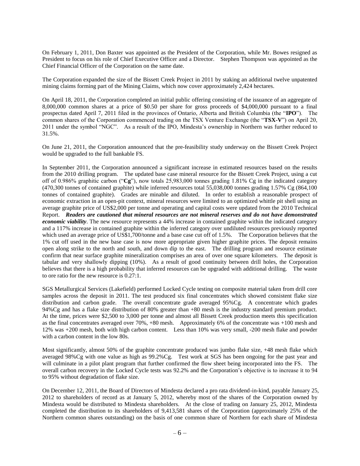On February 1, 2011, Don Baxter was appointed as the President of the Corporation, while Mr. Bowes resigned as President to focus on his role of Chief Executive Officer and a Director. Stephen Thompson was appointed as the Chief Financial Officer of the Corporation on the same date.

The Corporation expanded the size of the Bissett Creek Project in 2011 by staking an additional twelve unpatented mining claims forming part of the Mining Claims, which now cover approximately 2,424 hectares.

On April 18, 2011, the Corporation completed an initial public offering consisting of the issuance of an aggregate of 8,000,000 common shares at a price of \$0.50 per share for gross proceeds of \$4,000,000 pursuant to a final prospectus dated April 7, 2011 filed in the provinces of Ontario, Alberta and British Columbia (the "**IPO**"). The common shares of the Corporation commenced trading on the TSX Venture Exchange (the "**TSX-V**") on April 20, 2011 under the symbol "NGC". As a result of the IPO, Mindesta's ownership in Northern was further reduced to 31.5%.

On June 21, 2011, the Corporation announced that the pre-feasibility study underway on the Bissett Creek Project would be upgraded to the full bankable FS.

In September 2011, the Corporation announced a significant increase in estimated resources based on the results from the 2010 drilling program. The updated base case mineral resource for the Bissett Creek Project, using a cut off of 0.986% graphitic carbon ("**Cg**"), now totals 25,983,000 tonnes grading 1.81% Cg in the indicated category (470,300 tonnes of contained graphite) while inferred resources total 55,038,000 tonnes grading 1.57% Cg (864,100 tonnes of contained graphite). Grades are minable and diluted. In order to establish a reasonable prospect of economic extraction in an open-pit context, mineral resources were limited to an optimized whittle pit shell using an average graphite price of US\$2,000 per tonne and operating and capital costs were updated from the 2010 Technical Report. *Readers are cautioned that mineral resources are not mineral reserves and do not have demonstrated economic viability*. The new resource represents a 44% increase in contained graphite within the indicated category and a 117% increase in contained graphite within the inferred category over undiluted resources previously reported which used an average price of US\$1,700/tonne and a base case cut off of 1.5%. The Corporation believes that the 1% cut off used in the new base case is now more appropriate given higher graphite prices. The deposit remains open along strike to the north and south, and down dip to the east. The drilling program and resource estimate confirm that near surface graphite mineralization comprises an area of over one square kilometers. The deposit is tabular and very shallowly dipping (10%). As a result of good continuity between drill holes, the Corporation believes that there is a high probability that inferred resources can be upgraded with additional drilling. The waste to ore ratio for the new resource is 0.27:1.

SGS Metallurgical Services (Lakefield) performed Locked Cycle testing on composite material taken from drill core samples across the deposit in 2011. The test produced six final concentrates which showed consistent flake size distribution and carbon grade. The overall concentrate grade averaged 95%Cg. A concentrate which grades 94%Cg and has a flake size distribution of 80% greater than +80 mesh is the industry standard premium product. At the time, prices were \$2,500 to 3,000 per tonne and almost all Bissett Creek production meets this specification as the final concentrates averaged over 70%, +80 mesh. Approximately 6% of the concentrate was +100 mesh and 12% was +200 mesh, both with high carbon content. Less than 10% was very small, -200 mesh flake and powder with a carbon content in the low 80s.

Most significantly, almost 50% of the graphite concentrate produced was jumbo flake size, +48 mesh flake which averaged 98%Cg with one value as high as 99.2%Cg. Test work at SGS has been ongoing for the past year and will culminate in a pilot plant program that further confirmed the flow sheet being incorporated into the FS. The overall carbon recovery in the Locked Cycle tests was 92.2% and the Corporation's objective is to increase it to 94 to 95% without degradation of flake size.

On December 12, 2011, the Board of Directors of Mindesta declared a pro rata dividend-in-kind, payable January 25, 2012 to shareholders of record as at January 5, 2012, whereby most of the shares of the Corporation owned by Mindesta would be distributed to Mindesta shareholders. At the close of trading on January 25, 2012, Mindesta completed the distribution to its shareholders of 9,413,581 shares of the Corporation (approximately 25% of the Northern common shares outstanding) on the basis of one common share of Northern for each share of Mindesta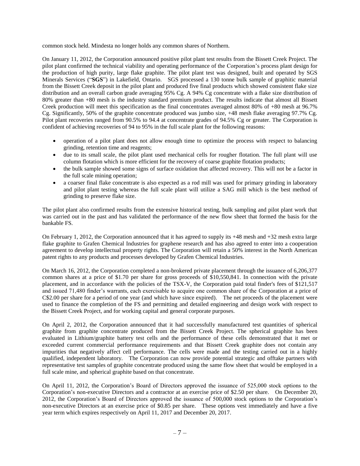common stock held. Mindesta no longer holds any common shares of Northern.

On January 11, 2012, the Corporation announced positive pilot plant test results from the Bissett Creek Project. The pilot plant confirmed the technical viability and operating performance of the Corporation's process plant design for the production of high purity, large flake graphite. The pilot plant test was designed, built and operated by SGS Minerals Services ("**SGS**") in Lakefield, Ontario. SGS processed a 130 tonne bulk sample of graphitic material from the Bissett Creek deposit in the pilot plant and produced five final products which showed consistent flake size distribution and an overall carbon grade averaging 95% Cg. A 94% Cg concentrate with a flake size distribution of 80% greater than +80 mesh is the industry standard premium product. The results indicate that almost all Bissett Creek production will meet this specification as the final concentrates averaged almost 80% of +80 mesh at 96.7% Cg. Significantly, 50% of the graphite concentrate produced was jumbo size, +48 mesh flake averaging 97.7% Cg. Pilot plant recoveries ranged from 90.5% to 94.4 at concentrate grades of 94.5% Cg or greater. The Corporation is confident of achieving recoveries of 94 to 95% in the full scale plant for the following reasons:

- operation of a pilot plant does not allow enough time to optimize the process with respect to balancing grinding, retention time and reagents;
- due to its small scale, the pilot plant used mechanical cells for rougher flotation. The full plant will use column flotation which is more efficient for the recovery of coarse graphite flotation products;
- the bulk sample showed some signs of surface oxidation that affected recovery. This will not be a factor in the full scale mining operation;
- a coarser final flake concentrate is also expected as a rod mill was used for primary grinding in laboratory and pilot plant testing whereas the full scale plant will utilize a SAG mill which is the best method of grinding to preserve flake size.

The pilot plant also confirmed results from the extensive historical testing, bulk sampling and pilot plant work that was carried out in the past and has validated the performance of the new flow sheet that formed the basis for the bankable FS.

On February 1, 2012, the Corporation announced that it has agreed to supply its +48 mesh and +32 mesh extra large flake graphite to Grafen Chemical Industries for graphene research and has also agreed to enter into a cooperation agreement to develop intellectual property rights. The Corporation will retain a 50% interest in the North American patent rights to any products and processes developed by Grafen Chemical Industries.

On March 16, 2012, the Corporation completed a non-brokered private placement through the issuance of 6,206,377 common shares at a price of \$1.70 per share for gross proceeds of \$10,550,841. In connection with the private placement, and in accordance with the policies of the TSX-V, the Corporation paid total finder's fees of \$121,517 and issued 71,480 finder's warrants, each exercisable to acquire one common share of the Corporation at a price of C\$2.00 per share for a period of one year (and which have since expired). The net proceeds of the placement were used to finance the completion of the FS and permitting and detailed engineering and design work with respect to the Bissett Creek Project, and for working capital and general corporate purposes.

On April 2, 2012, the Corporation announced that it had successfully manufactured test quantities of spherical graphite from graphite concentrate produced from the Bissett Creek Project. The spherical graphite has been evaluated in Lithium/graphite battery test cells and the performance of these cells demonstrated that it met or exceeded current commercial performance requirements and that Bissett Creek graphite does not contain any impurities that negatively affect cell performance. The cells were made and the testing carried out in a highly qualified, independent laboratory. The Corporation can now provide potential strategic and offtake partners with representative test samples of graphite concentrate produced using the same flow sheet that would be employed in a full scale mine, and spherical graphite based on that concentrate.

On April 11, 2012, the Corporation's Board of Directors approved the issuance of 525,000 stock options to the Corporation's non-executive Directors and a contractor at an exercise price of \$2.50 per share. On December 20, 2012, the Corporation's Board of Directors approved the issuance of 500,000 stock options to the Corporation's non-executive Directors at an exercise price of \$0.85 per share. These options vest immediately and have a five year term which expires respectively on April 11, 2017 and December 20, 2017.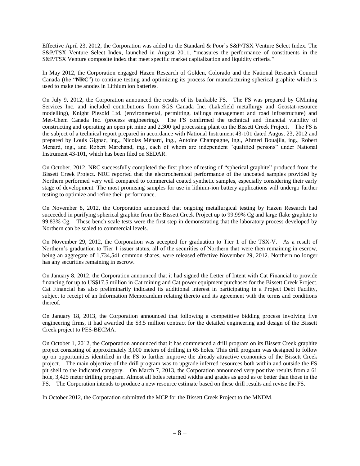Effective April 23, 2012, the Corporation was added to the Standard & Poor's S&P/TSX Venture Select Index. The S&P/TSX Venture Select Index, launched in August 2011, "measures the performance of constituents in the S&P/TSX Venture composite index that meet specific market capitalization and liquidity criteria."

In May 2012, the Corporation engaged Hazen Research of Golden, Colorado and the National Research Council Canada (the "**NRC**") to continue testing and optimizing its process for manufacturing spherical graphite which is used to make the anodes in Lithium ion batteries.

On July 9, 2012, the Corporation announced the results of its bankable FS. The FS was prepared by GMining Services Inc. and included contributions from SGS Canada Inc. (Lakefield–metallurgy and Geostat-resource modelling), Knight Piesold Ltd. (environmental, permitting, tailings management and road infrastructure) and Met-Chem Canada Inc. (process engineering). The FS confirmed the technical and financial viability of constructing and operating an open pit mine and 2,300 tpd processing plant on the Bissett Creek Project.The FS is the subject of a technical report prepared in accordance with National Instrument 43-101 dated August 23, 2012 and prepared by Louis Gignac, ing., Nicolas Ménard, ing., Antoine Champagne, ing., Ahmed Bouajila, ing., Robert Menard, ing., and Robert Marchand, ing., each of whom are independent "qualified persons" under National Instrument 43-101, which has been filed on SEDAR.

On October, 2012, NRC successfully completed the first phase of testing of "spherical graphite" produced from the Bissett Creek Project. NRC reported that the electrochemical performance of the uncoated samples provided by Northern performed very well compared to commercial coated synthetic samples, especially considering their early stage of development. The most promising samples for use in lithium-ion battery applications will undergo further testing to optimize and refine their performance.

On November 8, 2012, the Corporation announced that ongoing metallurgical testing by Hazen Research had succeeded in purifying spherical graphite from the Bissett Creek Project up to 99.99% Cg and large flake graphite to 99.83% Cg. These bench scale tests were the first step in demonstrating that the laboratory process developed by Northern can be scaled to commercial levels.

On November 29, 2012, the Corporation was accepted for graduation to Tier 1 of the TSX-V. As a result of Northern's graduation to Tier 1 issuer status, all of the securities of Northern that were then remaining in escrow, being an aggregate of 1,734,541 common shares, were released effective November 29, 2012. Northern no longer has any securities remaining in escrow.

On January 8, 2012, the Corporation announced that it had signed the Letter of Intent with Cat Financial to provide financing for up to US\$17.5 million in Cat mining and Cat power equipment purchases for the Bissett Creek Project. Cat Financial has also preliminarily indicated its additional interest in participating in a Project Debt Facility, subject to receipt of an Information Memorandum relating thereto and its agreement with the terms and conditions thereof.

On January 18, 2013, the Corporation announced that following a competitive bidding process involving five engineering firms, it had awarded the \$3.5 million contract for the detailed engineering and design of the Bissett Creek project to PES-BECMA.

On October 1, 2012, the Corporation announced that it has commenced a drill program on its Bissett Creek graphite project consisting of approximately 3,000 meters of drilling in 65 holes. This drill program was designed to follow up on opportunities identified in the FS to further improve the already attractive economics of the Bissett Creek project. The main objective of the drill program was to upgrade inferred resources both within and outside the FS pit shell to the indicated category. On March 7, 2013, the Corporation announced very positive results from a 61 hole, 3,425 meter drilling program. Almost all holes returned widths and grades as good as or better than those in the FS. The Corporation intends to produce a new resource estimate based on these drill results and revise the FS.

In October 2012, the Corporation submitted the MCP for the Bissett Creek Project to the MNDM.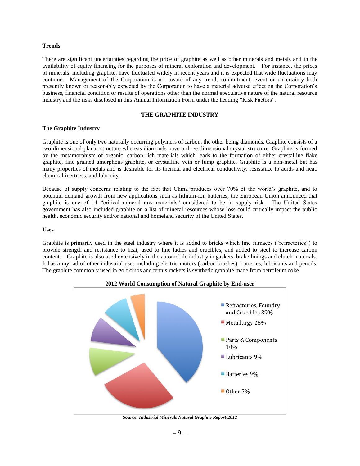#### **Trends**

There are significant uncertainties regarding the price of graphite as well as other minerals and metals and in the availability of equity financing for the purposes of mineral exploration and development. For instance, the prices of minerals, including graphite, have fluctuated widely in recent years and it is expected that wide fluctuations may continue. Management of the Corporation is not aware of any trend, commitment, event or uncertainty both presently known or reasonably expected by the Corporation to have a material adverse effect on the Corporation's business, financial condition or results of operations other than the normal speculative nature of the natural resource industry and the risks disclosed in this Annual Information Form under the heading "Risk Factors".

#### **THE GRAPHITE INDUSTRY**

#### <span id="page-10-0"></span>**The Graphite Industry**

Graphite is one of only two naturally occurring polymers of carbon, the other being diamonds. Graphite consists of a two dimensional planar structure whereas diamonds have a three dimensional crystal structure. Graphite is formed by the metamorphism of organic, carbon rich materials which leads to the formation of either crystalline flake graphite, fine grained amorphous graphite, or crystalline vein or lump graphite. Graphite is a non-metal but has many properties of metals and is desirable for its thermal and electrical conductivity, resistance to acids and heat, chemical inertness, and lubricity.

Because of supply concerns relating to the fact that China produces over 70% of the world's graphite, and to potential demand growth from new applications such as lithium-ion batteries, the European Union announced that graphite is one of 14 "critical mineral raw materials" considered to be in supply risk. The United States government has also included graphite on a list of mineral resources whose loss could critically impact the public health, economic security and/or national and homeland security of the United States.

#### **Uses**

Graphite is primarily used in the steel industry where it is added to bricks which line furnaces ("refractories") to provide strength and resistance to heat, used to line ladles and crucibles, and added to steel to increase carbon content. Graphite is also used extensively in the automobile industry in gaskets, brake linings and clutch materials. It has a myriad of other industrial uses including electric motors (carbon brushes), batteries, lubricants and pencils. The graphite commonly used in golf clubs and tennis rackets is synthetic graphite made from petroleum coke.



*Source: Industrial Minerals Natural Graphite Report-2012*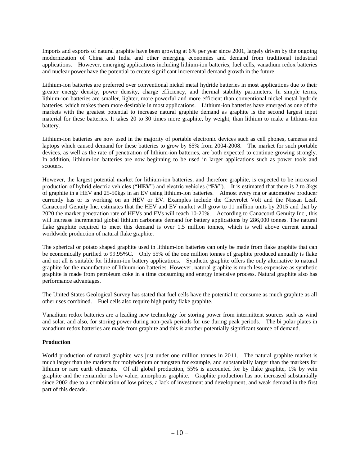Imports and exports of natural graphite have been growing at 6% per year since 2001, largely driven by the ongoing modernization of China and India and other emerging economies and demand from traditional industrial applications. However, emerging applications including lithium-ion batteries, fuel cells, vanadium redox batteries and nuclear power have the potential to create significant incremental demand growth in the future.

Lithium-ion batteries are preferred over conventional nickel metal hydride batteries in most applications due to their greater energy density, power density, charge efficiency, and thermal stability parameters. In simple terms, lithium-ion batteries are smaller, lighter, more powerful and more efficient than conventional nickel metal hydride batteries, which makes them more desirable in most applications. Lithium-ion batteries have emerged as one of the markets with the greatest potential to increase natural graphite demand as graphite is the second largest input material for these batteries. It takes 20 to 30 times more graphite, by weight, than lithium to make a lithium-ion battery.

Lithium-ion batteries are now used in the majority of portable electronic devices such as cell phones, cameras and laptops which caused demand for these batteries to grow by 65% from 2004-2008. The market for such portable devices, as well as the rate of penetration of lithium-ion batteries, are both expected to continue growing strongly. In addition, lithium-ion batteries are now beginning to be used in larger applications such as power tools and scooters.

However, the largest potential market for lithium-ion batteries, and therefore graphite, is expected to be increased production of hybrid electric vehicles ("**HEV**") and electric vehicles ("**EV**"). It is estimated that there is 2 to 3kgs of graphite in a HEV and 25-50kgs in an EV using lithium-ion batteries. Almost every major automotive producer currently has or is working on an HEV or EV. Examples include the Chevrolet Volt and the Nissan Leaf. Canaccord Genuity Inc. estimates that the HEV and EV market will grow to 11 million units by 2015 and that by 2020 the market penetration rate of HEVs and EVs will reach 10-20%. According to Canaccord Genuity Inc., this will increase incremental global lithium carbonate demand for battery applications by 286,000 tonnes. The natural flake graphite required to meet this demand is over 1.5 million tonnes, which is well above current annual worldwide production of natural flake graphite.

The spherical or potato shaped graphite used in lithium-ion batteries can only be made from flake graphite that can be economically purified to 99.95%C. Only 55% of the one million tonnes of graphite produced annually is flake and not all is suitable for lithium-ion battery applications. Synthetic graphite offers the only alternative to natural graphite for the manufacture of lithium-ion batteries. However, natural graphite is much less expensive as synthetic graphite is made from petroleum coke in a time consuming and energy intensive process. Natural graphite also has performance advantages.

The United States Geological Survey has stated that fuel cells have the potential to consume as much graphite as all other uses combined. Fuel cells also require high purity flake graphite.

Vanadium redox batteries are a leading new technology for storing power from intermittent sources such as wind and solar, and also, for storing power during non-peak periods for use during peak periods. The bi polar plates in vanadium redox batteries are made from graphite and this is another potentially significant source of demand.

## **Production**

World production of natural graphite was just under one million tonnes in 2011. The natural graphite market is much larger than the markets for molybdenum or tungsten for example, and substantially larger than the markets for lithium or rare earth elements. Of all global production, 55% is accounted for by flake graphite, 1% by vein graphite and the remainder is low value, amorphous graphite. Graphite production has not increased substantially since 2002 due to a combination of low prices, a lack of investment and development, and weak demand in the first part of this decade.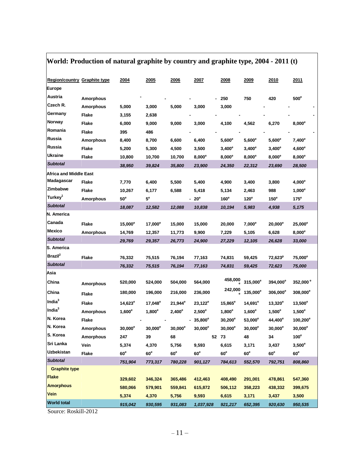# **World: Production of natural graphite by country and graphite type, 2004 - 2011 (t)**

| <b>Region/country Graphite type</b> |                  | 2004               | 2005            | 2006            | 2007            | 2008                | 2009                 | <u>2010</u>          | 2011                 |
|-------------------------------------|------------------|--------------------|-----------------|-----------------|-----------------|---------------------|----------------------|----------------------|----------------------|
| Europe                              |                  |                    |                 |                 |                 |                     |                      |                      |                      |
| Austria                             | <b>Amorphous</b> |                    |                 |                 |                 | 250                 | 750                  | 420                  | $500^\circ$          |
| Czech R.                            | <b>Amorphous</b> | 5,000              | 3,000           | 5,000           | 3,000           | 3,000               |                      |                      |                      |
| Germany                             | <b>Flake</b>     | 3,155              | 2,638           |                 |                 |                     |                      |                      |                      |
| Norway                              | Flake            | 6,000              | 9,000           | 9,000           | 3,000           | 4,100               | 4,562                | 6,270                | $8,000^\circ$        |
| Romania                             | Flake            | 395                | 486             |                 |                 |                     |                      |                      |                      |
| Russia                              | <b>Amorphous</b> | 8,400              | 8,700           | 6,600           | 6,400           | $5,600^\mathrm{e}$  | $5,600^e$            | $5,600^e$            | $7,400^e$            |
| Russia                              | Flake            | 5,200              | 5,300           | 4,500           | 3,500           | $3,400^\mathrm{e}$  | $3,400^e$            | $3,400^e$            | $4,600^e$            |
| Ukraine                             | <b>Flake</b>     | 10,800             | 10,700          | 10,700          | $8,000^e$       | $8,000^e$           | $8,000^e$            | $8,000^e$            | $8,000^e$            |
| <b>Subtotal</b>                     |                  | 38,950             | 39,824          | 35,800          | 23,900          | 24,350              | 22,312               | 23,690               | 28,500               |
| <b>Africa and Middle East</b>       |                  |                    |                 |                 |                 |                     |                      |                      |                      |
| Madagascar                          | Flake            | 7,770              | 6,400           | 5,500           | 5,400           | 4,900               | 3,400                | 3,800                | $4,000^e$            |
| Zimbabwe                            | Flake            | 10,267             | 6,177           | 6,588           | 5,418           | 5,134               | 2,463                | 988                  | $1,000^e$            |
| Turkey <sup>1</sup>                 | <b>Amorphous</b> | $50^{\circ}$       | 5 <sup>e</sup>  |                 | 20 <sup>e</sup> | $160^e$             | 120 <sup>e</sup>     | $150^e$              | $175^e$              |
| <b>Subtotal</b>                     |                  | 18,087             | 12,582          | 12,088          | 10,838          | 10,194              | 5,983                | 4,938                | 5,175                |
| N. America                          |                  |                    |                 |                 |                 |                     |                      |                      |                      |
| Canada                              | Flake            | $15,000^e$         | $17,000^e$      | 15,000          | 15,000          | 20,000              | $7,000^e$            | $20,000^{\circ}$     | $25,000^e$           |
| Mexico                              | <b>Amorphous</b> | 14,769             | 12,357          | 11,773          | 9,900           | 7,229               | 5,105                | 6,628                | $8,000^e$            |
| <b>Subtotal</b>                     |                  | 29,769             | 29,357          | 26,773          | 24,900          | 27,229              | 12,105               | 26,628               | 33,000               |
| S. America                          |                  |                    |                 |                 |                 |                     |                      |                      |                      |
| Brazil <sup>2</sup>                 | Flake            | 76,332             | 75,515          | 76,194          | 77,163          | 74,831              | 59,425               | $72,623^p$           | $75,000^e$           |
| <b>Subtotal</b>                     |                  | 76,332             | 75,515          | 76,194          | 77,163          | 74,831              | 59,425               | 72,623               | 75,000               |
| Asia                                |                  |                    |                 |                 |                 |                     |                      |                      |                      |
| China                               | <b>Amorphous</b> | 520,000            | 524,000         | 504,000         | 564,000         | 458,000             | 315,000 <sup>e</sup> | 394,000 <sup>e</sup> | 352,000 <sup>e</sup> |
| China                               | <b>Flake</b>     | 180,000            | 196,000         | 216,000         | 236,000         | 242,000             | 135,000 <sup>e</sup> | $306,000^e$          | $308,000^e$          |
| India $3$                           | Flake            | $14,623^e$         | $17,048^e$      | $21,944^e$      | $23,122^e$      | $15,865^e$          | $14,691^e$           | $13,320^e$           | $13,500^e$           |
| India <sup>3</sup>                  | <b>Amorphous</b> | $1,600^\mathrm{e}$ | $1,800^e$       | $2,400^e$       | $2,500^e$       | $1,800^\mathrm{e}$  | $1,600^e$            | $1,500^e$            | $1,500^e$            |
| N. Korea                            | Flake            |                    |                 |                 | $35,800^e$      | $30,200^{\circ}$    | $53,000^e$           | 44,400 <sup>e</sup>  | $100,200^{\circ}$    |
| N. Korea                            | <b>Amorphous</b> | $30,000^e$         | $30,000^e$      | $30,000^e$      | $30,000^e$      | $30,000^\mathrm{e}$ | $30,000^e$           | $30,000^\mathrm{e}$  | $30,000^e$           |
| S. Korea                            | <b>Amorphous</b> | 247                | 39              | 68              |                 | 52 73               | 48                   | 34                   | 100 <sup>e</sup>     |
| Sri Lanka                           | Vein             | 5,374              | 4,370           | 5,756           | 9,593           | 6,615               | 3,171                | 3,437                | $3,500^\circ$        |
| Uzbekistan                          | <b>Flake</b>     | 60 <sup>e</sup>    | 60 <sup>e</sup> | 60 <sup>e</sup> | 60 <sup>e</sup> | 60 <sup>e</sup>     | 60 <sup>e</sup>      | 60 <sup>e</sup>      | 60 <sup>e</sup>      |
| <b>Subtotal</b>                     |                  | 751,904            | 773,317         | 780,228         | 901,127         | 784,613             | 552,570              | 792,751              | 808,860              |
| <b>Graphite type</b>                |                  |                    |                 |                 |                 |                     |                      |                      |                      |
| <b>Flake</b>                        |                  | 329,602            | 346,324         | 365,486         | 412,463         | 408,490             | 291,001              | 478,861              | 547,360              |
| <b>Amorphous</b>                    |                  | 580,066            | 579,901         | 559,841         | 615,872         | 506,112             | 358,223              | 438,332              | 399,675              |
| Vein                                |                  | 5,374              | 4,370           | 5,756           | 9,593           | 6,615               | 3,171                | 3,437                | 3,500                |
| <b>World total</b>                  |                  | 915,042            | 930,595         | 931,083         | 1,037,928       | 921,217             | 652,395              | 920,630              | 950,535              |
|                                     |                  |                    |                 |                 |                 |                     |                      |                      |                      |

Source: Roskill-2012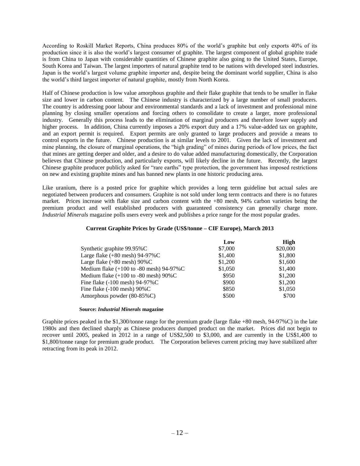According to Roskill Market Reports, China produces 80% of the world's graphite but only exports 40% of its production since it is also the world's largest consumer of graphite. The largest component of global graphite trade is from China to Japan with considerable quantities of Chinese graphite also going to the United States, Europe, South Korea and Taiwan. The largest importers of natural graphite tend to be nations with developed steel industries. Japan is the world's largest volume graphite importer and, despite being the dominant world supplier, China is also the world's third largest importer of natural graphite, mostly from North Korea.

Half of Chinese production is low value amorphous graphite and their flake graphite that tends to be smaller in flake size and lower in carbon content. The Chinese industry is characterized by a large number of small producers. The country is addressing poor labour and environmental standards and a lack of investment and professional mine planning by closing smaller operations and forcing others to consolidate to create a larger, more professional industry. Generally this process leads to the elimination of marginal producers and therefore lower supply and higher process. In addition, China currently imposes a 20% export duty and a 17% value-added tax on graphite, and an export permit is required. Export permits are only granted to large producers and provide a means to control exports in the future. Chinese production is at similar levels to 2001. Given the lack of investment and mine planning, the closure of marginal operations, the "high grading" of mines during periods of low prices, the fact that mines are getting deeper and older, and a desire to do value added manufacturing domestically, the Corporation believes that Chinese production, and particularly exports, will likely decline in the future. Recently, the largest Chinese graphite producer publicly asked for "rare earths" type protection, the government has imposed restrictions on new and existing graphite mines and has banned new plants in one historic producing area.

Like uranium, there is a posted price for graphite which provides a long term guideline but actual sales are negotiated between producers and consumers. Graphite is not sold under long term contracts and there is no futures market. Prices increase with flake size and carbon content with the +80 mesh, 94% carbon varieties being the premium product and well established producers with guaranteed consistency can generally charge more. *Industrial Minerals* magazine polls users every week and publishes a price range for the most popular grades.

## **Current Graphite Prices by Grade (US\$/tonne – CIF Europe), March 2013**

|                                                            | Low     | High     |
|------------------------------------------------------------|---------|----------|
| Synthetic graphite 99.95%C                                 | \$7,000 | \$20,000 |
| Large flake $(+80 \text{ mesh})$ 94-97%C                   | \$1,400 | \$1,800  |
| Large flake $(+80 \text{ mesh})$ 90%C                      | \$1,200 | \$1,600  |
| Medium flake $(+100 \text{ to } -80 \text{ mesh})$ 94-97%C | \$1,050 | \$1,400  |
| Medium flake $(+100$ to -80 mesh) $90\%$ C                 | \$950   | \$1,200  |
| Fine flake $(-100 \text{ mesh})$ 94-97%C                   | \$900   | \$1,200  |
| Fine flake $(-100 \text{ mesh}) 90\% C$                    | \$850   | \$1,050  |
| Amorphous powder (80-85%C)                                 | \$500   | \$700    |

#### **Source:** *Industrial Minerals* **magazine**

Graphite prices peaked in the \$1,300/tonne range for the premium grade (large flake +80 mesh, 94-97%C) in the late 1980s and then declined sharply as Chinese producers dumped product on the market. Prices did not begin to recover until 2005, peaked in 2012 in a range of US\$2,500 to \$3,000, and are currently in the US\$1,400 to \$1,800/tonne range for premium grade product. The Corporation believes current pricing may have stabilized after retracting from its peak in 2012.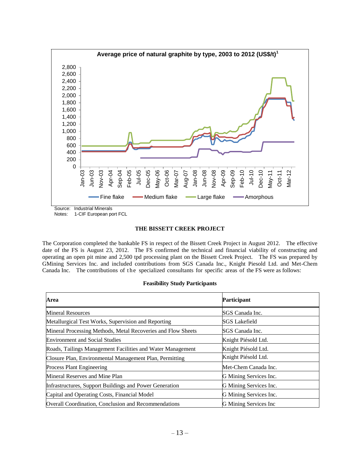<span id="page-14-0"></span>

Source: Industrial Minerals

Notes: 1-CIF European port FCL

#### **THE BISSETT CREEK PROJECT**

The Corporation completed the bankable FS in respect of the Bissett Creek Project in August 2012. The effective date of the FS is August 23, 2012. The FS confirmed the technical and financial viability of constructing and operating an open pit mine and 2,500 tpd processing plant on the Bissett Creek Project. The FS was prepared by GMining Services Inc. and included contributions from SGS Canada Inc., Knight Piesold Ltd. and Met-Chem Canada Inc. The contributions of the specialized consultants for specific areas of the FS were as follows:

## **Feasibility Study Participants**

| Area                                                         | <b>Participant</b>     |
|--------------------------------------------------------------|------------------------|
| Mineral Resources                                            | SGS Canada Inc.        |
| Metallurgical Test Works, Supervision and Reporting          | SGS Lakefield          |
| Mineral Processing Methods, Metal Recoveries and Flow Sheets | SGS Canada Inc.        |
| <b>Environment and Social Studies</b>                        | Knight Piésold Ltd.    |
| Roads, Tailings Management Facilities and Water Management   | Knight Piésold Ltd.    |
| Closure Plan, Environmental Management Plan, Permitting      | Knight Piésold Ltd.    |
| <b>Process Plant Engineering</b>                             | Met-Chem Canada Inc.   |
| Mineral Reserves and Mine Plan                               | G Mining Services Inc. |
| Infrastructures, Support Buildings and Power Generation      | G Mining Services Inc. |
| Capital and Operating Costs, Financial Model                 | G Mining Services Inc. |
| Overall Coordination, Conclusion and Recommendations         | G Mining Services Inc  |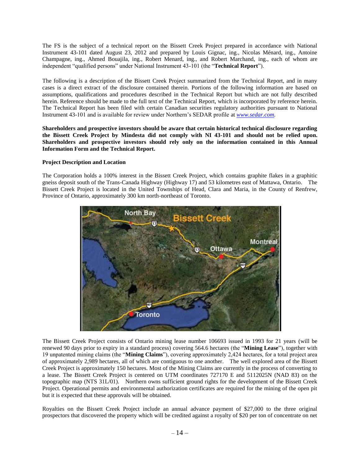The FS is the subject of a technical report on the Bissett Creek Project prepared in accordance with National Instrument 43-101 dated August 23, 2012 and prepared by Louis Gignac, ing., Nicolas Ménard, ing., Antoine Champagne, ing., Ahmed Bouajila, ing., Robert Menard, ing., and Robert Marchand, ing., each of whom are independent "qualified persons" under National Instrument 43-101 (the "**Technical Report**").

The following is a description of the Bissett Creek Project summarized from the Technical Report, and in many cases is a direct extract of the disclosure contained therein. Portions of the following information are based on assumptions, qualifications and procedures described in the Technical Report but which are not fully described herein. Reference should be made to the full text of the Technical Report, which is incorporated by reference herein. The Technical Report has been filed with certain Canadian securities regulatory authorities pursuant to National Instrument 43-101 and is available for review under Northern's SEDAR profile at *[www.sedar.com.](http://www.sedar.com/)*

**Shareholders and prospective investors should be aware that certain historical technical disclosure regarding the Bissett Creek Project by Mindesta did not comply with NI 43-101 and should not be relied upon. Shareholders and prospective investors should rely only on the information contained in this Annual Information Form and the Technical Report.**

## **Project Description and Location**

The Corporation holds a 100% interest in the Bissett Creek Project, which contains graphite flakes in a graphitic gneiss deposit south of the Trans-Canada Highway (Highway 17) and 53 kilometres east of Mattawa, Ontario. The Bissett Creek Project is located in the United Townships of Head, Clara and Maria, in the County of Renfrew, Province of Ontario, approximately 300 km north-northeast of Toronto.



The Bissett Creek Project consists of Ontario mining lease number 106693 issued in 1993 for 21 years (will be renewed 90 days prior to expiry in a standard process) covering 564.6 hectares (the "**Mining Lease**"), together with 19 unpatented mining claims (the "**Mining Claims**"), covering approximately 2,424 hectares, for a total project area of approximately 2,989 hectares, all of which are contiguous to one another. The well explored area of the Bissett Creek Project is approximately 150 hectares. Most of the Mining Claims are currently in the process of converting to a lease. The Bissett Creek Project is centered on UTM coordinates 727170 E and 5112025N (NAD 83) on the topographic map (NTS 31L/01). Northern owns sufficient ground rights for the development of the Bissett Creek Project. Operational permits and environmental authorization certificates are required for the mining of the open pit but it is expected that these approvals will be obtained.

Royalties on the Bissett Creek Project include an annual advance payment of \$27,000 to the three original prospectors that discovered the property which will be credited against a royalty of \$20 per ton of concentrate on net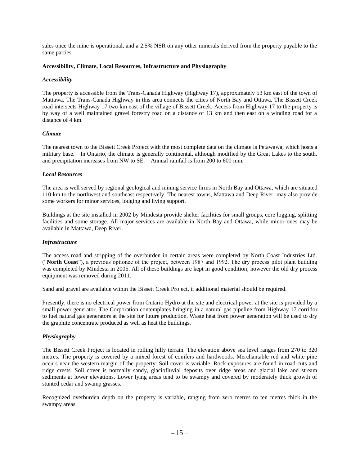sales once the mine is operational, and a 2.5% NSR on any other minerals derived from the property payable to the same parties.

#### **Accessibility, Climate, Local Resources, Infrastructure and Physiography**

#### *Accessibility*

The property is accessible from the Trans-Canada Highway (Highway 17), approximately 53 km east of the town of Mattawa. The Trans-Canada Highway in this area connects the cities of North Bay and Ottawa. The Bissett Creek road intersects Highway 17 two km east of the village of Bissett Creek. Access from Highway 17 to the property is by way of a well maintained gravel forestry road on a distance of 13 km and then east on a winding road for a distance of 4 km.

#### *Climate*

The nearest town to the Bissett Creek Project with the most complete data on the climate is Petawawa, which hosts a military base. In Ontario, the climate is generally continental, although modified by the Great Lakes to the south, and precipitation increases from NW to SE. Annual rainfall is from 200 to 600 mm.

#### *Local Resources*

The area is well served by regional geological and mining service firms in North Bay and Ottawa, which are situated 110 km to the northwest and southeast respectively. The nearest towns, Mattawa and Deep River, may also provide some workers for minor services, lodging and living support.

Buildings at the site installed in 2002 by Mindesta provide shelter facilities for small groups, core logging, splitting facilities and some storage. All major services are available in North Bay and Ottawa, while minor ones may be available in Mattawa, Deep River.

#### *Infrastructure*

The access road and stripping of the overburden in certain areas were completed by North Coast Industries Ltd. ("**North Coast**"), a previous optionee of the project, between 1987 and 1992. The dry process pilot plant building was completed by Mindesta in 2005. All of these buildings are kept in good condition; however the old dry process equipment was removed during 2011.

Sand and gravel are available within the Bissett Creek Project, if additional material should be required.

Presently, there is no electrical power from Ontario Hydro at the site and electrical power at the site is provided by a small power generator. The Corporation contemplates bringing in a natural gas pipeline from Highway 17 corridor to fuel natural gas generators at the site for future production. Waste heat from power generation will be used to dry the graphite concentrate produced as well as heat the buildings.

## *Physiography*

The Bissett Creek Project is located in rolling hilly terrain. The elevation above sea level ranges from 270 to 320 metres. The property is covered by a mixed forest of conifers and hardwoods. Merchantable red and white pine occurs near the western margin of the property. Soil cover is variable. Rock exposures are found in road cuts and ridge crests. Soil cover is normally sandy, glaciofluvial deposits over ridge areas and glacial lake and stream sediments at lower elevations. Lower lying areas tend to be swampy and covered by moderately thick growth of stunted cedar and swamp grasses.

Recognized overburden depth on the property is variable, ranging from zero metres to ten metres thick in the swampy areas.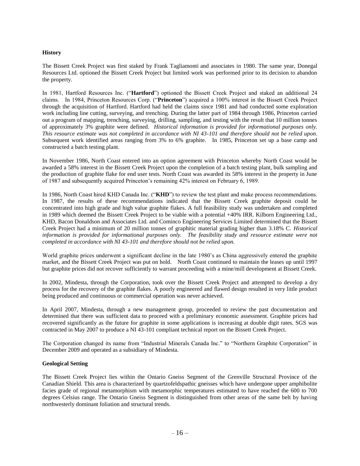## **History**

The Bissett Creek Project was first staked by Frank Tagliamonti and associates in 1980. The same year, Donegal Resources Ltd. optioned the Bissett Creek Project but limited work was performed prior to its decision to abandon the property.

In 1981, Hartford Resources Inc. ("**Hartford**") optioned the Bissett Creek Project and staked an additional 24 claims. In 1984, Princeton Resources Corp. ("**Princeton**") acquired a 100% interest in the Bissett Creek Project through the acquisition of Hartford. Hartford had held the claims since 1981 and had conducted some exploration work including line cutting, surveying, and trenching. During the latter part of 1984 through 1986, Princeton carried out a program of mapping, trenching, surveying, drilling, sampling, and testing with the result that 10 million tonnes of approximately 3% graphite were defined. *Historical information is provided for informational purposes only. This resource estimate was not completed in accordance with NI 43-101 and therefore should not be relied upon*. Subsequent work identified areas ranging from 3% to 6% graphite. In 1985, Princeton set up a base camp and constructed a batch testing plant.

In November 1986, North Coast entered into an option agreement with Princeton whereby North Coast would be awarded a 58% interest in the Bissett Creek Project upon the completion of a batch testing plant, bulk sampling and the production of graphite flake for end user tests. North Coast was awarded its 58% interest in the property in June of 1987 and subsequently acquired Princeton's remaining 42% interest on February 6, 1989.

In 1986, North Coast hired KHD Canada Inc. ("**KHD**") to review the test plant and make process recommendations. In 1987, the results of these recommendations indicated that the Bissett Creek graphite deposit could be concentrated into high grade and high value graphite flakes. A full feasibility study was undertaken and completed in 1989 which deemed the Bissett Creek Project to be viable with a potential +40% IRR. Kilborn Engineering Ltd., KHD, Bacon Donaldson and Associates Ltd. and Cominco Engineering Services Limited determined that the Bissett Creek Project had a minimum of 20 million tonnes of graphitic material grading higher than 3.18% C. *Historical information is provided for informational purposes only. The feasibility study and resource estimate were not completed in accordance with NI 43-101 and therefore should not be relied upon.*

World graphite prices underwent a significant decline in the late 1980's as China aggressively entered the graphite market, and the Bissett Creek Project was put on hold. North Coast continued to maintain the leases up until 1997 but graphite prices did not recover sufficiently to warrant proceeding with a mine/mill development at Bissett Creek.

In 2002, Mindesta, through the Corporation, took over the Bissett Creek Project and attempted to develop a dry process for the recovery of the graphite flakes. A poorly engineered and flawed design resulted in very little product being produced and continuous or commercial operation was never achieved.

In April 2007, Mindesta, through a new management group, proceeded to review the past documentation and determined that there was sufficient data to proceed with a preliminary economic assessment. Graphite prices had recovered significantly as the future for graphite in some applications is increasing at double digit rates. SGS was contracted in May 2007 to produce a NI 43-101 compliant technical report on the Bissett Creek Project.

The Corporation changed its name from "Industrial Minerals Canada Inc." to "Northern Graphite Corporation" in December 2009 and operated as a subsidiary of Mindesta.

#### **Geological Setting**

The Bissett Creek Project lies within the Ontario Gneiss Segment of the Grenville Structural Province of the Canadian Shield. This area is characterized by quartzofeldspathic gneisses which have undergone upper amphibolite facies grade of regional metamorphism with metamorphic temperatures estimated to have reached the 600 to 700 degrees Celsius range. The Ontario Gneiss Segment is distinguished from other areas of the same belt by having northwesterly dominant foliation and structural trends.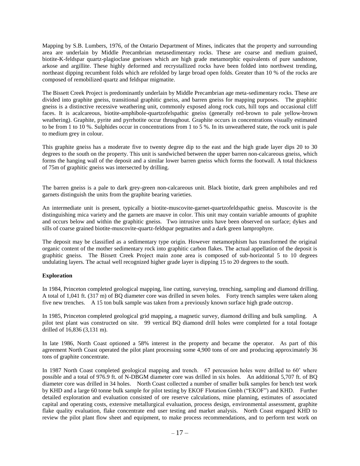Mapping by S.B. Lumbers, 1976, of the Ontario Department of Mines, indicates that the property and surrounding area are underlain by Middle Precambrian metasedimentary rocks. These are coarse and medium grained, biotite-K-feldspar quartz-plagioclase gneisses which are high grade metamorphic equivalents of pure sandstone, arkose and argillite. These highly deformed and recrystallized rocks have been folded into northwest trending, northeast dipping recumbent folds which are refolded by large broad open folds. Greater than 10 % of the rocks are composed of remobilized quartz and feldspar migmatite.

The Bissett Creek Project is predominantly underlain by Middle Precambrian age meta-sedimentary rocks. These are divided into graphite gneiss, transitional graphitic gneiss, and barren gneiss for mapping purposes. The graphitic gneiss is a distinctive recessive weathering unit, commonly exposed along rock cuts, hill tops and occasional cliff faces. It is acalcareous, biotite-amphibole-quartzofelspathic gneiss (generally red-brown to pale yellow-brown weathering). Graphite, pyrite and pyrrhotite occur throughout. Graphite occurs in concentrations visually estimated to be from 1 to 10 %. Sulphides occur in concentrations from 1 to 5 %. In its unweathered state, the rock unit is pale to medium grey in colour.

This graphite gneiss has a moderate five to twenty degree dip to the east and the high grade layer dips 20 to 30 degrees to the south on the property. This unit is sandwiched between the upper barren non-calcareous gneiss, which forms the hanging wall of the deposit and a similar lower barren gneiss which forms the footwall. A total thickness of 75m of graphitic gneiss was intersected by drilling.

The barren gneiss is a pale to dark grey-green non-calcareous unit. Black biotite, dark green amphiboles and red garnets distinguish the units from the graphite bearing varieties.

An intermediate unit is present, typically a biotite-muscovite-garnet-quartzofeldspathic gneiss. Muscovite is the distinguishing mica variety and the garnets are mauve in color. This unit may contain variable amounts of graphite and occurs below and within the graphitic gneiss. Two intrusive units have been observed on surface; dykes and sills of coarse grained biotite-muscovite-quartz-feldspar pegmatites and a dark green lamprophyre.

The deposit may be classified as a sedimentary type origin. However metamorphism has transformed the original organic content of the mother sedimentary rock into graphitic carbon flakes. The actual appellation of the deposit is graphitic gneiss. The Bissett Creek Project main zone area is composed of sub-horizontal 5 to 10 degrees undulating layers. The actual well recognized higher grade layer is dipping 15 to 20 degrees to the south.

## **Exploration**

In 1984, Princeton completed geological mapping, line cutting, surveying, trenching, sampling and diamond drilling. A total of 1,041 ft. (317 m) of BQ diameter core was drilled in seven holes. Forty trench samples were taken along five new trenches. A 15 ton bulk sample was taken from a previously known surface high grade outcrop.

In 1985, Princeton completed geological grid mapping, a magnetic survey, diamond drilling and bulk sampling. A pilot test plant was constructed on site. 99 vertical BQ diamond drill holes were completed for a total footage drilled of 16,836 (3,131 m).

In late 1986, North Coast optioned a 58% interest in the property and became the operator. As part of this agreement North Coast operated the pilot plant processing some 4,900 tons of ore and producing approximately 36 tons of graphite concentrate.

In 1987 North Coast completed geological mapping and trench. 67 percussion holes were drilled to 60' where possible and a total of 976.9 ft. of N-DBGM diameter core was drilled in six holes. An additional 5,707 ft. of BQ diameter core was drilled in 34 holes. North Coast collected a number of smaller bulk samples for bench test work by KHD and a large 60 tonne bulk sample for pilot testing by EKOF Flotation Gmbh ("EKOF") and KHD. Further detailed exploration and evaluation consisted of ore reserve calculations, mine planning, estimates of associated capital and operating costs, extensive metallurgical evaluation, process design, environmental assessment, graphite flake quality evaluation, flake concentrate end user testing and market analysis. North Coast engaged KHD to review the pilot plant flow sheet and equipment, to make process recommendations, and to perform test work on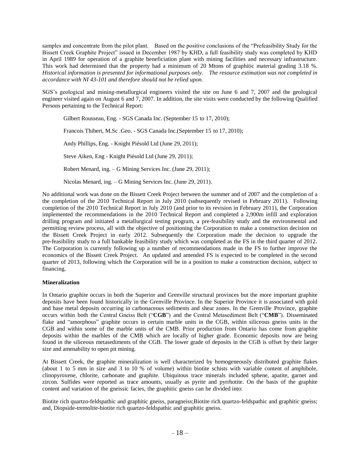samples and concentrate from the pilot plant. Based on the positive conclusions of the "Prefeasibility Study for the Bissett Creek Graphite Project" issued in December 1987 by KHD, a full feasibility study was completed by KHD in April 1989 for operation of a graphite beneficiation plant with mining facilities and necessary infrastructure. This work had determined that the property had a minimum of 20 Mtons of graphitic material grading 3.18 %. *Historical information is presented for informational purposes only. The resource estimation was not completed in accordance with NI 43-101 and therefore should not be relied upon.*

SGS's geological and mining-metallurgical engineers visited the site on June 6 and 7, 2007 and the geological engineer visited again on August 6 and  $\overline{7}$ , 2007. In addition, the site visits were conducted by the following Qualified Persons pertaining to the Technical Report:

Gilbert Rousseau, Eng. - SGS Canada Inc. (September 15 to 17, 2010);

Francois Thibert, M.Sc .Geo. - SGS Canada Inc.(September 15 to 17, 2010);

Andy Phillips, Eng. - Knight Piésold Ltd (June 29, 2011);

Steve Aiken, Eng - Knight Piésold Ltd (June 29, 2011);

Robert Menard, ing. – G Mining Services Inc. (June 29, 2011);

Nicolas Menard, ing. – G Mining Services Inc. (June 29, 2011).

No additional work was done on the Bissett Creek Project between the summer and of 2007 and the completion of a the completion of the 2010 Technical Report in July 2010 (subsequently revised in February 2011). Following completion of the 2010 Technical Report in July 2010 (and prior to its revision in February 2011), the Corporation implemented the recommendations in the 2010 Technical Report and completed a 2,900m infill and exploration drilling program and initiated a metallurgical testing program, a pre-feasibility study and the environmental and permitting review process, all with the objective of positioning the Corporation to make a construction decision on the Bissett Creek Project in early 2012. Subsequently the Corporation made the decision to upgrade the pre-feasibility study to a full bankable feasibility study which was completed as the FS in the third quarter of 2012. The Corporation is currently following up a number of recommendations made in the FS to further improve the economics of the Bissett Creek Project. An updated and amended FS is expected to be completed in the second quarter of 2013, following which the Corporation will be in a position to make a construction decision, subject to financing.

## **Mineralization**

In Ontario graphite occurs in both the Superior and Grenville structural provinces but the more important graphite deposits have been found historically in the Grenville Province. In the Superior Province it is associated with gold and base metal deposits occurring in carbonaceous sediments and shear zones. In the Grenville Province, graphite occurs within both the Central Gneiss Belt ("**CGB**") and the Central Metasediment Belt ("**CMB**"). Disseminated flake and "amorphous" graphite occurs in certain marble units in the CGB, within siliceous gneiss units in the CGB and within some of the marble units of the CMB. Prior production from Ontario has come from graphite deposits within the marbles of the CMB which are locally of higher grade. Economic deposits now are being found in the siliceous metasediments of the CGB. The lower grade of deposits in the CGB is offset by their larger size and amenability to open pit mining.

At Bissett Creek, the graphite mineralization is well characterized by homogeneously distributed graphite flakes (about 1 to 5 mm in size and 3 to 10 % of volume) within biotite schists with variable content of amphibole, clinopyroxene, chlorite, carbonate and graphite. Ubiquitous trace minerals included sphene, apatite, garnet and zircon. Sulfides were reported as trace amounts, usually as pyrite and pyrrhotite. On the basis of the graphite content and variation of the gneissic facies, the graphitic gneiss can be divided into:

Biotite rich quartzo-feldspathic and graphitic gneiss, paragneiss;Biotite rich quartzo-feldspathic and graphitic gneiss; and, Diopside-tremolite-biotite rich quartzo-feldspathic and graphitic gneiss.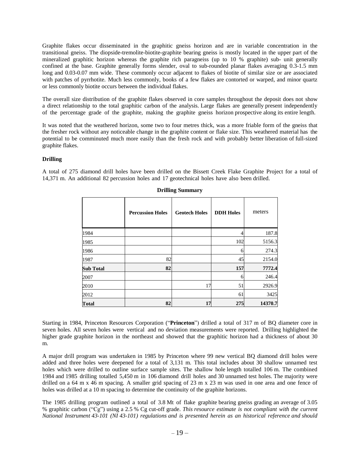Graphite flakes occur disseminated in the graphitic gneiss horizon and are in variable concentration in the transitional gneiss. The diopside-tremolite-biotite-graphite bearing gneiss is mostly located in the upper part of the mineralized graphitic horizon whereas the graphite rich paragneiss (up to 10 % graphite) sub- unit generally confined at the base. Graphite generally forms slender, oval to sub-rounded planar flakes averaging 0.3-1.5 mm long and 0.03-0.07 mm wide. These commonly occur adjacent to flakes of biotite of similar size or are associated with patches of pyrrhotite. Much less commonly, books of a few flakes are contorted or warped, and minor quartz or less commonly biotite occurs between the individual flakes.

The overall size distribution of the graphite flakes observed in core samples throughout the deposit does not show a direct relationship to the total graphitic carbon of the analysis. Large flakes are generally present independently of the percentage grade of the graphite, making the graphite gneiss horizon prospective along its entire length.

It was noted that the weathered horizon, some two to four metres thick, was a more friable form of the gneiss that the fresher rock without any noticeable change in the graphite content or flake size. This weathered material has the potential to be comminuted much more easily than the fresh rock and with probably better liberation of full-sized graphite flakes.

#### **Drilling**

A total of 275 diamond drill holes have been drilled on the Bissett Creek Flake Graphite Project for a total of 14,371 m. An additional 82 percussion holes and 17 geotechnical holes have also been drilled.

|                  | <b>Percussion Holes</b> | <b>Geotech Holes</b> | <b>DDH</b> Holes | meters  |
|------------------|-------------------------|----------------------|------------------|---------|
| 1984             |                         |                      |                  | 187.8   |
| 1985             |                         |                      | 102              | 5156.3  |
| 1986             |                         |                      | h                | 274.3   |
| 1987             | 82                      |                      | 45               | 2154.0  |
| <b>Sub Total</b> | 82                      |                      | 157              | 7772.4  |
| 2007             |                         |                      | 6                | 246.4   |
| 2010             |                         | 17                   | 51               | 2926.9  |
| 2012             |                         |                      | 61               | 3425    |
| <b>Total</b>     | 82                      | 17                   | 275              | 14370.7 |

**Drilling Summary**

Starting in 1984, Princeton Resources Corporation ("**Princeton**") drilled a total of 317 m of BQ diameter core in seven holes. All seven holes were vertical and no deviation measurements were reported. Drilling highlighted the higher grade graphite horizon in the northeast and showed that the graphitic horizon had a thickness of about 30 m.

A major drill program was undertaken in 1985 by Princeton where 99 new vertical BQ diamond drill holes were added and three holes were deepened for a total of 3,131 m. This total includes about 30 shallow unnamed test holes which were drilled to outline surface sample sites. The shallow hole length totalled 106 m. The combined 1984 and 1985 drilling totalled 5,450 m in 106 diamond drill holes and 30 unnamed test holes. The majority were drilled on a 64 m x 46 m spacing. A smaller grid spacing of 23 m x 23 m was used in one area and one fence of holes was drilled at a 10 m spacing to determine the continuity of the graphite horizons.

The 1985 drilling program outlined a total of 3.8 Mt of flake graphite bearing gneiss grading an average of 3.05 % graphitic carbon ("Cg") using a 2.5 % Cg cut-off grade. *This resource estimate is not compliant with the current National Instrument 43-101 (NI 43-101) regulations and is presented herein as an historical reference and should*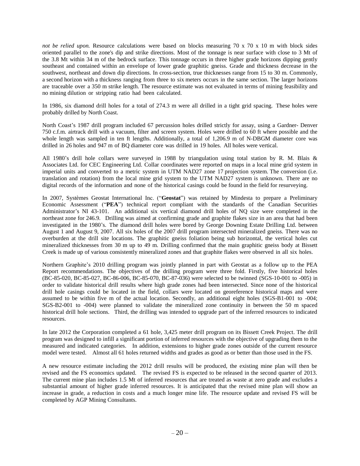*not be relied upon.* Resource calculations were based on blocks measuring 70 x 70 x 10 m with block sides oriented parallel to the zone's dip and strike directions. Most of the tonnage is near surface with close to 3 Mt of the 3.8 Mt within 34 m of the bedrock surface. This tonnage occurs in three higher grade horizons dipping gently southeast and contained within an envelope of lower grade graphitic gneiss. Grade and thickness decrease in the southwest, northeast and down dip directions. In cross-section, true thicknesses range from 15 to 30 m. Commonly, a second horizon with a thickness ranging from three to six meters occurs in the same section. The larger horizons are traceable over a 350 m strike length. The resource estimate was not evaluated in terms of mining feasibility and no mining dilution or stripping ratio had been calculated.

In 1986, six diamond drill holes for a total of 274.3 m were all drilled in a tight grid spacing. These holes were probably drilled by North Coast.

North Coast's 1987 drill program included 67 percussion holes drilled strictly for assay, using a Gardner- Denver 750 c.f.m. airtrack drill with a vacuum, filter and screen system. Holes were drilled to 60 ft where possible and the whole length was sampled in ten ft lengths. Additionally, a total of 1,206.9 m of N-DBGM diameter core was drilled in 26 holes and 947 m of BQ diameter core was drilled in 19 holes. All holes were vertical.

All 1980's drill hole collars were surveyed in 1988 by triangulation using total station by R. M. Blais & Associates Ltd. for CEC Engineering Ltd. Collar coordinates were reported on maps in a local mine grid system in imperial units and converted to a metric system in UTM NAD27 zone 17 projection system. The conversion (i.e. translation and rotation) from the local mine grid system to the UTM NAD27 system is unknown. There are no digital records of the information and none of the historical casings could be found in the field for resurveying.

In 2007, Systèmes Geostat International Inc. ("**Geostat**") was retained by Mindesta to prepare a Preliminary Economic Assessment ("**PEA**") technical report compliant with the standards of the Canadian Securities Administrator's NI 43-101. An additional six vertical diamond drill holes of NQ size were completed in the northeast zone for 246.9. Drilling was aimed at confirming grade and graphite flakes size in an area that had been investigated in the 1980's. The diamond drill holes were bored by George Downing Estate Drilling Ltd. between August 1 and August 9, 2007. All six holes of the 2007 drill program intersected mineralized gneiss. There was no overburden at the drill site locations. The graphitic gneiss foliation being sub horizontal, the vertical holes cut mineralized thicknesses from 30 m up to 49 m. Drilling confirmed that the main graphitic gneiss body at Bissett Creek is made up of various consistently mineralized zones and that graphite flakes were observed in all six holes.

Northern Graphite's 2010 drilling program was jointly planned in part with Geostat as a follow up to the PEA Report recommendations. The objectives of the drilling program were three fold. Firstly, five historical holes (BC-85-020, BC-85-027, BC-86-006, BC-85-070, BC-87-036) were selected to be twinned (SGS-10-001 to -005) in order to validate historical drill results where high grade zones had been intersected. Since none of the historical drill hole casings could be located in the field, collars were located on georeference historical maps and were assumed to be within five m of the actual location. Secondly, an additional eight holes (SGS-B1-001 to -004; SGS-B2-001 to -004) were planned to validate the mineralized zone continuity in between the 50 m spaced historical drill hole sections. Third, the drilling was intended to upgrade part of the inferred resources to indicated resources.

In late 2012 the Corporation completed a 61 hole, 3,425 meter drill program on its Bissett Creek Project. The drill program was designed to infill a significant portion of inferred resources with the objective of upgrading them to the measured and indicated categories. In addition, extensions to higher grade zones outside of the current resource model were tested. Almost all 61 holes returned widths and grades as good as or better than those used in the FS.

A new resource estimate including the 2012 drill results will be produced, the existing mine plan will then be revised and the FS economics updated. The revised FS is expected to be released in the second quarter of 2013. The current mine plan includes 1.5 Mt of inferred resources that are treated as waste at zero grade and excludes a substantial amount of higher grade inferred resources. It is anticipated that the revised mine plan will show an increase in grade, a reduction in costs and a much longer mine life. The resource update and revised FS will be completed by AGP Mining Consultants.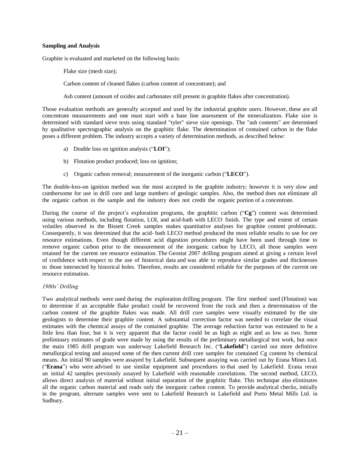#### **Sampling and Analysis**

Graphite is evaluated and marketed on the following basis:

Flake size (mesh size);

Carbon content of cleaned flakes (carbon content of concentrate); and

Ash content (amount of oxides and carbonates still present in graphite flakes after concentration).

Those evaluation methods are generally accepted and used by the industrial graphite users. However, these are all concentrate measurements and one must start with a base line assessment of the mineralization. Flake size is determined with standard sieve tests using standard "tyler" sieve size openings. The "ash contents" are determined by qualitative spectrographic analysis on the graphitic flake. The determination of contained carbon in the flake poses a different problem. The industry accepts a variety of determination methods, as described below:

- a) Double loss on ignition analysis ("**LOI**");
- b) Flotation product produced; loss on ignition;
- c) Organic carbon removal; measurement of the inorganic carbon ("**LECO**").

The double-loss-on ignition method was the most accepted in the graphite industry; however it is very slow and cumbersome for use in drill core and large numbers of geologic samples. Also, the method does not eliminate all the organic carbon in the sample and the industry does not credit the organic portion of a concentrate.

During the course of the project's exploration programs, the graphitic carbon ("**Cg**") content was determined using various methods, including flotation, LOI, and acid-bath with LECO finish. The type and extent of certain volatiles observed in the Bissett Creek samples makes quantitative analyses for graphite content problematic. Consequently, it was determined that the acid- bath LECO method produced the most reliable results to use for ore resource estimations. Even though different acid digestion procedures might have been used through time to remove organic carbon prior to the measurement of the inorganic carbon by LECO, all those samples were retained for the current ore resource estimation. The Geostat 2007 drilling program aimed at giving a certain level of confidence with respect to the use of historical data and was able to reproduce similar grades and thicknesses to those intersected by historical holes. Therefore, results are considered reliable for the purposes of the current ore resource estimation.

## *1980s' Drilling*

Two analytical methods were used during the exploration drilling program. The first method used (Flotation) was to determine if an acceptable flake product could be recovered from the rock and then a determination of the carbon content of the graphite flakes was made. All drill core samples were visually estimated by the site geologists to determine their graphite content. A substantial correction factor was needed to correlate the visual estimates with the chemical assays of the contained graphite. The average reduction factor was estimated to be a little less than four, but it is very apparent that the factor could be as high as eight and as low as two. Some preliminary estimates of grade were made by using the results of the preliminary metallurgical test work, but once the main 1985 drill program was underway Lakefield Research Inc. ("**Lakefield**") carried out more definitive metallurgical testing and assayed some of the then current drill core samples for contained Cg content by chemical means. An initial 90 samples were assayed by Lakefield. Subsequent assaying was carried out by Erana Mines Ltd. ("**Erana**") who were advised to use similar equipment and procedures to that used by Lakefield. Erana reran an initial 42 samples previously assayed by Lakefield with reasonable correlations. The second method, LECO, allows direct analysis of material without initial separation of the graphitic flake. This technique also eliminates all the organic carbon material and reads only the inorganic carbon content. To provide analytical checks, initially in the program, alternate samples were sent to Lakefield Research in Lakefield and Porto Metal Mills Ltd. in Sudbury.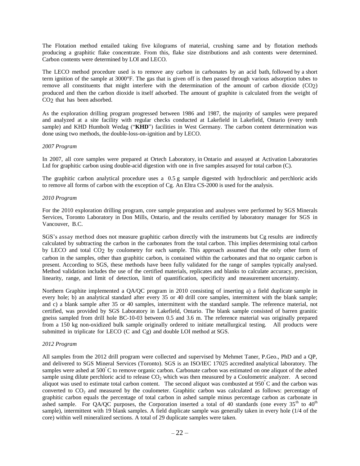The Flotation method entailed taking five kilograms of material, crushing same and by flotation methods producing a graphitic flake concentrate. From this, flake size distributions and ash contents were determined. Carbon contents were determined by LOI and LECO.

The LECO method procedure used is to remove any carbon in carbonates by an acid bath, followed by a short term ignition of the sample at 3000°F. The gas that is given off is then passed through various adsorption tubes to remove all constituents that might interfere with the determination of the amount of carbon dioxide (CO2) produced and then the carbon dioxide is itself adsorbed. The amount of graphite is calculated from the weight of CO<sub>2</sub> that has been adsorbed.

As the exploration drilling program progressed between 1986 and 1987, the majority of samples were prepared and analyzed at a site facility with regular checks conducted at Lakefield in Lakefield, Ontario (every tenth sample) and KHD Humbolt Wedag ("KHD") facilities in West Germany. The carbon content determination was done using two methods, the double-loss-on-ignition and by LECO.

#### *2007 Program*

In 2007, all core samples were prepared at Ortech Laboratory, in Ontario and assayed at Activation Laboratories Ltd for graphitic carbon using double-acid digestion with one in five samples assayed for total carbon (C).

The graphitic carbon analytical procedure uses a 0.5 g sample digested with hydrochloric and perchloric acids to remove all forms of carbon with the exception of Cg. An Eltra CS-2000 is used for the analysis.

#### *2010 Program*

For the 2010 exploration drilling program, core sample preparation and analyses were performed by SGS Minerals Services, Toronto Laboratory in Don Mills, Ontario, and the results certified by laboratory manager for SGS in Vancouver, B.C.

SGS's assay method does not measure graphitic carbon directly with the instruments but Cg results are indirectly calculated by subtracting the carbon in the carbonates from the total carbon. This implies determining total carbon by LECO and total CO2 by coulometry for each sample. This approach assumed that the only other form of carbon in the samples, other than graphitic carbon, is contained within the carbonates and that no organic carbon is present. According to SGS, these methods have been fully validated for the range of samples typically analysed. Method validation includes the use of the certified materials, replicates and blanks to calculate accuracy, precision, linearity, range, and limit of detection, limit of quantification, specificity and measurement uncertainty.

Northern Graphite implemented a QA/QC program in 2010 consisting of inserting a) a field duplicate sample in every hole; b) an analytical standard after every 35 or 40 drill core samples, intermittent with the blank sample; and c) a blank sample after 35 or 40 samples, intermittent with the standard sample. The reference material, not certified, was provided by SGS Laboratory in Lakefield, Ontario. The blank sample consisted of barren granitic gneiss sampled from drill hole BC-10-03 between 0.5 and 3.6 m. The reference material was originally prepared from a 150 kg non-oxidized bulk sample originally ordered to initiate metallurgical testing. All products were submitted in triplicate for LECO (C and Cg) and double LOI method at SGS.

#### *2012 Program*

All samples from the 2012 drill program were collected and supervised by Mehmet Taner, P.Geo., PhD and a QP, and delivered to SGS Mineral Services (Toronto). SGS is an ISO/IEC 17025 accredited analytical laboratory. The samples were ashed at 500°C to remove organic carbon. Carbonate carbon was estimated on one aliquot of the ashed sample using dilute perchloric acid to release  $CO<sub>2</sub>$  which was then measured by a Coulometric analyzer. A second aliquot was used to estimate total carbon content. The second aliquot was combusted at 950<sup>º</sup>C and the carbon was converted to  $CO<sub>2</sub>$  and measured by the coulometer. Graphitic carbon was calculated as follows: percentage of graphitic carbon equals the percentage of total carbon in ashed sample minus percentage carbon as carbonate in ashed sample. For QA/QC purposes, the Corporation inserted a total of 40 standards (one every  $35<sup>th</sup>$  to  $40<sup>th</sup>$ sample), intermittent with 19 blank samples. A field duplicate sample was generally taken in every hole (1/4 of the core) within well mineralized sections. A total of 29 duplicate samples were taken.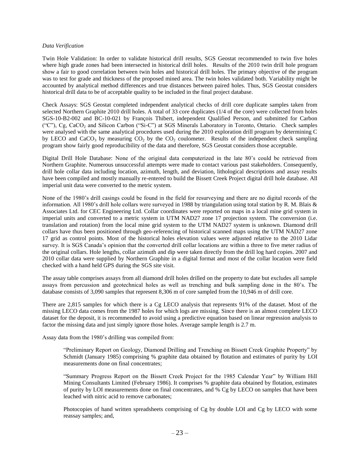#### *Data Verification*

Twin Hole Validation: In order to validate historical drill results, SGS Geostat recommended to twin five holes where high grade zones had been intersected in historical drill holes. Results of the 2010 twin drill hole program show a fair to good correlation between twin holes and historical drill holes. The primary objective of the program was to test for grade and thickness of the proposed mined area. The twin holes validated both. Variability might be accounted by analytical method differences and true distances between paired holes. Thus, SGS Geostat considers historical drill data to be of acceptable quality to be included in the final project database.

Check Assays: SGS Geostat completed independent analytical checks of drill core duplicate samples taken from selected Northern Graphite 2010 drill holes. A total of 33 core duplicates (1/4 of the core) were collected from holes SGS-10-B2-002 and BC-10-021 by François Thibert, independent Qualified Person, and submitted for Carbon ("C"), Cg, CaCO<sup>2</sup> and Silicon Carbon ("Si-C") at SGS Minerals Laboratory in Toronto, Ontario. Check samples were analysed with the same analytical procedures used during the 2010 exploration drill program by determining C by LECO and  $CaCO<sub>3</sub>$  by measuring  $CO<sub>2</sub>$  by the  $CO<sub>2</sub>$  coulometer. Results of the independent check sampling program show fairly good reproducibility of the data and therefore, SGS Geostat considers those acceptable.

Digital Drill Hole Database: None of the original data computerized in the late 80's could be retrieved from Northern Graphite. Numerous unsuccessful attempts were made to contact various past stakeholders. Consequently, drill hole collar data including location, azimuth, length, and deviation, lithological descriptions and assay results have been compiled and mostly manually re-entered to build the Bissett Creek Project digital drill hole database. All imperial unit data were converted to the metric system.

None of the 1980's drill casings could be found in the field for resurveying and there are no digital records of the information. All 1980's drill hole collars were surveyed in 1988 by triangulation using total station by R. M. Blais & Associates Ltd. for CEC Engineering Ltd. Collar coordinates were reported on maps in a local mine grid system in imperial units and converted to a metric system in UTM NAD27 zone 17 projection system. The conversion (i.e. translation and rotation) from the local mine grid system to the UTM NAD27 system is unknown. Diamond drill collars have thus been positioned through geo-referencing of historical scanned maps using the UTM NAD27 zone 17 grid as control points. Most of the historical holes elevation values were adjusted relative to the 2010 Lidar survey. It is SGS Canada's opinion that the converted drill collar locations are within a three to five meter radius of the original collars. Hole lengths, collar azimuth and dip were taken directly from the drill log hard copies. 2007 and 2010 collar data were supplied by Northern Graphite in a digital format and most of the collar location were field checked with a hand held GPS during the SGS site visit.

The assay table comprises assays from all diamond drill holes drilled on the property to date but excludes all sample assays from percussion and geotechnical holes as well as trenching and bulk sampling done in the 80's. The database consists of 3,090 samples that represent 8,306 m of core sampled from the 10,946 m of drill core.

There are 2,815 samples for which there is a Cg LECO analysis that represents 91% of the dataset. Most of the missing LECO data comes from the 1987 holes for which logs are missing. Since there is an almost complete LECO dataset for the deposit, it is recommended to avoid using a predictive equation based on linear regression analysis to factor the missing data and just simply ignore those holes. Average sample length is 2.7 m.

Assay data from the 1980's drilling was compiled from:

"Preliminary Report on Geology, Diamond Drilling and Trenching on Bissett Creek Graphite Property" by Schmidt (January 1985) comprising % graphite data obtained by flotation and estimates of purity by LOI measurements done on final concentrates;

"Summary Progress Report on the Bissett Creek Project for the 1985 Calendar Year" by William Hill Mining Consultants Limited (February 1986). It comprises % graphite data obtained by flotation, estimates of purity by LOI measurements done on final concentrates, and % Cg by LECO on samples that have been leached with nitric acid to remove carbonates;

Photocopies of hand written spreadsheets comprising of Cg by double LOI and Cg by LECO with some reassay samples; and,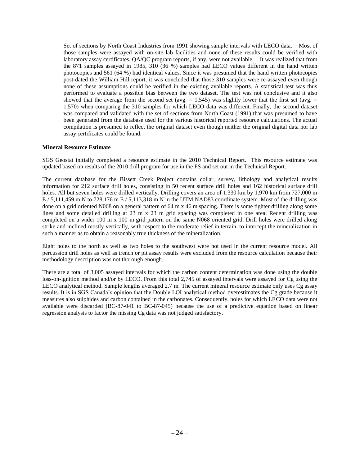Set of sections by North Coast Industries from 1991 showing sample intervals with LECO data. Most of those samples were assayed with on-site lab facilities and none of these results could be verified with laboratory assay certificates. QA/QC program reports, if any, were not available. It was realized that from the 871 samples assayed in 1985, 310 (36 %) samples had LECO values different in the hand written photocopies and 561 (64 %) had identical values. Since it was presumed that the hand written photocopies post-dated the William Hill report, it was concluded that those 310 samples were re-assayed even though none of these assumptions could be verified in the existing available reports. A statistical test was thus performed to evaluate a possible bias between the two dataset. The test was not conclusive and it also showed that the average from the second set (avg.  $= 1.545$ ) was slightly lower that the first set (avg.  $=$ 1.570) when comparing the 310 samples for which LECO data was different. Finally, the second dataset was compared and validated with the set of sections from North Coast (1991) that was presumed to have been generated from the database used for the various historical reported resource calculations. The actual compilation is presumed to reflect the original dataset even though neither the original digital data nor lab assay certificates could be found.

## **Mineral Resource Estimate**

SGS Geostat initially completed a resource estimate in the 2010 Technical Report. This resource estimate was updated based on results of the 2010 drill program for use in the FS and set out in the Technical Report.

The current database for the Bissett Creek Project contains collar, survey, lithology and analytical results information for 212 surface drill holes, consisting in 50 recent surface drill holes and 162 historical surface drill holes. All but seven holes were drilled vertically. Drilling covers an area of 1.330 km by 1.970 km from 727,000 m E / 5,111,459 m N to 728,176 m E / 5,113,318 m N in the UTM NAD83 coordinate system. Most of the drilling was done on a grid oriented N068 on a general pattern of 64 m x 46 m spacing. There is some tighter drilling along some lines and some detailed drilling at 23 m x 23 m grid spacing was completed in one area. Recent drilling was completed on a wider 100 m x 100 m grid pattern on the same N068 oriented grid. Drill holes were drilled along strike and inclined mostly vertically, with respect to the moderate relief in terrain, to intercept the mineralization in such a manner as to obtain a reasonably true thickness of the mineralization.

Eight holes to the north as well as two holes to the southwest were not used in the current resource model. All percussion drill holes as well as trench or pit assay results were excluded from the resource calculation because their methodology description was not thorough enough.

There are a total of 3,005 assayed intervals for which the carbon content determination was done using the double loss-on-ignition method and/or by LECO. From this total 2,745 of assayed intervals were assayed for Cg using the LECO analytical method. Sample lengths averaged 2.7 m. The current mineral resource estimate only uses Cg assay results. It is in SGS Canada's opinion that the Double LOI analytical method overestimates the Cg grade because it measures also sulphides and carbon contained in the carbonates. Consequently, holes for which LECO data were not available were discarded (BC-87-041 to BC-87-045) because the use of a predictive equation based on linear regression analysis to factor the missing Cg data was not judged satisfactory.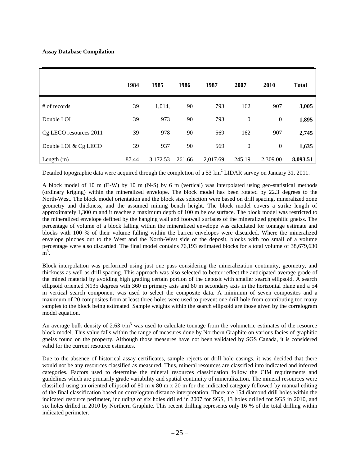## **Assay Database Compilation**

|                        | 1984  | 1985     | 1986   | 1987     | 2007             | 2010         | <b>Total</b> |
|------------------------|-------|----------|--------|----------|------------------|--------------|--------------|
| # of records           | 39    | 1,014,   | 90     | 793      | 162              | 907          | 3,005        |
| Double LOI             | 39    | 973      | 90     | 793      | $\boldsymbol{0}$ | $\mathbf{0}$ | 1,895        |
| Cg LECO resources 2011 | 39    | 978      | 90     | 569      | 162              | 907          | 2,745        |
| Double LOI & Cg LECO   | 39    | 937      | 90     | 569      | $\boldsymbol{0}$ | $\mathbf{0}$ | 1,635        |
| Length $(m)$           | 87.44 | 3,172.53 | 261.66 | 2,017.69 | 245.19           | 2,309.00     | 8,093.51     |

Detailed topographic data were acquired through the completion of a 53 km<sup>2</sup> LIDAR survey on January 31, 2011.

A block model of 10 m (E-W) by 10 m (N-S) by 6 m (vertical) was interpolated using geo-statistical methods (ordinary kriging) within the mineralized envelope. The block model has been rotated by 22.3 degrees to the North-West. The block model orientation and the block size selection were based on drill spacing, mineralized zone geometry and thickness, and the assumed mining bench height. The block model covers a strike length of approximately 1,300 m and it reaches a maximum depth of 100 m below surface. The block model was restricted to the mineralized envelope defined by the hanging wall and footwall surfaces of the mineralized graphitic gneiss. The percentage of volume of a block falling within the mineralized envelope was calculated for tonnage estimate and blocks with 100 % of their volume falling within the barren envelopes were discarded. Where the mineralized envelope pinches out to the West and the North-West side of the deposit, blocks with too small of a volume percentage were also discarded. The final model contains 76,193 estimated blocks for a total volume of 38,679,630  $\overline{\text{m}}^3$ .

Block interpolation was performed using just one pass considering the mineralization continuity, geometry, and thickness as well as drill spacing. This approach was also selected to better reflect the anticipated average grade of the mined material by avoiding high grading certain portion of the deposit with smaller search ellipsoid. A search ellipsoid oriented N135 degrees with 360 m primary axis and 80 m secondary axis in the horizontal plane and a 54 m vertical search component was used to select the composite data. A minimum of seven composites and a maximum of 20 composites from at least three holes were used to prevent one drill hole from contributing too many samples to the block being estimated. Sample weights within the search ellipsoid are those given by the correlogram model equation.

An average bulk density of 2.63  $t/m<sup>3</sup>$  was used to calculate tonnage from the volumetric estimates of the resource block model. This value falls within the range of measures done by Northern Graphite on various facies of graphitic gneiss found on the property. Although those measures have not been validated by SGS Canada, it is considered valid for the current resource estimates.

Due to the absence of historical assay certificates, sample rejects or drill hole casings, it was decided that there would not be any resources classified as measured. Thus, mineral resources are classified into indicated and inferred categories. Factors used to determine the mineral resources classification follow the CIM requirements and guidelines which are primarily grade variability and spatial continuity of mineralization. The mineral resources were classified using an oriented ellipsoid of 80 m x 80 m x 20 m for the indicated category followed by manual editing of the final classification based on correlogram distance interpretation. There are 154 diamond drill holes within the indicated resource perimeter, including of six holes drilled in 2007 for SGS, 13 holes drilled for SGS in 2010, and six holes drilled in 2010 by Northern Graphite. This recent drilling represents only 16 % of the total drilling within indicated perimeter.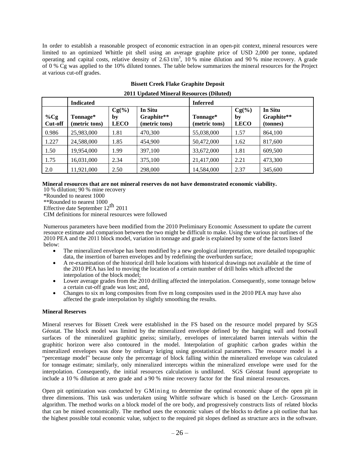In order to establish a reasonable prospect of economic extraction in an open-pit context, mineral resources were limited to an optimized Whittle pit shell using an average graphite price of USD 2,000 per tonne, updated operating and capital costs, relative density of 2.63  $t/m<sup>3</sup>$ , 10 % mine dilution and 90 % mine recovery. A grade of 0 % Cg was applied to the 10% diluted tonnes. The table below summarizes the mineral resources for the Project at various cut-off grades.

|                          | <b>Indicated</b>          |                               |                                        | <b>Inferred</b>           |                               |                                   |
|--------------------------|---------------------------|-------------------------------|----------------------------------------|---------------------------|-------------------------------|-----------------------------------|
| $\%Cg$<br><b>Cut-off</b> | Tonnage*<br>(metric tons) | $Cg(\%)$<br>by<br><b>LECO</b> | In Situ<br>Graphite**<br>(metric tons) | Tonnage*<br>(metric tons) | $Cg(\%)$<br>by<br><b>LECO</b> | In Situ<br>Graphite**<br>(tonnes) |
| 0.986                    | 25,983,000                | 1.81                          | 470,300                                | 55,038,000                | 1.57                          | 864,100                           |
| 1.227                    | 24,588,000                | 1.85                          | 454,900                                | 50,472,000                | 1.62                          | 817,600                           |
| 1.50                     | 19,954,000                | 1.99                          | 397,100                                | 33,672,000                | 1.81                          | 609,500                           |
| 1.75                     | 16,031,000                | 2.34                          | 375,100                                | 21,417,000                | 2.21                          | 473,300                           |
| 2.0                      | 11,921,000                | 2.50                          | 298,000                                | 14,584,000                | 2.37                          | 345,600                           |

## **Bissett Creek Flake Graphite Deposit**

|  | 2011 Updated Mineral Resources (Diluted) |  |
|--|------------------------------------------|--|
|  |                                          |  |

#### **Mineral resources that are not mineral reserves do not have demonstrated economic viability.**

10 % dilution; 90 % mine recovery

\*Rounded to nearest 1000

\*\*Rounded to nearest 1000

Effective date September  $12^{\text{th}}$  2011

CIM definitions for mineral resources were followed

Numerous parameters have been modified from the 2010 Preliminary Economic Assessment to update the current resource estimate and comparison between the two might be difficult to make. Using the various pit outlines of the 2010 PEA and the 2011 block model, variation in tonnage and grade is explained by some of the factors listed below:

- The mineralized envelope has been modified by a new geological interpretation, more detailed topographic data, the insertion of barren envelopes and by redefining the overburden surface;
- A re-examination of the historical drill hole locations with historical drawings not available at the time of the 2010 PEA has led to moving the location of a certain number of drill holes which affected the interpolation of the block model;
- Lower average grades from the 2010 drilling affected the interpolation. Consequently, some tonnage below a certain cut-off grade was lost; and,
- Changes to six m long composites from five m long composites used in the 2010 PEA may have also affected the grade interpolation by slightly smoothing the results.

## **Mineral Reserves**

Mineral reserves for Bissett Creek were established in the FS based on the resource model prepared by SGS Géostat. The block model was limited by the mineralized envelope defined by the hanging wall and footwall surfaces of the mineralized graphitic gneiss; similarly, envelopes of intercalated barren intervals within the graphitic horizon were also contoured in the model. Interpolation of graphitic carbon grades within the mineralized envelopes was done by ordinary kriging using geostatistical parameters. The resource model is a "percentage model" because only the percentage of block falling within the mineralized envelope was calculated for tonnage estimate; similarly, only mineralized intercepts within the mineralized envelope were used for the interpolation. Consequently, the initial resources calculation is undiluted. SGS Géostat found appropriate to include a 10 % dilution at zero grade and a 90 % mine recovery factor for the final mineral resources.

Open pit optimization was conducted by GMining to determine the optimal economic shape of the open pit in three dimensions. This task was undertaken using Whittle software which is based on the Lerch- Grossmann algorithm. The method works on a block model of the ore body, and progressively constructs lists of related blocks that can be mined economically. The method uses the economic values of the blocks to define a pit outline that has the highest possible total economic value, subject to the required pit slopes defined as structure arcs in the software.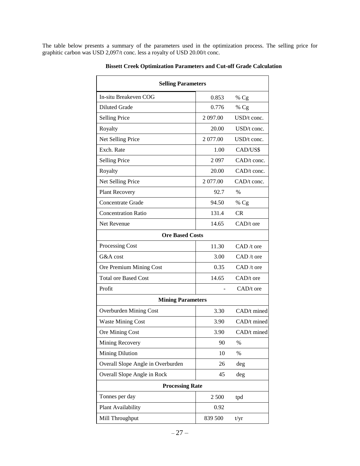The table below presents a summary of the parameters used in the optimization process. The selling price for graphitic carbon was USD 2,097/t conc. less a royalty of USD 20.00/t conc.

| <b>Selling Parameters</b>         |          |                      |  |  |  |  |
|-----------------------------------|----------|----------------------|--|--|--|--|
| In-situ Breakeven COG             | 0.853    | %Cg                  |  |  |  |  |
| <b>Diluted Grade</b>              | 0.776    | %Cg                  |  |  |  |  |
| <b>Selling Price</b>              | 2 097.00 | $USD/t$ conc.        |  |  |  |  |
| Royalty                           | 20.00    | $\text{USD/t}$ conc. |  |  |  |  |
| Net Selling Price                 | 2 077.00 | $USD/t$ conc.        |  |  |  |  |
| Exch. Rate                        | 1.00     | CAD/US\$             |  |  |  |  |
| <b>Selling Price</b>              | 2097     | $CAD/t$ conc.        |  |  |  |  |
| Royalty                           | 20.00    | $CAD/t$ conc.        |  |  |  |  |
| Net Selling Price                 | 2 077.00 | $CAD/t$ conc.        |  |  |  |  |
| Plant Recovery                    | 92.7     | $\%$                 |  |  |  |  |
| <b>Concentrate Grade</b>          | 94.50    | %Cg                  |  |  |  |  |
| <b>Concentration Ratio</b>        | 131.4    | CR.                  |  |  |  |  |
| Net Revenue                       | 14.65    | $CAD/t$ ore          |  |  |  |  |
| <b>Ore Based Costs</b>            |          |                      |  |  |  |  |
| Processing Cost                   | 11.30    | $CAD/t$ ore          |  |  |  |  |
| G&A cost                          | 3.00     | $CAD/t$ ore          |  |  |  |  |
| Ore Premium Mining Cost           | 0.35     | $CAD/t$ ore          |  |  |  |  |
| <b>Total ore Based Cost</b>       | 14.65    | $CAD/t$ ore          |  |  |  |  |
| Profit                            |          | $CAD/t$ ore          |  |  |  |  |
| <b>Mining Parameters</b>          |          |                      |  |  |  |  |
| <b>Overburden Mining Cost</b>     | 3.30     | CAD/t mined          |  |  |  |  |
| <b>Waste Mining Cost</b>          | 3.90     | CAD/t mined          |  |  |  |  |
| Ore Mining Cost                   | 3.90     | CAD/t mined          |  |  |  |  |
| Mining Recovery                   | 90       | %                    |  |  |  |  |
| Mining Dilution                   | 10       | $\%$                 |  |  |  |  |
| Overall Slope Angle in Overburden | 26       | deg                  |  |  |  |  |
| Overall Slope Angle in Rock       | 45       | deg                  |  |  |  |  |
| <b>Processing Rate</b>            |          |                      |  |  |  |  |
| Tonnes per day                    | 2 500    | tpd                  |  |  |  |  |
| Plant Availability                | 0.92     |                      |  |  |  |  |
| Mill Throughput                   | 839 500  | t/yr                 |  |  |  |  |

**Bissett Creek Optimization Parameters and Cut-off Grade Calculation**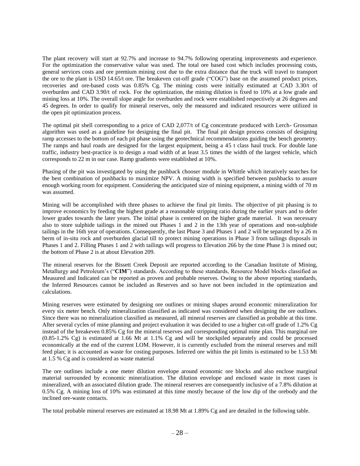The plant recovery will start at 92.7% and increase to 94.7% following operating improvements and experience. For the optimization the conservative value was used. The total ore based cost which includes processing costs, general services costs and ore premium mining cost due to the extra distance that the truck will travel to transport the ore to the plant is USD 14.65/t ore. The breakeven cut-off grade ("COG") base on the assumed product prices, recoveries and ore-based costs was 0.85% Cg. The mining costs were initially estimated at CAD 3.30/t of overburden and CAD 3.90/t of rock. For the optimization, the mining dilution is fixed to 10% at a low grade and mining loss at 10%. The overall slope angle for overburden and rock were established respectively at 26 degrees and 45 degrees. In order to qualify for mineral reserves, only the measured and indicated resources were utilized in the open pit optimization process.

The optimal pit shell corresponding to a price of CAD 2,077/t of Cg concentrate produced with Lerch- Grossman algorithm was used as a guideline for designing the final pit. The final pit design process consists of designing ramp accesses to the bottom of each pit phase using the geotechnical recommendations guiding the bench geometry. The ramps and haul roads are designed for the largest equipment, being a 45 t class haul truck. For double lane traffic, industry best-practice is to design a road width of at least 3.5 times the width of the largest vehicle, which corresponds to 22 m in our case. Ramp gradients were established at 10%.

Phasing of the pit was investigated by using the pushback chooser module in Whittle which iteratively searches for the best combination of pushbacks to maximize NPV. A mining width is specified between pushbacks to assure enough working room for equipment. Considering the anticipated size of mining equipment, a mining width of 70 m was assumed.

Mining will be accomplished with three phases to achieve the final pit limits. The objective of pit phasing is to improve economics by feeding the highest grade at a reasonable stripping ratio during the earlier years and to defer lower grades towards the later years. The initial phase is centered on the higher grade material. It was necessary also to store sulphide tailings in the mined out Phases 1 and 2 in the 13th year of operations and non-sulphide tailings in the 16th year of operations. Consequently, the last Phase 3 and Phases 1 and 2 will be separated by a 26 m berm of in-situ rock and overburden glacial till to protect mining operations in Phase 3 from tailings disposals in Phases 1 and 2. Filling Phases 1 and 2 with tailings will progress to Elevation 266 by the time Phase 3 is mined out; the bottom of Phase 2 is at about Elevation 209.

The mineral reserves for the Bissett Creek Deposit are reported according to the Canadian Institute of Mining, Metallurgy and Petroleum's ("**CIM**") standards. According to these standards, Resource Model blocks classified as Measured and Indicated can be reported as proven and probable reserves. Owing to the above reporting standards, the Inferred Resources cannot be included as Reserves and so have not been included in the optimization and calculations.

Mining reserves were estimated by designing ore outlines or mining shapes around economic mineralization for every six meter bench. Only mineralization classified as indicated was considered when designing the ore outlines. Since there was no mineralization classified as measured, all mineral reserves are classified as probable at this time. After several cycles of mine planning and project evaluation it was decided to use a higher cut-off grade of 1.2% Cg instead of the breakeven 0.85% Cg for the mineral reserves and corresponding optimal mine plan. This marginal ore (0.85-1.2% Cg) is estimated at 1.66 Mt at 1.1% Cg and will be stockpiled separately and could be processed economically at the end of the current LOM. However, it is currently excluded from the mineral reserves and mill feed plan; it is accounted as waste for costing purposes. Inferred ore within the pit limits is estimated to be 1.53 Mt at 1.5 % Cg and is considered as waste material

The ore outlines include a one meter dilution envelope around economic ore blocks and also enclose marginal material surrounded by economic mineralization. The dilution envelope and enclosed waste in most cases is mineralized, with an associated dilution grade. The mineral reserves are consequently inclusive of a 7.8% dilution at 0.5% Cg. A mining loss of 10% was estimated at this time mostly because of the low dip of the orebody and the inclined ore-waste contacts.

The total probable mineral reserves are estimated at 18.98 Mt at 1.89% Cg and are detailed in the following table.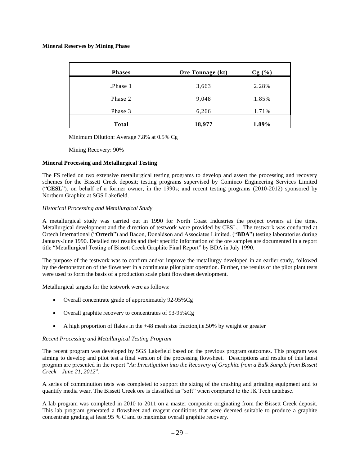## **Mineral Reserves by Mining Phase**

| <b>Phases</b>        | Ore Tonnage (kt) | Cg(%) |
|----------------------|------------------|-------|
| $\mathbb{P}$ Phase 1 | 3,663            | 2.28% |
| Phase 2              | 9,048            | 1.85% |
| Phase 3              | 6,266            | 1.71% |
| <b>Total</b>         | 18,977           | 1.89% |

Minimum Dilution: Average 7.8% at 0.5% Cg

Mining Recovery: 90%

#### **Mineral Processing and Metallurgical Testing**

The FS relied on two extensive metallurgical testing programs to develop and assert the processing and recovery schemes for the Bissett Creek deposit; testing programs supervised by Cominco Engineering Services Limited ("**CESL**"), on behalf of a former owner, in the 1990s; and recent testing programs (2010-2012) sponsored by Northern Graphite at SGS Lakefield.

#### *Historical Processing and Metallurgical Study*

A metallurgical study was carried out in 1990 for North Coast Industries the project owners at the time. Metallurgical development and the direction of testwork were provided by CESL. The testwork was conducted at Ortech International ("**Ortech**") and Bacon, Donaldson and Associates Limited. ("**BDA**") testing laboratories during January-June 1990. Detailed test results and their specific information of the ore samples are documented in a report title "Metallurgical Testing of Bissett Creek Graphite Final Report" by BDA in July 1990.

The purpose of the testwork was to confirm and/or improve the metallurgy developed in an earlier study, followed by the demonstration of the flowsheet in a continuous pilot plant operation. Further, the results of the pilot plant tests were used to form the basis of a production scale plant flowsheet development.

Metallurgical targets for the testwork were as follows:

- Overall concentrate grade of approximately 92-95%Cg
- Overall graphite recovery to concentrates of 93-95%Cg
- A high proportion of flakes in the +48 mesh size fraction,i.e.50% by weight or greater

## *Recent Processing and Metallurgical Testing Program*

The recent program was developed by SGS Lakefield based on the previous program outcomes. This program was aiming to develop and pilot test a final version of the processing flowsheet. Descriptions and results of this latest program are presented in the report "*An Investigation into the Recovery of Graphite from a Bulk Sample from Bissett Creek – June 21, 2012*".

A series of comminution tests was completed to support the sizing of the crushing and grinding equipment and to quantify media wear. The Bissett Creek ore is classified as "soft" when compared to the JK Tech database.

A lab program was completed in 2010 to 2011 on a master composite originating from the Bissett Creek deposit. This lab program generated a flowsheet and reagent conditions that were deemed suitable to produce a graphite concentrate grading at least 95 % C and to maximize overall graphite recovery.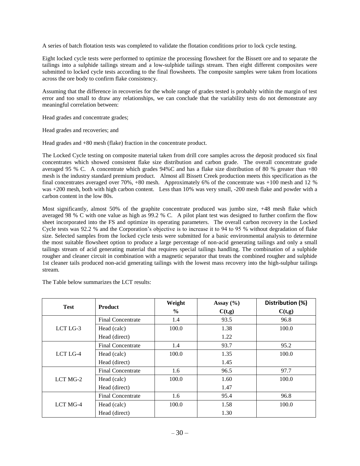A series of batch flotation tests was completed to validate the flotation conditions prior to lock cycle testing.

Eight locked cycle tests were performed to optimize the processing flowsheet for the Bissett ore and to separate the tailings into a sulphide tailings stream and a low-sulphide tailings stream. Then eight different composites were submitted to locked cycle tests according to the final flowsheets. The composite samples were taken from locations across the ore body to confirm flake consistency.

Assuming that the difference in recoveries for the whole range of grades tested is probably within the margin of test error and too small to draw any relationships, we can conclude that the variability tests do not demonstrate any meaningful correlation between:

Head grades and concentrate grades;

Head grades and recoveries; and

Head grades and +80 mesh (flake) fraction in the concentrate product.

The Locked Cycle testing on composite material taken from drill core samples across the deposit produced six final concentrates which showed consistent flake size distribution and carbon grade. The overall concentrate grade averaged 95 % C. A concentrate which grades 94%C and has a flake size distribution of 80 % greater than +80 mesh is the industry standard premium product. Almost all Bissett Creek production meets this specification as the final concentrates averaged over 70%, +80 mesh. Approximately 6% of the concentrate was +100 mesh and 12 % was +200 mesh, both with high carbon content. Less than 10% was very small, -200 mesh flake and powder with a carbon content in the low 80s.

Most significantly, almost 50% of the graphite concentrate produced was jumbo size, +48 mesh flake which averaged 98 % C with one value as high as 99.2 % C. A pilot plant test was designed to further confirm the flow sheet incorporated into the FS and optimize its operating parameters. The overall carbon recovery in the Locked Cycle tests was 92.2 % and the Corporation's objective is to increase it to 94 to 95 % without degradation of flake size. Selected samples from the locked cycle tests were submitted for a basic environmental analysis to determine the most suitable flowsheet option to produce a large percentage of non-acid generating tailings and only a small tailings stream of acid generating material that requires special tailings handling. The combination of a sulphide rougher and cleaner circuit in combination with a magnetic separator that treats the combined rougher and sulphide 1st cleaner tails produced non-acid generating tailings with the lowest mass recovery into the high-sulphur tailings stream.

The Table below summarizes the LCT results:

| <b>Test</b> | <b>Product</b>    | Weight        | Assay $(\% )$ | Distribution (%) |
|-------------|-------------------|---------------|---------------|------------------|
|             |                   | $\frac{6}{9}$ | C(t,g)        | C(t,g)           |
|             | Final Concentrate | 1.4           | 93.5          | 96.8             |
| LCT LG-3    | Head (calc)       | 100.0         | 1.38          | 100.0            |
|             | Head (direct)     |               | 1.22          |                  |
| LCT LG-4    | Final Concentrate | 1.4           | 93.7          | 95.2             |
|             | Head (calc)       | 100.0         | 1.35          | 100.0            |
|             | Head (direct)     |               | 1.45          |                  |
|             | Final Concentrate | 1.6           | 96.5          | 97.7             |
| LCT MG-2    | Head (calc)       | 100.0         | 1.60          | 100.0            |
|             | Head (direct)     |               | 1.47          |                  |
| LCT MG-4    | Final Concentrate | 1.6           | 95.4          | 96.8             |
|             | Head (calc)       | 100.0         | 1.58          | 100.0            |
|             | Head (direct)     |               | 1.30          |                  |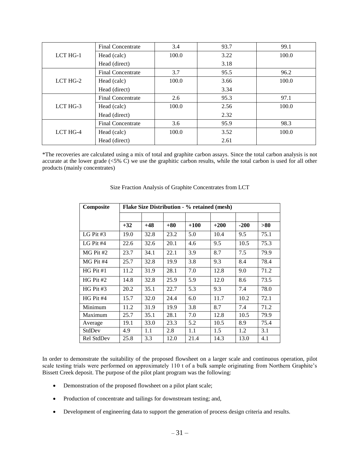|          | Final Concentrate        | 3.4   | 93.7 | 99.1  |
|----------|--------------------------|-------|------|-------|
| LCT HG-1 | Head (calc)              | 100.0 | 3.22 | 100.0 |
|          | Head (direct)            |       | 3.18 |       |
|          | <b>Final Concentrate</b> | 3.7   | 95.5 | 96.2  |
| LCT HG-2 | Head (calc)              | 100.0 | 3.66 | 100.0 |
|          | Head (direct)            |       | 3.34 |       |
|          | <b>Final Concentrate</b> | 2.6   | 95.3 | 97.1  |
| LCT HG-3 | Head (calc)              | 100.0 | 2.56 | 100.0 |
|          | Head (direct)            |       | 2.32 |       |
|          | <b>Final Concentrate</b> | 3.6   | 95.9 | 98.3  |
| LCT HG-4 | Head (calc)              | 100.0 | 3.52 | 100.0 |
|          | Head (direct)            |       | 2.61 |       |

\*The recoveries are calculated using a mix of total and graphite carbon assays. Since the total carbon analysis is not accurate at the lower grade  $(\leq 5\% \text{ C})$  we use the graphitic carbon results, while the total carbon is used for all other products (mainly concentrates)

| Composite   | <b>Flake Size Distribution - % retained (mesh)</b> |       |       |        |        |        |      |
|-------------|----------------------------------------------------|-------|-------|--------|--------|--------|------|
|             |                                                    |       |       |        |        |        |      |
|             | $+32$                                              | $+48$ | $+80$ | $+100$ | $+200$ | $-200$ | >80  |
| LG Pit $#3$ | 19.0                                               | 32.8  | 23.2  | 5.0    | 10.4   | 9.5    | 75.1 |
| LG Pit $#4$ | 22.6                                               | 32.6  | 20.1  | 4.6    | 9.5    | 10.5   | 75.3 |
| $MG$ Pit #2 | 23.7                                               | 34.1  | 22.1  | 3.9    | 8.7    | 7.5    | 79.9 |
| MG Pit #4   | 25.7                                               | 32.8  | 19.9  | 3.8    | 9.3    | 8.4    | 78.4 |
| $HG$ Pit #1 | 11.2                                               | 31.9  | 28.1  | 7.0    | 12.8   | 9.0    | 71.2 |
| $HG$ Pit #2 | 14.8                                               | 32.8  | 25.9  | 5.9    | 12.0   | 8.6    | 73.5 |
| $HG$ Pit #3 | 20.2                                               | 35.1  | 22.7  | 5.3    | 9.3    | 7.4    | 78.0 |
| $HG$ Pit #4 | 15.7                                               | 32.0  | 24.4  | 6.0    | 11.7   | 10.2   | 72.1 |
| Minimum     | 11.2                                               | 31.9  | 19.9  | 3.8    | 8.7    | 7.4    | 71.2 |
| Maximum     | 25.7                                               | 35.1  | 28.1  | 7.0    | 12.8   | 10.5   | 79.9 |
| Average     | 19.1                                               | 33.0  | 23.3  | 5.2    | 10.5   | 8.9    | 75.4 |
| StdDev      | 4.9                                                | 1.1   | 2.8   | 1.1    | 1.5    | 1.2    | 3.1  |
| Rel StdDev  | 25.8                                               | 3.3   | 12.0  | 21.4   | 14.3   | 13.0   | 4.1  |

Size Fraction Analysis of Graphite Concentrates from LCT

In order to demonstrate the suitability of the proposed flowsheet on a larger scale and continuous operation, pilot scale testing trials were performed on approximately 110 t of a bulk sample originating from Northern Graphite's Bissett Creek deposit. The purpose of the pilot plant program was the following:

- Demonstration of the proposed flowsheet on a pilot plant scale;
- Production of concentrate and tailings for downstream testing; and,
- Development of engineering data to support the generation of process design criteria and results.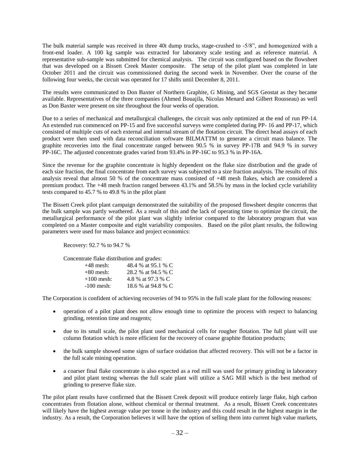The bulk material sample was received in three 40t dump trucks, stage-crushed to -5/8", and homogenized with a front-end loader. A 100 kg sample was extracted for laboratory scale testing and as reference material. A representative sub-sample was submitted for chemical analysis. The circuit was configured based on the flowsheet that was developed on a Bissett Creek Master composite. The setup of the pilot plant was completed in late October 2011 and the circuit was commissioned during the second week in November. Over the course of the following four weeks, the circuit was operated for 17 shifts until December 8, 2011.

The results were communicated to Don Baxter of Northern Graphite, G Mining, and SGS Geostat as they became available. Representatives of the three companies (Ahmed Bouajila, Nicolas Menard and Gilbert Rousseau) as well as Don Baxter were present on site throughout the four weeks of operation.

Due to a series of mechanical and metallurgical challenges, the circuit was only optimized at the end of run PP-14. An extended run commenced on PP-15 and five successful surveys were completed during PP- 16 and PP-17, which consisted of multiple cuts of each external and internal stream of the flotation circuit. The direct head assays of each product were then used with data reconciliation software BILMATTM to generate a circuit mass balance. The graphite recoveries into the final concentrate ranged between 90.5 % in survey PP-17B and 94.9 % in survey PP-16C. The adjusted concentrate grades varied from 93.4% in PP-16C to 95.3 % in PP-16A.

Since the revenue for the graphite concentrate is highly dependent on the flake size distribution and the grade of each size fraction, the final concentrate from each survey was subjected to a size fraction analysis. The results of this analysis reveal that almost 50 % of the concentrate mass consisted of +48 mesh flakes, which are considered a premium product. The +48 mesh fraction ranged between 43.1% and 58.5% by mass in the locked cycle variability tests compared to 45.7 % to 49.8 % in the pilot plant

The Bissett Creek pilot plant campaign demonstrated the suitability of the proposed flowsheet despite concerns that the bulk sample was partly weathered. As a result of this and the lack of operating time to optimize the circuit, the metallurgical performance of the pilot plant was slightly inferior compared to the laboratory program that was completed on a Master composite and eight variability composites. Based on the pilot plant results, the following parameters were used for mass balance and project economics:

Recovery: 92.7 % to 94.7 %

Concentrate flake distribution and grades:

| $+48$ mesh:  | 48.4 % at 95.1 % C |
|--------------|--------------------|
| $+80$ mesh:  | 28.2 % at 94.5 % C |
| $+100$ mesh: | 4.8 % at 97.3 % C  |
| $-100$ mesh: | 18.6 % at 94.8 % C |

The Corporation is confident of achieving recoveries of 94 to 95% in the full scale plant for the following reasons:

- operation of a pilot plant does not allow enough time to optimize the process with respect to balancing grinding, retention time and reagents;
- due to its small scale, the pilot plant used mechanical cells for rougher flotation. The full plant will use column flotation which is more efficient for the recovery of coarse graphite flotation products;
- the bulk sample showed some signs of surface oxidation that affected recovery. This will not be a factor in the full scale mining operation.
- a coarser final flake concentrate is also expected as a rod mill was used for primary grinding in laboratory and pilot plant testing whereas the full scale plant will utilize a SAG Mill which is the best method of grinding to preserve flake size.

The pilot plant results have confirmed that the Bissett Creek deposit will produce entirely large flake, high carbon concentrates from flotation alone, without chemical or thermal treatment. As a result, Bissett Creek concentrates will likely have the highest average value per tonne in the industry and this could result in the highest margin in the industry. As a result, the Corporation believes it will have the option of selling them into current high value markets,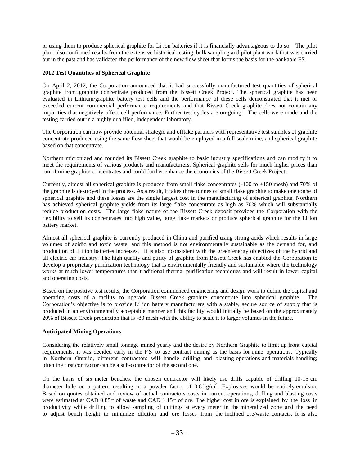or using them to produce spherical graphite for Li ion batteries if it is financially advantageous to do so. The pilot plant also confirmed results from the extensive historical testing, bulk sampling and pilot plant work that was carried out in the past and has validated the performance of the new flow sheet that forms the basis for the bankable FS.

## **2012 Test Quantities of Spherical Graphite**

On April 2, 2012, the Corporation announced that it had successfully manufactured test quantities of spherical graphite from graphite concentrate produced from the Bissett Creek Project. The spherical graphite has been evaluated in Lithium/graphite battery test cells and the performance of these cells demonstrated that it met or exceeded current commercial performance requirements and that Bissett Creek graphite does not contain any impurities that negatively affect cell performance. Further test cycles are on-going. The cells were made and the testing carried out in a highly qualified, independent laboratory.

The Corporation can now provide potential strategic and offtake partners with representative test samples of graphite concentrate produced using the same flow sheet that would be employed in a full scale mine, and spherical graphite based on that concentrate.

Northern micronized and rounded its Bissett Creek graphite to basic industry specifications and can modify it to meet the requirements of various products and manufacturers. Spherical graphite sells for much higher prices than run of mine graphite concentrates and could further enhance the economics of the Bissett Creek Project.

Currently, almost all spherical graphite is produced from small flake concentrates (-100 to +150 mesh) and 70% of the graphite is destroyed in the process. As a result, it takes three tonnes of small flake graphite to make one tonne of spherical graphite and these losses are the single largest cost in the manufacturing of spherical graphite. Northern has achieved spherical graphite yields from its large flake concentrate as high as 70% which will substantially reduce production costs. The large flake nature of the Bissett Creek deposit provides the Corporation with the flexibility to sell its concentrates into high value, large flake markets or produce spherical graphite for the Li ion battery market.

Almost all spherical graphite is currently produced in China and purified using strong acids which results in large volumes of acidic and toxic waste, and this method is not environmentally sustainable as the demand for, and production of, Li ion batteries increases. It is also inconsistent with the green energy objectives of the hybrid and all electric car industry. The high quality and purity of graphite from Bissett Creek has enabled the Corporation to develop a proprietary purification technology that is environmentally friendly and sustainable where the technology works at much lower temperatures than traditional thermal purification techniques and will result in lower capital and operating costs.

Based on the positive test results, the Corporation commenced engineering and design work to define the capital and operating costs of a facility to upgrade Bissett Creek graphite concentrate into spherical graphite. The Corporation's objective is to provide Li ion battery manufacturers with a stable, secure source of supply that is produced in an environmentally acceptable manner and this facility would initially be based on the approximately 20% of Bissett Creek production that is -80 mesh with the ability to scale it to larger volumes in the future.

## **Anticipated Mining Operations**

Considering the relatively small tonnage mined yearly and the desire by Northern Graphite to limit up front capital requirements, it was decided early in the FS to use contract mining as the basis for mine operations. Typically in Northern Ontario, different contractors will handle drilling and blasting operations and materials handling; often the first contractor can be a sub-contractor of the second one.

On the basis of six meter benches, the chosen contractor will likely use drills capable of drilling 10-15 cm diameter hole on a pattern resulting in a powder factor of  $0.8 \text{ kg/m}^3$ . Explosives would be entirely emulsion. Based on quotes obtained and review of actual contractors costs in current operations, drilling and blasting costs were estimated at CAD 0.85/t of waste and CAD 1.15/t of ore. The higher cost in ore is explained by the loss in productivity while drilling to allow sampling of cuttings at every meter in the mineralized zone and the need to adjust bench height to minimize dilution and ore losses from the inclined ore/waste contacts. It is also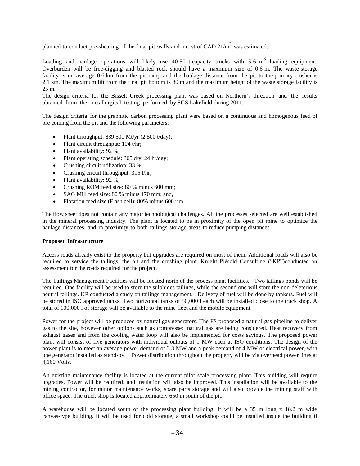planned to conduct pre-shearing of the final pit walls and a cost of CAD  $21/m^2$  was estimated.

Loading and haulage operations will likely use 40-50 t-capacity trucks with 5-6  $m<sup>3</sup>$  loading equipment. Overburden will be free-digging and blasted rock should have a maximum size of 0.6 m. The waste storage facility is on average 0.6 km from the pit ramp and the haulage distance from the pit to the primary crusher is 2.1 km. The maximum lift from the final pit bottom is 80 m and the maximum height of the waste storage facility is 25 m.

The design criteria for the Bissett Creek processing plant was based on Northern's direction and the results obtained from the metallurgical testing performed by SGS Lakefield during 2011.

The design criteria for the graphitic carbon processing plant were based on a continuous and homogenous feed of ore coming from the pit and the following parameters:

- Plant throughput: 839,500 Mt/yr (2,500 t/day);
- Plant circuit throughput: 104 t/hr;
- Plant availability: 92 %;
- Plant operating schedule:  $365 \frac{d}{y}$ ,  $24 \frac{hr}{day}$ ;
- Crushing circuit utilization: 33 %;
- Crushing circuit throughput: 315 t/hr;
- Plant availability: 92 %;
- Crushing ROM feed size: 80 % minus 600 mm;
- SAG Mill feed size: 80 % minus 170 mm; and,
- Flotation feed size (Flash cell): 80% minus 600 µm.

The flow sheet does not contain any major technological challenges. All the processes selected are well established in the mineral processing industry. The plant is located to be in proximity of the open pit mine to optimize the haulage distances, and in proximity to both tailings storage areas to reduce pumping distances.

## **Proposed Infrastructure**

Access roads already exist to the property but upgrades are required on most of them. Additional roads will also be required to service the tailings, the pit and the crushing plant. Knight Piésold Consulting ("KP")conducted an assessment for the roads required for the project.

The Tailings Management Facilities will be located north of the process plant facilities. Two tailings ponds will be required. One facility will be used to store the sulphides tailings, while the second one will store the non-deleterious neutral tailings. KP conducted a study on tailings management. Delivery of fuel will be done by tankers. Fuel will be stored in ISO approved tanks. Two horizontal tanks of 50,000 l each will be installed close to the truck shop. A total of 100,000 l of storage will be available to the mine fleet and the mobile equipment.

Power for the project will be produced by natural gas generators. The FS proposed a natural gas pipeline to deliver gas to the site, however other options such as compressed natural gas are being considered. Heat recovery from exhaust gases and from the cooling water loop will also be implemented for costs savings. The proposed power plant will consist of five generators with individual outputs of 1 MW each at ISO conditions. The design of the power plant is to meet an average power demand of 3.3 MW and a peak demand of 4 MW of electrical power, with one generator installed as stand-by. Power distribution throughout the property will be via overhead power lines at 4,160 Volts.

An existing maintenance facility is located at the current pilot scale processing plant. This building will require upgrades. Power will be required, and insulation will also be improved. This installation will be available to the mining contractor, for minor maintenance works, spare parts storage and will also provide the mining staff with office space. The truck shop is located approximately 650 m south of the pit.

A warehouse will be located south of the processing plant building. It will be a 35 m long x 18.2 m wide canvas-type building. It will be used for cold storage; a small workshop could be installed inside the building if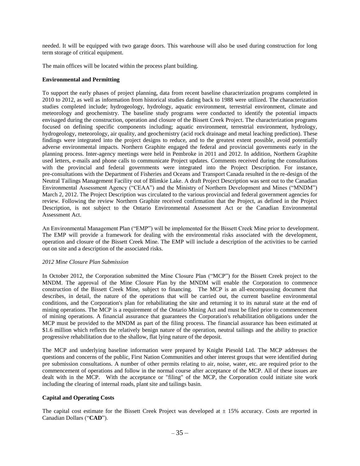needed. It will be equipped with two garage doors. This warehouse will also be used during construction for long term storage of critical equipment.

The main offices will be located within the process plant building.

## **Environmental and Permitting**

To support the early phases of project planning, data from recent baseline characterization programs completed in 2010 to 2012, as well as information from historical studies dating back to 1988 were utilized. The characterization studies completed include; hydrogeology, hydrology, aquatic environment, terrestrial environment, climate and meteorology and geochemistry. The baseline study programs were conducted to identify the potential impacts envisaged during the construction, operation and closure of the Bissett Creek Project. The characterization programs focused on defining specific components including; aquatic environment, terrestrial environment, hydrology, hydrogeology, meteorology, air quality, and geochemistry (acid rock drainage and metal leaching prediction). These findings were integrated into the project designs to reduce, and to the greatest extent possible, avoid potentially adverse environmental impacts. Northern Graphite engaged the federal and provincial governments early in the planning process. Inter-agency meetings were held in Pembroke in 2011 and 2012. In addition, Northern Graphite used letters, e-mails and phone calls to communicate Project updates. Comments received during the consultations with the provincial and federal governments were integrated into the Project Description. For instance, pre-consultations with the Department of Fisheries and Oceans and Transport Canada resulted in the re-design of the Neutral Tailings Management Facility out of Blimkie Lake. A draft Project Description was sent out to the Canadian Environmental Assessment Agency ("CEAA") and the Ministry of Northern Development and Mines ("MNDM") March 2, 2012. The Project Description was circulated to the various provincial and federal government agencies for review. Following the review Northern Graphite received confirmation that the Project, as defined in the Project Description, is not subject to the Ontario Environmental Assessment Act or the Canadian Environmental Assessment Act.

An Environmental Management Plan ("EMP") will be implemented for the Bissett Creek Mine prior to development. The EMP will provide a framework for dealing with the environmental risks associated with the development, operation and closure of the Bissett Creek Mine. The EMP will include a description of the activities to be carried out on site and a description of the associated risks.

## *2012 Mine Closure Plan Submission*

In October 2012, the Corporation submitted the Mine Closure Plan ("MCP") for the Bissett Creek project to the MNDM. The approval of the Mine Closure Plan by the MNDM will enable the Corporation to commence construction of the Bissett Creek Mine, subject to financing. The MCP is an all-encompassing document that describes, in detail, the nature of the operations that will be carried out, the current baseline environmental conditions, and the Corporation's plan for rehabilitating the site and returning it to its natural state at the end of mining operations. The MCP is a requirement of the Ontario Mining Act and must be filed prior to commencement of mining operations. A financial assurance that guarantees the Corporation's rehabilitation obligations under the MCP must be provided to the MNDM as part of the filing process. The financial assurance has been estimated at \$1.6 million which reflects the relatively benign nature of the operation, neutral tailings and the ability to practice progressive rehabilitation due to the shallow, flat lying nature of the deposit.

The MCP and underlying baseline information were prepared by Knight Piesold Ltd. The MCP addresses the questions and concerns of the public, First Nation Communities and other interest groups that were identified during pre submission consultations. A number of other permits relating to air, noise, water, etc. are required prior to the commencement of operations and follow in the normal course after acceptance of the MCP. All of these issues are dealt with in the MCP. With the acceptance or "filing" of the MCP, the Corporation could initiate site work including the clearing of internal roads, plant site and tailings basin.

## **Capital and Operating Costs**

The capital cost estimate for the Bissett Creek Project was developed at  $\pm$  15% accuracy. Costs are reported in Canadian Dollars ("**CAD**").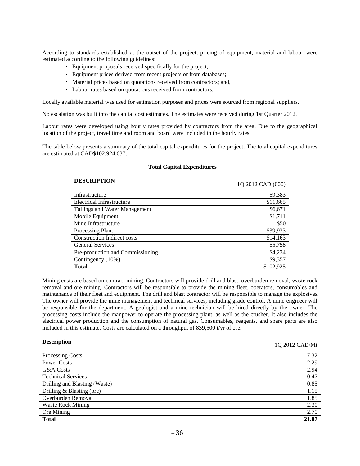According to standards established at the outset of the project, pricing of equipment, material and labour were estimated according to the following guidelines:

- Equipment proposals received specifically for the project;
- Equipment prices derived from recent projects or from databases;
- Material prices based on quotations received from contractors; and,
- Labour rates based on quotations received from contractors.

Locally available material was used for estimation purposes and prices were sourced from regional suppliers.

No escalation was built into the capital cost estimates. The estimates were received during 1st Quarter 2012.

Labour rates were developed using hourly rates provided by contractors from the area. Due to the geographical location of the project, travel time and room and board were included in the hourly rates.

The table below presents a summary of the total capital expenditures for the project. The total capital expenditures are estimated at CAD\$102,924,637:

| <b>DESCRIPTION</b>                 | 1Q 2012 CAD (000) |
|------------------------------------|-------------------|
| Infrastructure                     | \$9,383           |
| Electrical Infrastructure          | \$11,665          |
| Tailings and Water Management      | \$6,671           |
| Mobile Equipment                   | \$1,711           |
| Mine Infrastructure                | \$50              |
| <b>Processing Plant</b>            | \$39,933          |
| <b>Construction Indirect costs</b> | \$14,163          |
| <b>General Services</b>            | \$5,758           |
| Pre-production and Commissioning   | \$4,234           |
| Contingency (10%)                  | \$9,357           |
| <b>Total</b>                       | \$102,925         |

#### **Total Capital Expenditures**

Mining costs are based on contract mining. Contractors will provide drill and blast, overburden removal, waste rock removal and ore mining. Contractors will be responsible to provide the mining fleet, operators, consumables and maintenance of their fleet and equipment. The drill and blast contractor will be responsible to manage the explosives. The owner will provide the mine management and technical services, including grade control. A mine engineer will be responsible for the department. A geologist and a mine technician will be hired directly by the owner. The processing costs include the manpower to operate the processing plant, as well as the crusher. It also includes the electrical power production and the consumption of natural gas. Consumables, reagents, and spare parts are also included in this estimate. Costs are calculated on a throughput of 839,500 t/yr of ore.

| <b>Description</b>            | 1Q 2012 CAD/Mt |
|-------------------------------|----------------|
| Processing Costs              | 7.32           |
| <b>Power Costs</b>            | 2.29           |
| G&A Costs                     | 2.94           |
| <b>Technical Services</b>     | 0.47           |
| Drilling and Blasting (Waste) | 0.85           |
| Drilling & Blasting (ore)     | 1.15           |
| Overburden Removal            | 1.85           |
| <b>Waste Rock Mining</b>      | 2.30           |
| Ore Mining                    | 2.70           |
| <b>Total</b>                  | 21.87          |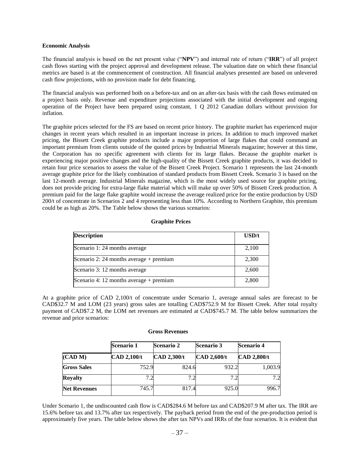#### **Economic Analysis**

The financial analysis is based on the net present value ("**NPV**") and internal rate of return ("**IRR**") of all project cash flows starting with the project approval and development release. The valuation date on which these financial metrics are based is at the commencement of construction. All financial analyses presented are based on unlevered cash flow projections, with no provision made for debt financing.

The financial analysis was performed both on a before-tax and on an after-tax basis with the cash flows estimated on a project basis only. Revenue and expenditure projections associated with the initial development and ongoing operation of the Project have been prepared using constant, 1 Q 2012 Canadian dollars without provision for inflation.

The graphite prices selected for the FS are based on recent price history. The graphite market has experienced major changes in recent years which resulted in an important increase in prices. In addition to much improved market pricing, the Bissett Creek graphite products include a major proportion of large flakes that could command an important premium from clients outside of the quoted prices by Industrial Minerals magazine; however at this time, the Corporation has no specific agreement with clients for its large flakes. Because the graphite market is experiencing major positive changes and the high-quality of the Bissett Creek graphite products, it was decided to retain four price scenarios to assess the value of the Bissett Creek Project. Scenario 1 represents the last 24-month average graphite price for the likely combination of standard products from Bissett Creek. Scenario 3 is based on the last 12-month average. Industrial Minerals magazine, which is the most widely used source for graphite pricing, does not provide pricing for extra-large flake material which will make up over 50% of Bissett Creek production. A premium paid for the large flake graphite would increase the average realized price for the entire production by USD 200/t of concentrate in Scenarios 2 and 4 representing less than 10%. According to Northern Graphite, this premium could be as high as 20%. The Table below shows the various scenarios:

#### **Graphite Prices**

| <b>Description</b>                        | USD/t |
|-------------------------------------------|-------|
| Scenario 1:24 months average              | 2,100 |
| Scenario 2: 24 months average $+$ premium | 2,300 |
| Scenario 3: 12 months average             | 2,600 |
| Scenario 4: 12 months average $+$ premium | 2,800 |

At a graphite price of CAD 2,100/t of concentrate under Scenario 1, average annual sales are forecast to be CAD\$32.7 M and LOM (23 years) gross sales are totalling CAD\$752.9 M for Bissett Creek. After total royalty payment of CAD\$7.2 M, the LOM net revenues are estimated at CAD\$745.7 M. The table below summarizes the revenue and price scenarios:

#### **Gross Revenues**

|                     | <b>Scenario 1</b>  | <b>Scenario 2</b>  | <b>Scenario 3</b>  | <b>Scenario 4</b>  |
|---------------------|--------------------|--------------------|--------------------|--------------------|
| (CAD M)             | <b>CAD 2,100/t</b> | <b>CAD 2,300/t</b> | <b>CAD 2,600/t</b> | <b>CAD 2,800/t</b> |
| <b>Gross Sales</b>  | 752.9              | 824.6              | 932.2              | 1,003.9            |
| <b>Royalty</b>      | 7.2                | 7.2                |                    | 7.2                |
| <b>Net Revenues</b> | 745.7              | 817.4              | 925.0              | 996.7              |

Under Scenario 1, the undiscounted cash flow is CAD\$284.6 M before tax and CAD\$207.9 M after tax. The IRR are 15.6% before tax and 13.7% after tax respectively. The payback period from the end of the pre-production period is approximately five years. The table below shows the after tax NPVs and IRRs of the four scenarios. It is evident that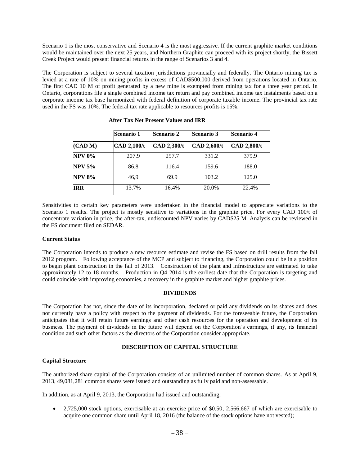Scenario 1 is the most conservative and Scenario 4 is the most aggressive. If the current graphite market conditions would be maintained over the next 25 years, and Northern Graphite can proceed with its project shortly, the Bissett Creek Project would present financial returns in the range of Scenarios 3 and 4.

The Corporation is subject to several taxation jurisdictions provincially and federally. The Ontario mining tax is levied at a rate of 10% on mining profits in excess of CAD\$500,000 derived from operations located in Ontario. The first CAD 10 M of profit generated by a new mine is exempted from mining tax for a three year period. In Ontario, corporations file a single combined income tax return and pay combined income tax instalments based on a corporate income tax base harmonized with federal definition of corporate taxable income. The provincial tax rate used in the FS was 10%. The federal tax rate applicable to resources profits is 15%.

|               | <b>Scenario 1</b>  | <b>Scenario 2</b>  | <b>Scenario 3</b>  | Scenario 4         |
|---------------|--------------------|--------------------|--------------------|--------------------|
| (CAD M)       | <b>CAD 2,100/t</b> | <b>CAD 2,300/t</b> | <b>CAD 2,600/t</b> | <b>CAD 2,800/t</b> |
| <b>NPV 0%</b> | 207.9              | 257.7              | 331.2              | 379.9              |
| <b>NPV 5%</b> | 86,8               | 116.4              | 159.6              | 188.0              |
| <b>NPV 8%</b> | 46,9               | 69.9               | 103.2              | 125.0              |
| IRR           | 13.7%              | 16.4%              | 20.0%              | 22.4%              |

**After Tax Net Present Values and IRR**

Sensitivities to certain key parameters were undertaken in the financial model to appreciate variations to the Scenario 1 results. The project is mostly sensitive to variations in the graphite price. For every CAD 100/t of concentrate variation in price, the after-tax, undiscounted NPV varies by CAD\$25 M. Analysis can be reviewed in the FS document filed on SEDAR.

## **Current Status**

The Corporation intends to produce a new resource estimate and revise the FS based on drill results from the fall 2012 program. Following acceptance of the MCP and subject to financing, the Corporation could be in a position to begin plant construction in the fall of 2013. Construction of the plant and infrastructure are estimated to take approximately 12 to 18 months. Production in Q4 2014 is the earliest date that the Corporation is targeting and could coincide with improving economies, a recovery in the graphite market and higher graphite prices.

#### **DIVIDENDS**

<span id="page-39-0"></span>The Corporation has not, since the date of its incorporation, declared or paid any dividends on its shares and does not currently have a policy with respect to the payment of dividends. For the foreseeable future, the Corporation anticipates that it will retain future earnings and other cash resources for the operation and development of its business. The payment of dividends in the future will depend on the Corporation's earnings, if any, its financial condition and such other factors as the directors of the Corporation consider appropriate.

## **DESCRIPTION OF CAPITAL STRUCTURE**

## <span id="page-39-1"></span>**Capital Structure**

The authorized share capital of the Corporation consists of an unlimited number of common shares. As at April 9, 2013, 49,081,281 common shares were issued and outstanding as fully paid and non-assessable.

In addition, as at April 9, 2013, the Corporation had issued and outstanding:

 2,725,000 stock options, exercisable at an exercise price of \$0.50, 2,566,667 of which are exercisable to acquire one common share until April 18, 2016 (the balance of the stock options have not vested);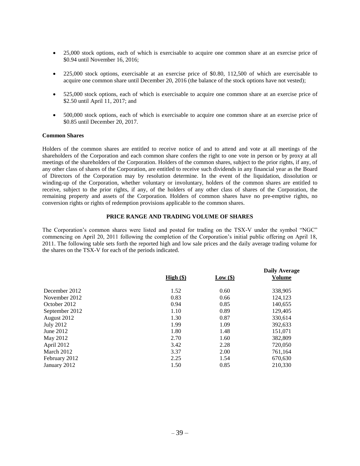- 25,000 stock options, each of which is exercisable to acquire one common share at an exercise price of \$0.94 until November 16, 2016;
- 225,000 stock options, exercisable at an exercise price of \$0.80, 112,500 of which are exercisable to acquire one common share until December 20, 2016 (the balance of the stock options have not vested);
- 525,000 stock options, each of which is exercisable to acquire one common share at an exercise price of \$2.50 until April 11, 2017; and
- 500,000 stock options, each of which is exercisable to acquire one common share at an exercise price of \$0.85 until December 20, 2017.

#### **Common Shares**

Holders of the common shares are entitled to receive notice of and to attend and vote at all meetings of the shareholders of the Corporation and each common share confers the right to one vote in person or by proxy at all meetings of the shareholders of the Corporation. Holders of the common shares, subject to the prior rights, if any, of any other class of shares of the Corporation, are entitled to receive such dividends in any financial year as the Board of Directors of the Corporation may by resolution determine. In the event of the liquidation, dissolution or winding-up of the Corporation, whether voluntary or involuntary, holders of the common shares are entitled to receive, subject to the prior rights, if any, of the holders of any other class of shares of the Corporation, the remaining property and assets of the Corporation. Holders of common shares have no pre-emptive rights, no conversion rights or rights of redemption provisions applicable to the common shares.

#### **PRICE RANGE AND TRADING VOLUME OF SHARES**

<span id="page-40-0"></span>The Corporation's common shares were listed and posted for trading on the TSX-V under the symbol "NGC" commencing on April 20, 2011 following the completion of the Corporation's initial public offering on April 18, 2011. The following table sets forth the reported high and low sale prices and the daily average trading volume for the shares on the TSX-V for each of the periods indicated.

<span id="page-40-1"></span>

|                | High (§) | Low(\$) | <b>Daily Average</b><br><b>Volume</b> |
|----------------|----------|---------|---------------------------------------|
| December 2012  | 1.52     | 0.60    | 338,905                               |
| November 2012  | 0.83     | 0.66    | 124,123                               |
| October 2012   | 0.94     | 0.85    | 140,655                               |
| September 2012 | 1.10     | 0.89    | 129,405                               |
| August 2012    | 1.30     | 0.87    | 330,614                               |
| July 2012      | 1.99     | 1.09    | 392,633                               |
| June 2012      | 1.80     | 1.48    | 151.071                               |
| May 2012       | 2.70     | 1.60    | 382,809                               |
| April 2012     | 3.42     | 2.28    | 720,050                               |
| March 2012     | 3.37     | 2.00    | 761,164                               |
| February 2012  | 2.25     | 1.54    | 670,630                               |
| January 2012   | 1.50     | 0.85    | 210,330                               |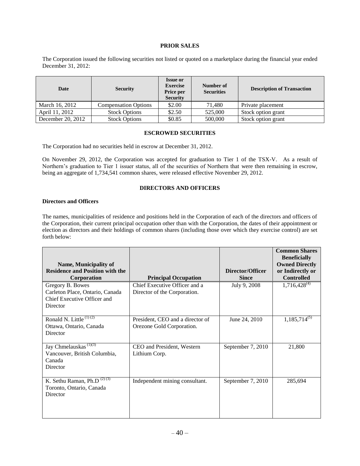## **PRIOR SALES**

The Corporation issued the following securities not listed or quoted on a marketplace during the financial year ended December 31, 2012:

| Date              | <b>Security</b>             | <b>Issue or</b><br><b>Exercise</b><br>Price per<br><b>Security</b> | Number of<br><b>Securities</b> | <b>Description of Transaction</b> |
|-------------------|-----------------------------|--------------------------------------------------------------------|--------------------------------|-----------------------------------|
| March 16, 2012    | <b>Compensation Options</b> | \$2.00                                                             | 71.480                         | Private placement                 |
| April 11, 2012    | <b>Stock Options</b>        | \$2.50                                                             | 525,000                        | Stock option grant                |
| December 20, 2012 | <b>Stock Options</b>        | \$0.85                                                             | 500,000                        | Stock option grant                |

## **ESCROWED SECURITIES**

<span id="page-41-0"></span>The Corporation had no securities held in escrow at December 31, 2012.

<span id="page-41-1"></span>On November 29, 2012, the Corporation was accepted for graduation to Tier 1 of the TSX-V. As a result of Northern's graduation to Tier 1 issuer status, all of the securities of Northern that were then remaining in escrow, being an aggregate of 1,734,541 common shares, were released effective November 29, 2012.

## **DIRECTORS AND OFFICERS**

#### **Directors and Officers**

The names, municipalities of residence and positions held in the Corporation of each of the directors and officers of the Corporation, their current principal occupation other than with the Corporation, the dates of their appointment or election as directors and their holdings of common shares (including those over which they exercise control) are set forth below:

| Name, Municipality of<br><b>Residence and Position with the</b>                                |                                                               | Director/Officer  | <b>Common Shares</b><br><b>Beneficially</b><br><b>Owned Directly</b><br>or Indirectly or |
|------------------------------------------------------------------------------------------------|---------------------------------------------------------------|-------------------|------------------------------------------------------------------------------------------|
| Corporation                                                                                    | <b>Principal Occupation</b>                                   | <b>Since</b>      | <b>Controlled</b>                                                                        |
| Gregory B. Bowes<br>Carleton Place, Ontario, Canada<br>Chief Executive Officer and<br>Director | Chief Executive Officer and a<br>Director of the Corporation. | July 9, 2008      | $1,716,428^{(4)}$                                                                        |
| Ronald N. Little $(1)(2)$<br>Ottawa, Ontario, Canada<br>Director                               | President, CEO and a director of<br>Orezone Gold Corporation. | June 24, 2010     | $1,185,714^{(5)}$                                                                        |
| Jay Chmelauskas <sup>(1)(3)</sup><br>Vancouver, British Columbia,<br>Canada<br>Director        | CEO and President, Western<br>Lithium Corp.                   | September 7, 2010 | 21,800                                                                                   |
| K. Sethu Raman, Ph.D $(2)(3)$<br>Toronto, Ontario, Canada<br>Director                          | Independent mining consultant.                                | September 7, 2010 | 285,694                                                                                  |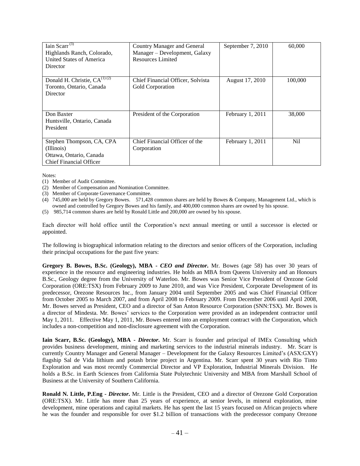| Iain Scarr <sup>(3)</sup><br>Highlands Ranch, Colorado,<br>United States of America<br>Director      | Country Manager and General<br>Manager - Development, Galaxy<br>Resources Limited | September 7, 2010 | 60,000          |
|------------------------------------------------------------------------------------------------------|-----------------------------------------------------------------------------------|-------------------|-----------------|
| Donald H. Christie, $CA^{(1)(2)}$<br>Toronto, Ontario, Canada<br>Director                            | Chief Financial Officer, Solvista<br>Gold Corporation                             | August 17, 2010   | 100,000         |
| Don Baxter<br>Huntsville, Ontario, Canada<br>President                                               | President of the Corporation                                                      | February 1, 2011  | 38,000          |
| Stephen Thompson, CA, CPA<br>(Illinois)<br>Ottawa, Ontario, Canada<br><b>Chief Financial Officer</b> | Chief Financial Officer of the<br>Corporation                                     | February 1, 2011  | N <sub>il</sub> |

Notes:

- (1) Member of Audit Committee.
- (2) Member of Compensation and Nomination Committee.
- (3) Member of Corporate Governance Committee.
- (4) 745,000 are held by Gregory Bowes. 571,428 common shares are held by Bowes & Company, Management Ltd., which is owned and controlled by Gregory Bowes and his family, and 400,000 common shares are owned by his spouse.
- (5) 985,714 common shares are held by Ronald Little and 200,000 are owned by his spouse.

Each director will hold office until the Corporation's next annual meeting or until a successor is elected or appointed.

The following is biographical information relating to the directors and senior officers of the Corporation, including their principal occupations for the past five years:

**Gregory B. Bowes, B.Sc. (Geology), MBA -** *CEO and Director***.** Mr. Bowes (age 58) has over 30 years of experience in the resource and engineering industries. He holds an MBA from Queens University and an Honours B.Sc., Geology degree from the University of Waterloo. Mr. Bowes was Senior Vice President of Orezone Gold Corporation (ORE:TSX) from February 2009 to June 2010, and was Vice President, Corporate Development of its predecessor, Orezone Resources Inc., from January 2004 until September 2005 and was Chief Financial Officer from October 2005 to March 2007, and from April 2008 to February 2009. From December 2006 until April 2008, Mr. Bowes served as President, CEO and a director of San Anton Resource Corporation (SNN:TSX). Mr. Bowes is a director of Mindesta. Mr. Bowes' services to the Corporation were provided as an independent contractor until May 1, 2011. Effective May 1, 2011, Mr. Bowes entered into an employment contract with the Corporation, which includes a non-competition and non-disclosure agreement with the Corporation.

**Iain Scarr, B.Sc. (Geology), MBA -** *Director***.** Mr. Scarr is founder and principal of IMEx Consulting which provides business development, mining and marketing services to the industrial minerals industry. Mr. Scarr is currently Country Manager and General Manager – Development for the Galaxy Resources Limited's (ASX:GXY) flagship Sal de Vida lithium and potash brine project in Argentina. Mr. Scarr spent 30 years with Rio Tinto Exploration and was most recently Commercial Director and VP Exploration, Industrial Minerals Division. He holds a B.Sc. in Earth Sciences from California State Polytechnic University and MBA from Marshall School of Business at the University of Southern California.

**Ronald N. Little, P.Eng -** *Director***.** Mr. Little is the President, CEO and a director of Orezone Gold Corporation (ORE:TSX). Mr. Little has more than 25 years of experience, at senior levels, in mineral exploration, mine development, mine operations and capital markets. He has spent the last 15 years focused on African projects where he was the founder and responsible for over \$1.2 billion of transactions with the predecessor company Orezone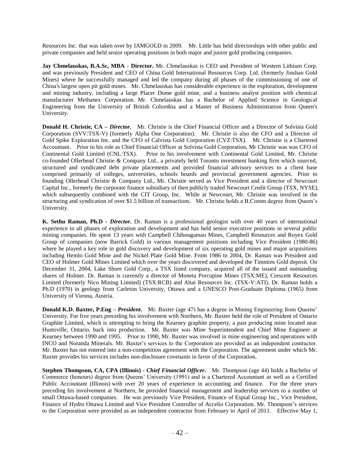Resources Inc. that was taken over by IAMGOLD in 2009. Mr. Little has held directorships with other public and private companies and held senior operating positions in both major and junior gold producing companies.

**Jay Chmelauskas, B.A.Sc, MBA - Director.** Mr. Chmelauskas is CEO and President of Western Lithium Corp. and was previously President and CEO of China Gold International Resources Corp. Ltd. (formerly Jinshan Gold Mines) where he successfully managed and led the company during all phases of the commissioning of one of China's largest open pit gold mines. Mr. Chmelauskas has considerable experience in the exploration, development and mining industry, including a large Placer Dome gold mine, and a business analyst position with chemical manufacturer Methanex Corporation. Mr. Chmelauskas has a Bachelor of Applied Science in Geological Engineering from the University of British Columbia and a Master of Business Administration from Queen's University.

**Donald H. Christie, CA –** *Director***.** Mr. Christie is the Chief Financial Officer and a Director of Solvista Gold Corporation (SVV:TSX-V) (formerly Alpha One Corporation). Mr. Christie is also the CFO and a Director of Gold Spike Exploration Inc. and the CFO of Calvista Gold Corporation (CVZ:TSX). Mr. Christie is a Chartered Accountant. Prior to his role as Chief Financial Officer at Solvista Gold Corporation, Mr Christie was was CFO of Continental Gold Limited (CNL:TSX). Prior to his involvement with Continental Gold Limited, Mr. Christie co-founded Ollerhead Christie & Company Ltd., a privately held Toronto investment banking firm which sourced, structured and syndicated debt private placements and provided financial advisory services to a client base comprised primarily of colleges, universities, schools boards and provincial government agencies. Prior to founding Ollerhead Christie & Company Ltd., Mr. Christie served as Vice President and a director of Newcourt Capital Inc., formerly the corporate finance subsidiary of then publicly traded Newcourt Credit Group (TSX, NYSE), which subsequently combined with the CIT Group, Inc. While at Newcourt, Mr. Christie was involved in the structuring and syndication of over \$1.5 billion of transactions. Mr. Christie holds a B.Comm degree from Queen's University.

**K. Sethu Raman, Ph.D -** *Director***.** Dr. Raman is a professional geologist with over 40 years of international experience in all phases of exploration and development and has held senior executive positions in several public mining companies. He spent 13 years with Campbell Chibougamau Mines, Campbell Resources and Royex Gold Group of companies (now Barrick Gold) in various management positions including Vice President (1980-86) where he played a key role in gold discovery and development of six operating gold mines and major acquisitions including Hemlo Gold Mine and the Nickel Plate Gold Mine. From 1986 to 2004, Dr. Raman was President and CEO of Holmer Gold Mines Limited which over the years discovered and developed the Timmins Gold deposit. On December 31, 2004, Lake Shore Gold Corp., a TSX listed company, acquired all of the issued and outstanding shares of Holmer. Dr. Raman is currently a director of Moneta Porcupine Mines (TSX:ME), Crescent Resources Limited (formerly Nico Mining Limited) (TSX:RCB) and Altai Resources Inc. (TSX-V:ATI). Dr. Raman holds a Ph.D (1970) in geology from Carleton University, Ottawa and a UNESCO Post-Graduate Diploma (1965) from University of Vienna, Austria.

**Donald K.D. Baxter, P.Eng –** *President***.** Mr. Baxter (age 47) has a degree in Mining Engineering from Queens' University. For five years preceding his involvement with Northern, Mr. Baxter held the role of President of Ontario Graphite Limited, which is attempting to bring the Kearney graphite property, a past producing mine located near Huntsville, Ontario, back into production. Mr. Baxter was Mine Superintendent and Chief Mine Engineer at Kearney between 1990 and 1995. Prior to 1990, Mr. Baxter was involved in mine engineering and operations with INCO and Noranda Minerals. Mr. Baxter's services to the Corporation are provided as an independent contractor. Mr. Baxter has not entered into a non-competition agreement with the Corporation. The agreement under which Mr. Baxter provides his services includes non-disclosure covenants in favor of the Corporation.

**Stephen Thompson, CA, CPA (Illinois) -** *Chief Financial Officer.* Mr. Thompson (age 44) holds a Bachelor of Commerce (honours) degree from Queens' University (1991) and is a Chartered Accountant as well as a Certified Public Accountant (Illinois) with over 20 years of experience in accounting and finance. For the three years preceding his involvement at Northern, he provided financial management and leadership services to a number of small Ottawa-based companies. He was previously Vice President, Finance of Espial Group Inc., Vice President, Finance of Hydro Ottawa Limited and Vice President Controller of Accelio Corporation. Mr. Thompson's services to the Corporation were provided as an independent contractor from February to April of 2011. Effective May 1,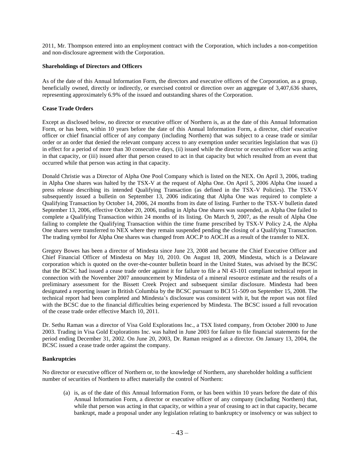2011, Mr. Thompson entered into an employment contract with the Corporation, which includes a non-competition and non-disclosure agreement with the Corporation.

#### **Shareholdings of Directors and Officers**

As of the date of this Annual Information Form, the directors and executive officers of the Corporation, as a group, beneficially owned, directly or indirectly, or exercised control or direction over an aggregate of 3,407,636 shares, representing approximately 6.9% of the issued and outstanding shares of the Corporation.

## **Cease Trade Orders**

Except as disclosed below, no director or executive officer of Northern is, as at the date of this Annual Information Form, or has been, within 10 years before the date of this Annual Information Form, a director, chief executive officer or chief financial officer of any company (including Northern) that was subject to a cease trade or similar order or an order that denied the relevant company access to any exemption under securities legislation that was (i) in effect for a period of more than 30 consecutive days, (ii) issued while the director or executive officer was acting in that capacity, or (iii) issued after that person ceased to act in that capacity but which resulted from an event that occurred while that person was acting in that capacity.

Donald Christie was a Director of Alpha One Pool Company which is listed on the NEX. On April 3, 2006, trading in Alpha One shares was halted by the TSX-V at the request of Alpha One. On April 5, 2006 Alpha One issued a press release describing its intended Qualifying Transaction (as defined in the TSX-V Policies). The TSX-V subsequently issued a bulletin on September 13, 2006 indicating that Alpha One was required to complete a Qualifying Transaction by October 14, 2006, 24 months from its date of listing. Further to the TSX-V bulletin dated September 13, 2006, effective October 20, 2006, trading in Alpha One shares was suspended, as Alpha One failed to complete a Qualifying Transaction within 24 months of its listing. On March 9, 2007, as the result of Alpha One failing to complete the Qualifying Transaction within the time frame prescribed by TSX-V Policy 2.4, the Alpha One shares were transferred to NEX where they remain suspended pending the closing of a Qualifying Transaction. The trading symbol for Alpha One shares was changed from AOC.P to AOC.H as a result of the transfer to NEX.

Gregory Bowes has been a director of Mindesta since June 23, 2008 and became the Chief Executive Officer and Chief Financial Officer of Mindesta on May 10, 2010. On August 18, 2009, Mindesta, which is a Delaware corporation which is quoted on the over-the-counter bulletin board in the United States, was advised by the BCSC that the BCSC had issued a cease trade order against it for failure to file a NI 43-101 compliant technical report in connection with the November 2007 announcement by Mindesta of a mineral resource estimate and the results of a preliminary assessment for the Bissett Creek Project and subsequent similar disclosure. Mindesta had been designated a reporting issuer in British Columbia by the BCSC pursuant to BCI 51-509 on September 15, 2008. The technical report had been completed and Mindesta's disclosure was consistent with it, but the report was not filed with the BCSC due to the financial difficulties being experienced by Mindesta. The BCSC issued a full revocation of the cease trade order effective March 10, 2011.

Dr. Sethu Raman was a director of Visa Gold Explorations Inc., a TSX listed company, from October 2000 to June 2003. Trading in Visa Gold Explorations Inc. was halted in June 2003 for failure to file financial statements for the period ending December 31, 2002. On June 20, 2003, Dr. Raman resigned as a director. On January 13, 2004, the BCSC issued a cease trade order against the company.

## **Bankruptcies**

No director or executive officer of Northern or, to the knowledge of Northern, any shareholder holding a sufficient number of securities of Northern to affect materially the control of Northern:

(a) is, as of the date of this Annual Information Form, or has been within 10 years before the date of this Annual Information Form, a director or executive officer of any company (including Northern) that, while that person was acting in that capacity, or within a year of ceasing to act in that capacity, became bankrupt, made a proposal under any legislation relating to bankruptcy or insolvency or was subject to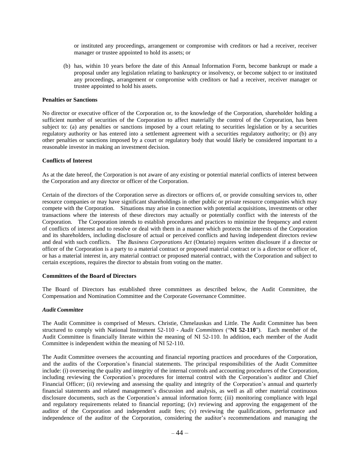or instituted any proceedings, arrangement or compromise with creditors or had a receiver, receiver manager or trustee appointed to hold its assets; or

(b) has, within 10 years before the date of this Annual Information Form, become bankrupt or made a proposal under any legislation relating to bankruptcy or insolvency, or become subject to or instituted any proceedings, arrangement or compromise with creditors or had a receiver, receiver manager or trustee appointed to hold his assets.

#### **Penalties or Sanctions**

No director or executive officer of the Corporation or, to the knowledge of the Corporation, shareholder holding a sufficient number of securities of the Corporation to affect materially the control of the Corporation, has been subject to: (a) any penalties or sanctions imposed by a court relating to securities legislation or by a securities regulatory authority or has entered into a settlement agreement with a securities regulatory authority; or (b) any other penalties or sanctions imposed by a court or regulatory body that would likely be considered important to a reasonable investor in making an investment decision.

#### **Conflicts of Interest**

As at the date hereof, the Corporation is not aware of any existing or potential material conflicts of interest between the Corporation and any director or officer of the Corporation.

Certain of the directors of the Corporation serve as directors or officers of, or provide consulting services to, other resource companies or may have significant shareholdings in other public or private resource companies which may compete with the Corporation. Situations may arise in connection with potential acquisitions, investments or other transactions where the interests of these directors may actually or potentially conflict with the interests of the Corporation. The Corporation intends to establish procedures and practices to minimize the frequency and extent of conflicts of interest and to resolve or deal with them in a manner which protects the interests of the Corporation and its shareholders, including disclosure of actual or perceived conflicts and having independent directors review and deal with such conflicts. The *Business Corporations Act* (Ontario) requires written disclosure if a director or officer of the Corporation is a party to a material contract or proposed material contract or is a director or officer of, or has a material interest in, any material contract or proposed material contract, with the Corporation and subject to certain exceptions, requires the director to abstain from voting on the matter.

#### **Committees of the Board of Directors**

The Board of Directors has established three committees as described below, the Audit Committee, the Compensation and Nomination Committee and the Corporate Governance Committee.

#### *Audit Committee*

The Audit Committee is comprised of Messrs. Christie, Chmelauskas and Little. The Audit Committee has been structured to comply with National Instrument 52-110 - *Audit Committees* ("**NI 52-110**"). Each member of the Audit Committee is financially literate within the meaning of NI 52-110. In addition, each member of the Audit Committee is independent within the meaning of NI 52-110.

The Audit Committee oversees the accounting and financial reporting practices and procedures of the Corporation, and the audits of the Corporation's financial statements. The principal responsibilities of the Audit Committee include: (i) overseeing the quality and integrity of the internal controls and accounting procedures of the Corporation, including reviewing the Corporation's procedures for internal control with the Corporation's auditor and Chief Financial Officer; (ii) reviewing and assessing the quality and integrity of the Corporation's annual and quarterly financial statements and related management's discussion and analysis, as well as all other material continuous disclosure documents, such as the Corporation's annual information form; (iii) monitoring compliance with legal and regulatory requirements related to financial reporting; (iv) reviewing and approving the engagement of the auditor of the Corporation and independent audit fees; (v) reviewing the qualifications, performance and independence of the auditor of the Corporation, considering the auditor's recommendations and managing the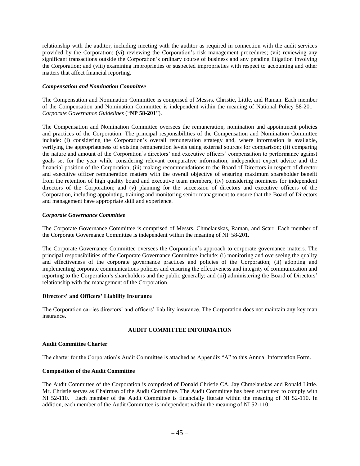relationship with the auditor, including meeting with the auditor as required in connection with the audit services provided by the Corporation; (vi) reviewing the Corporation's risk management procedures; (vii) reviewing any significant transactions outside the Corporation's ordinary course of business and any pending litigation involving the Corporation; and (viii) examining improprieties or suspected improprieties with respect to accounting and other matters that affect financial reporting.

## *Compensation and Nomination Committee*

The Compensation and Nomination Committee is comprised of Messrs. Christie, Little, and Raman. Each member of the Compensation and Nomination Committee is independent within the meaning of National Policy 58-201 – *Corporate Governance Guidelines* ("**NP 58-201**").

The Compensation and Nomination Committee oversees the remuneration, nomination and appointment policies and practices of the Corporation. The principal responsibilities of the Compensation and Nomination Committee include: (i) considering the Corporation's overall remuneration strategy and, where information is available, verifying the appropriateness of existing remuneration levels using external sources for comparison; (ii) comparing the nature and amount of the Corporation's directors' and executive officers' compensation to performance against goals set for the year while considering relevant comparative information, independent expert advice and the financial position of the Corporation; (iii) making recommendations to the Board of Directors in respect of director and executive officer remuneration matters with the overall objective of ensuring maximum shareholder benefit from the retention of high quality board and executive team members; (iv) considering nominees for independent directors of the Corporation; and (v) planning for the succession of directors and executive officers of the Corporation, including appointing, training and monitoring senior management to ensure that the Board of Directors and management have appropriate skill and experience.

## *Corporate Governance Committee*

The Corporate Governance Committee is comprised of Messrs. Chmelauskas, Raman, and Scarr. Each member of the Corporate Governance Committee is independent within the meaning of NP 58-201.

The Corporate Governance Committee oversees the Corporation's approach to corporate governance matters. The principal responsibilities of the Corporate Governance Committee include: (i) monitoring and overseeing the quality and effectiveness of the corporate governance practices and policies of the Corporation; (ii) adopting and implementing corporate communications policies and ensuring the effectiveness and integrity of communication and reporting to the Corporation's shareholders and the public generally; and (iii) administering the Board of Directors' relationship with the management of the Corporation.

## **Directors' and Officers' Liability Insurance**

The Corporation carries directors' and officers' liability insurance. The Corporation does not maintain any key man insurance.

## **AUDIT COMMITTEE INFORMATION**

#### **Audit Committee Charter**

The charter for the Corporation's Audit Committee is attached as Appendix "A" to this Annual Information Form.

#### **Composition of the Audit Committee**

The Audit Committee of the Corporation is comprised of Donald Christie CA, Jay Chmelauskas and Ronald Little. Mr. Christie serves as Chairman of the Audit Committee. The Audit Committee has been structured to comply with NI 52-110. Each member of the Audit Committee is financially literate within the meaning of NI 52-110. In addition, each member of the Audit Committee is independent within the meaning of NI 52-110.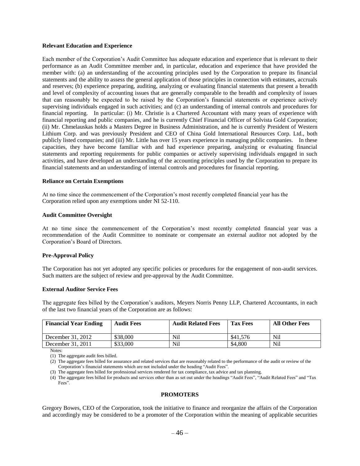#### **Relevant Education and Experience**

Each member of the Corporation's Audit Committee has adequate education and experience that is relevant to their performance as an Audit Committee member and, in particular, education and experience that have provided the member with: (a) an understanding of the accounting principles used by the Corporation to prepare its financial statements and the ability to assess the general application of those principles in connection with estimates, accruals and reserves; (b) experience preparing, auditing, analyzing or evaluating financial statements that present a breadth and level of complexity of accounting issues that are generally comparable to the breadth and complexity of issues that can reasonably be expected to be raised by the Corporation's financial statements or experience actively supervising individuals engaged in such activities; and (c) an understanding of internal controls and procedures for financial reporting. In particular: (i) Mr. Christie is a Chartered Accountant with many years of experience with financial reporting and public companies, and he is currently Chief Financial Officer of Solvista Gold Corporation; (ii) Mr. Chmelauskas holds a Masters Degree in Business Administration, and he is currently President of Western Lithium Corp. and was previously President and CEO of China Gold International Resources Corp. Ltd., both publicly listed companies; and (iii) Mr. Little has over 15 years experience in managing public companies. In these capacities, they have become familiar with and had experience preparing, analyzing or evaluating financial statements and reporting requirements for public companies or actively supervising individuals engaged in such activities, and have developed an understanding of the accounting principles used by the Corporation to prepare its financial statements and an understanding of internal controls and procedures for financial reporting.

#### **Reliance on Certain Exemptions**

At no time since the commencement of the Corporation's most recently completed financial year has the Corporation relied upon any exemptions under NI 52-110.

#### **Audit Committee Oversight**

At no time since the commencement of the Corporation's most recently completed financial year was a recommendation of the Audit Committee to nominate or compensate an external auditor not adopted by the Corporation's Board of Directors.

## **Pre-Approval Policy**

The Corporation has not yet adopted any specific policies or procedures for the engagement of non-audit services. Such matters are the subject of review and pre-approval by the Audit Committee.

#### **External Auditor Service Fees**

The aggregate fees billed by the Corporation's auditors, Meyers Norris Penny LLP, Chartered Accountants, in each of the last two financial years of the Corporation are as follows:

| <b>Financial Year Ending</b> | <b>Audit Fees</b> | <b>Audit Related Fees</b> | <b>Tax Fees</b> | <b>All Other Fees</b> |
|------------------------------|-------------------|---------------------------|-----------------|-----------------------|
| December 31, 2012            | \$38,000          | Nil                       | \$41,576        | Nil                   |
| December 31, 2011            | \$33,000          | Nil                       | \$4,800         | Nil                   |

Notes:

(1) The aggregate audit fees billed.

(2) The aggregate fees billed for assurance and related services that are reasonably related to the performance of the audit or review of the Corporation's financial statements which are not included under the heading "Audit Fees".

(3) The aggregate fees billed for professional services rendered for tax compliance, tax advice and tax planning.

(4) The aggregate fees billed for products and services other than as set out under the headings "Audit Fees", "Audit Related Fees" and "Tax Fees".

## **PROMOTERS**

<span id="page-47-0"></span>Gregory Bowes, CEO of the Corporation, took the initiative to finance and reorganize the affairs of the Corporation and accordingly may be considered to be a promoter of the Corporation within the meaning of applicable securities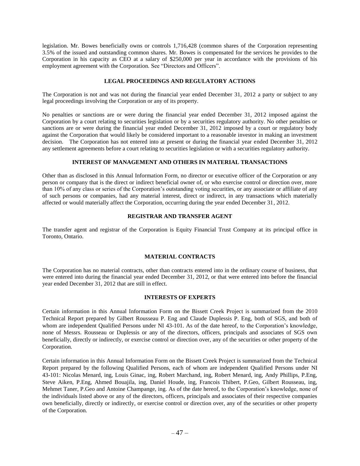legislation. Mr. Bowes beneficially owns or controls 1,716,428 (common shares of the Corporation representing 3.5% of the issued and outstanding common shares. Mr. Bowes is compensated for the services he provides to the Corporation in his capacity as CEO at a salary of \$250,000 per year in accordance with the provisions of his employment agreement with the Corporation. See "Directors and Officers".

## **LEGAL PROCEEDINGS AND REGULATORY ACTIONS**

<span id="page-48-0"></span>The Corporation is not and was not during the financial year ended December 31, 2012 a party or subject to any legal proceedings involving the Corporation or any of its property.

No penalties or sanctions are or were during the financial year ended December 31, 2012 imposed against the Corporation by a court relating to securities legislation or by a securities regulatory authority. No other penalties or sanctions are or were during the financial year ended December 31, 2012 imposed by a court or regulatory body against the Corporation that would likely be considered important to a reasonable investor in making an investment decision. The Corporation has not entered into at present or during the financial year ended December 31, 2012 any settlement agreements before a court relating to securities legislation or with a securities regulatory authority.

## **INTEREST OF MANAGEMENT AND OTHERS IN MATERIAL TRANSACTIONS**

<span id="page-48-1"></span>Other than as disclosed in this Annual Information Form, no director or executive officer of the Corporation or any person or company that is the direct or indirect beneficial owner of, or who exercise control or direction over, more than 10% of any class or series of the Corporation's outstanding voting securities, or any associate or affiliate of any of such persons or companies, had any material interest, direct or indirect, in any transactions which materially affected or would materially affect the Corporation, occurring during the year ended December 31, 2012.

#### **REGISTRAR AND TRANSFER AGENT**

<span id="page-48-3"></span><span id="page-48-2"></span>The transfer agent and registrar of the Corporation is Equity Financial Trust Company at its principal office in Toronto, Ontario.

## **MATERIAL CONTRACTS**

The Corporation has no material contracts, other than contracts entered into in the ordinary course of business, that were entered into during the financial year ended December 31, 2012, or that were entered into before the financial year ended December 31, 2012 that are still in effect.

#### **INTERESTS OF EXPERTS**

<span id="page-48-4"></span>Certain information in this Annual Information Form on the Bissett Creek Project is summarized from the 2010 Technical Report prepared by Gilbert Rousseau P. Eng and Claude Duplessis P. Eng, both of SGS, and both of whom are independent Qualified Persons under NI 43-101. As of the date hereof, to the Corporation's knowledge, none of Messrs. Rousseau or Duplessis or any of the directors, officers, principals and associates of SGS own beneficially, directly or indirectly, or exercise control or direction over, any of the securities or other property of the Corporation.

Certain information in this Annual Information Form on the Bissett Creek Project is summarized from the Technical Report prepared by the following Qualified Persons, each of whom are independent Qualified Persons under NI 43-101: Nicolas Menard, ing, Louis Ginac, ing, Robert Marchand, ing, Robert Menard, ing, Andy Phillips, P.Eng, Steve Aiken, P.Eng, Ahmed Bouajila, ing, Daniel Houde, ing, Francois Thibert, P.Geo, Gilbert Rousseau, ing, Mehmet Taner, P.Geo and Antoine Champange, ing. As of the date hereof, to the Corporation's knowledge, none of the individuals listed above or any of the directors, officers, principals and associates of their respective companies own beneficially, directly or indirectly, or exercise control or direction over, any of the securities or other property of the Corporation.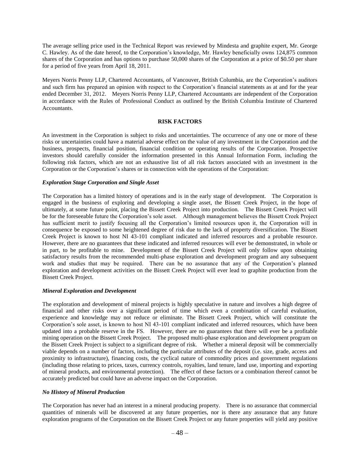The average selling price used in the Technical Report was reviewed by Mindesta and graphite expert, Mr. George C. Hawley. As of the date hereof, to the Corporation's knowledge, Mr. Hawley beneficially owns 124,875 common shares of the Corporation and has options to purchase 50,000 shares of the Corporation at a price of \$0.50 per share for a period of five years from April 18, 2011.

Meyers Norris Penny LLP, Chartered Accountants, of Vancouver, British Columbia, are the Corporation's auditors and such firm has prepared an opinion with respect to the Corporation's financial statements as at and for the year ended December 31, 2012. Meyers Norris Penny LLP, Chartered Accountants are independent of the Corporation in accordance with the Rules of Professional Conduct as outlined by the British Columbia Institute of Chartered Accountants.

## **RISK FACTORS**

<span id="page-49-0"></span>An investment in the Corporation is subject to risks and uncertainties. The occurrence of any one or more of these risks or uncertainties could have a material adverse effect on the value of any investment in the Corporation and the business, prospects, financial position, financial condition or operating results of the Corporation. Prospective investors should carefully consider the information presented in this Annual Information Form, including the following risk factors, which are not an exhaustive list of all risk factors associated with an investment in the Corporation or the Corporation's shares or in connection with the operations of the Corporation:

#### *Exploration Stage Corporation and Single Asset*

The Corporation has a limited history of operations and is in the early stage of development. The Corporation is engaged in the business of exploring and developing a single asset, the Bissett Creek Project, in the hope of ultimately, at some future point, placing the Bissett Creek Project into production. The Bissett Creek Project will be for the foreseeable future the Corporation's sole asset. Although management believes the Bissett Creek Project has sufficient merit to justify focusing all the Corporation's limited resources upon it, the Corporation will in consequence be exposed to some heightened degree of risk due to the lack of property diversification. The Bissett Creek Project is known to host NI 43-101 compliant indicated and inferred resources and a probable resource. However, there are no guarantees that these indicated and inferred resources will ever be demonstrated, in whole or in part, to be profitable to mine. Development of the Bissett Creek Project will only follow upon obtaining satisfactory results from the recommended multi-phase exploration and development program and any subsequent work and studies that may be required. There can be no assurance that any of the Corporation's planned exploration and development activities on the Bissett Creek Project will ever lead to graphite production from the Bissett Creek Project.

## *Mineral Exploration and Development*

The exploration and development of mineral projects is highly speculative in nature and involves a high degree of financial and other risks over a significant period of time which even a combination of careful evaluation, experience and knowledge may not reduce or eliminate. The Bissett Creek Project, which will constitute the Corporation's sole asset, is known to host NI 43-101 compliant indicated and inferred resources, which have been updated into a probable reserve in the FS. However, there are no guarantees that there will ever be a profitable mining operation on the Bissett Creek Project. The proposed multi-phase exploration and development program on the Bissett Creek Project is subject to a significant degree of risk. Whether a mineral deposit will be commercially viable depends on a number of factors, including the particular attributes of the deposit (i.e. size, grade, access and proximity to infrastructure), financing costs, the cyclical nature of commodity prices and government regulations (including those relating to prices, taxes, currency controls, royalties, land tenure, land use, importing and exporting of mineral products, and environmental protection). The effect of these factors or a combination thereof cannot be accurately predicted but could have an adverse impact on the Corporation.

### *No History of Mineral Production*

The Corporation has never had an interest in a mineral producing property. There is no assurance that commercial quantities of minerals will be discovered at any future properties, nor is there any assurance that any future exploration programs of the Corporation on the Bissett Creek Project or any future properties will yield any positive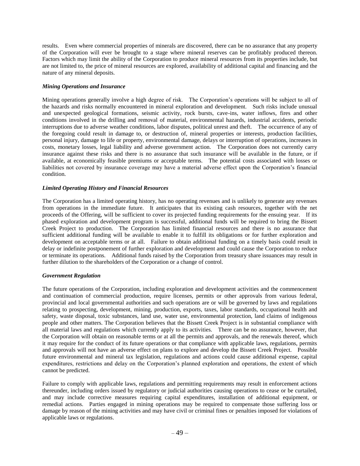results. Even where commercial properties of minerals are discovered, there can be no assurance that any property of the Corporation will ever be brought to a stage where mineral reserves can be profitably produced thereon. Factors which may limit the ability of the Corporation to produce mineral resources from its properties include, but are not limited to, the price of mineral resources are explored, availability of additional capital and financing and the nature of any mineral deposits.

## *Mining Operations and Insurance*

Mining operations generally involve a high degree of risk. The Corporation's operations will be subject to all of the hazards and risks normally encountered in mineral exploration and development. Such risks include unusual and unexpected geological formations, seismic activity, rock bursts, cave-ins, water inflows, fires and other conditions involved in the drilling and removal of material, environmental hazards, industrial accidents, periodic interruptions due to adverse weather conditions, labor disputes, political unrest and theft. The occurrence of any of the foregoing could result in damage to, or destruction of, mineral properties or interests, production facilities, personal injury, damage to life or property, environmental damage, delays or interruption of operations, increases in costs, monetary losses, legal liability and adverse government action. The Corporation does not currently carry insurance against these risks and there is no assurance that such insurance will be available in the future, or if available, at economically feasible premiums or acceptable terms. The potential costs associated with losses or liabilities not covered by insurance coverage may have a material adverse effect upon the Corporation's financial condition.

## *Limited Operating History and Financial Resources*

The Corporation has a limited operating history, has no operating revenues and is unlikely to generate any revenues from operations in the immediate future. It anticipates that its existing cash resources, together with the net proceeds of the Offering, will be sufficient to cover its projected funding requirements for the ensuing year. If its phased exploration and development program is successful, additional funds will be required to bring the Bissett Creek Project to production. The Corporation has limited financial resources and there is no assurance that sufficient additional funding will be available to enable it to fulfill its obligations or for further exploration and development on acceptable terms or at all. Failure to obtain additional funding on a timely basis could result in delay or indefinite postponement of further exploration and development and could cause the Corporation to reduce or terminate its operations. Additional funds raised by the Corporation from treasury share issuances may result in further dilution to the shareholders of the Corporation or a change of control.

#### *Government Regulation*

The future operations of the Corporation, including exploration and development activities and the commencement and continuation of commercial production, require licenses, permits or other approvals from various federal, provincial and local governmental authorities and such operations are or will be governed by laws and regulations relating to prospecting, development, mining, production, exports, taxes, labor standards, occupational health and safety, waste disposal, toxic substances, land use, water use, environmental protection, land claims of indigenous people and other matters. The Corporation believes that the Bissett Creek Project is in substantial compliance with all material laws and regulations which currently apply to its activities. There can be no assurance, however, that the Corporation will obtain on reasonable terms or at all the permits and approvals, and the renewals thereof, which it may require for the conduct of its future operations or that compliance with applicable laws, regulations, permits and approvals will not have an adverse effect on plans to explore and develop the Bissett Creek Project. Possible future environmental and mineral tax legislation, regulations and actions could cause additional expense, capital expenditures, restrictions and delay on the Corporation's planned exploration and operations, the extent of which cannot be predicted.

Failure to comply with applicable laws, regulations and permitting requirements may result in enforcement actions thereunder, including orders issued by regulatory or judicial authorities causing operations to cease or be curtailed, and may include corrective measures requiring capital expenditures, installation of additional equipment, or remedial actions. Parties engaged in mining operations may be required to compensate those suffering loss or damage by reason of the mining activities and may have civil or criminal fines or penalties imposed for violations of applicable laws or regulations.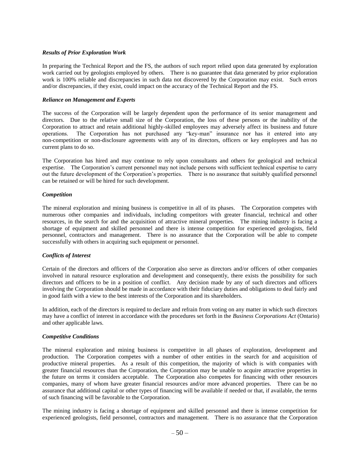#### *Results of Prior Exploration Work*

In preparing the Technical Report and the FS, the authors of such report relied upon data generated by exploration work carried out by geologists employed by others. There is no guarantee that data generated by prior exploration work is 100% reliable and discrepancies in such data not discovered by the Corporation may exist. Such errors and/or discrepancies, if they exist, could impact on the accuracy of the Technical Report and the FS.

#### *Reliance on Management and Experts*

The success of the Corporation will be largely dependent upon the performance of its senior management and directors. Due to the relative small size of the Corporation, the loss of these persons or the inability of the Corporation to attract and retain additional highly-skilled employees may adversely affect its business and future operations. The Corporation has not purchased any "key-man" insurance nor has it entered into any non-competition or non-disclosure agreements with any of its directors, officers or key employees and has no current plans to do so.

The Corporation has hired and may continue to rely upon consultants and others for geological and technical expertise. The Corporation's current personnel may not include persons with sufficient technical expertise to carry out the future development of the Corporation's properties. There is no assurance that suitably qualified personnel can be retained or will be hired for such development.

## *Competition*

The mineral exploration and mining business is competitive in all of its phases. The Corporation competes with numerous other companies and individuals, including competitors with greater financial, technical and other resources, in the search for and the acquisition of attractive mineral properties. The mining industry is facing a shortage of equipment and skilled personnel and there is intense competition for experienced geologists, field personnel, contractors and management. There is no assurance that the Corporation will be able to compete successfully with others in acquiring such equipment or personnel.

## *Conflicts of Interest*

Certain of the directors and officers of the Corporation also serve as directors and/or officers of other companies involved in natural resource exploration and development and consequently, there exists the possibility for such directors and officers to be in a position of conflict. Any decision made by any of such directors and officers involving the Corporation should be made in accordance with their fiduciary duties and obligations to deal fairly and in good faith with a view to the best interests of the Corporation and its shareholders.

In addition, each of the directors is required to declare and refrain from voting on any matter in which such directors may have a conflict of interest in accordance with the procedures set forth in the *Business Corporations Act* (Ontario) and other applicable laws.

## *Competitive Conditions*

The mineral exploration and mining business is competitive in all phases of exploration, development and production. The Corporation competes with a number of other entities in the search for and acquisition of productive mineral properties. As a result of this competition, the majority of which is with companies with greater financial resources than the Corporation, the Corporation may be unable to acquire attractive properties in the future on terms it considers acceptable. The Corporation also competes for financing with other resources companies, many of whom have greater financial resources and/or more advanced properties. There can be no assurance that additional capital or other types of financing will be available if needed or that, if available, the terms of such financing will be favorable to the Corporation.

The mining industry is facing a shortage of equipment and skilled personnel and there is intense competition for experienced geologists, field personnel, contractors and management. There is no assurance that the Corporation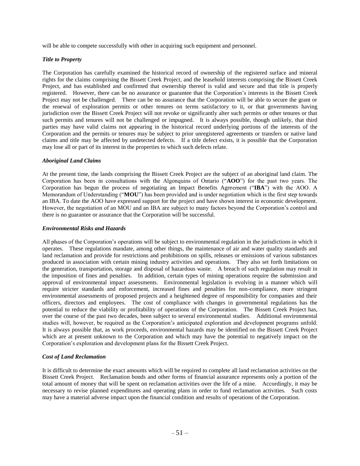will be able to compete successfully with other in acquiring such equipment and personnel.

## *Title to Property*

The Corporation has carefully examined the historical record of ownership of the registered surface and mineral rights for the claims comprising the Bissett Creek Project, and the leasehold interests comprising the Bissett Creek Project, and has established and confirmed that ownership thereof is valid and secure and that title is properly registered. However, there can be no assurance or guarantee that the Corporation's interests in the Bissett Creek Project may not be challenged. There can be no assurance that the Corporation will be able to secure the grant or the renewal of exploration permits or other tenures on terms satisfactory to it, or that governments having jurisdiction over the Bissett Creek Project will not revoke or significantly alter such permits or other tenures or that such permits and tenures will not be challenged or impugned. It is always possible, though unlikely, that third parties may have valid claims not appearing in the historical record underlying portions of the interests of the Corporation and the permits or tenures may be subject to prior unregistered agreements or transfers or native land claims and title may be affected by undetected defects. If a title defect exists, it is possible that the Corporation may lose all or part of its interest in the properties to which such defects relate.

#### *Aboriginal Land Claims*

At the present time, the lands comprising the Bissett Creek Project are the subject of an aboriginal land claim. The Corporation has been in consultations with the Algonquins of Ontario ("**AOO**") for the past two years. The Corporation has begun the process of negotiating an Impact Benefits Agreement ("**IBA**") with the AOO. A Memorandum of Understanding ("**MOU**") has been provided and is under negotiation which is the first step towards an IBA. To date the AOO have expressed support for the project and have shown interest in economic development. However, the negotiation of an MOU and an IBA are subject to many factors beyond the Corporation's control and there is no guarantee or assurance that the Corporation will be successful.

#### *Environmental Risks and Hazards*

All phases of the Corporation's operations will be subject to environmental regulation in the jurisdictions in which it operates. These regulations mandate, among other things, the maintenance of air and water quality standards and land reclamation and provide for restrictions and prohibitions on spills, releases or emissions of various substances produced in association with certain mining industry activities and operations. They also set forth limitations on the generation, transportation, storage and disposal of hazardous waste. A breach of such regulation may result in the imposition of fines and penalties. In addition, certain types of mining operations require the submission and approval of environmental impact assessments. Environmental legislation is evolving in a manner which will require stricter standards and enforcement, increased fines and penalties for non-compliance, more stringent environmental assessments of proposed projects and a heightened degree of responsibility for companies and their officers, directors and employees. The cost of compliance with changes in governmental regulations has the potential to reduce the viability or profitability of operations of the Corporation. The Bissett Creek Project has, over the course of the past two decades, been subject to several environmental studies. Additional environmental studies will, however, be required as the Corporation's anticipated exploration and development programs unfold. It is always possible that, as work proceeds, environmental hazards may be identified on the Bissett Creek Project which are at present unknown to the Corporation and which may have the potential to negatively impact on the Corporation's exploration and development plans for the Bissett Creek Project.

## *Cost of Land Reclamation*

It is difficult to determine the exact amounts which will be required to complete all land reclamation activities on the Bissett Creek Project. Reclamation bonds and other forms of financial assurance represents only a portion of the total amount of money that will be spent on reclamation activities over the life of a mine. Accordingly, it may be necessary to revise planned expenditures and operating plans in order to fund reclamation activities. Such costs may have a material adverse impact upon the financial condition and results of operations of the Corporation.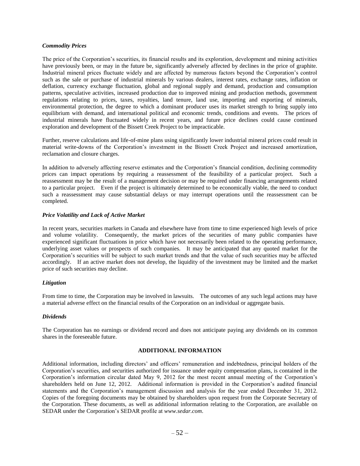#### *Commodity Prices*

The price of the Corporation's securities, its financial results and its exploration, development and mining activities have previously been, or may in the future be, significantly adversely affected by declines in the price of graphite. Industrial mineral prices fluctuate widely and are affected by numerous factors beyond the Corporation's control such as the sale or purchase of industrial minerals by various dealers, interest rates, exchange rates, inflation or deflation, currency exchange fluctuation, global and regional supply and demand, production and consumption patterns, speculative activities, increased production due to improved mining and production methods, government regulations relating to prices, taxes, royalties, land tenure, land use, importing and exporting of minerals, environmental protection, the degree to which a dominant producer uses its market strength to bring supply into equilibrium with demand, and international political and economic trends, conditions and events. The prices of industrial minerals have fluctuated widely in recent years, and future price declines could cause continued exploration and development of the Bissett Creek Project to be impracticable.

Further, reserve calculations and life-of-mine plans using significantly lower industrial mineral prices could result in material write-downs of the Corporation's investment in the Bissett Creek Project and increased amortization, reclamation and closure charges.

In addition to adversely affecting reserve estimates and the Corporation's financial condition, declining commodity prices can impact operations by requiring a reassessment of the feasibility of a particular project. Such a reassessment may be the result of a management decision or may be required under financing arrangements related to a particular project. Even if the project is ultimately determined to be economically viable, the need to conduct such a reassessment may cause substantial delays or may interrupt operations until the reassessment can be completed.

#### *Price Volatility and Lack of Active Market*

In recent years, securities markets in Canada and elsewhere have from time to time experienced high levels of price and volume volatility. Consequently, the market prices of the securities of many public companies have experienced significant fluctuations in price which have not necessarily been related to the operating performance, underlying asset values or prospects of such companies. It may be anticipated that any quoted market for the Corporation's securities will be subject to such market trends and that the value of such securities may be affected accordingly. If an active market does not develop, the liquidity of the investment may be limited and the market price of such securities may decline.

#### *Litigation*

From time to time, the Corporation may be involved in lawsuits. The outcomes of any such legal actions may have a material adverse effect on the financial results of the Corporation on an individual or aggregate basis.

#### *Dividends*

The Corporation has no earnings or dividend record and does not anticipate paying any dividends on its common shares in the foreseeable future.

## **ADDITIONAL INFORMATION**

<span id="page-53-0"></span>Additional information, including directors' and officers' remuneration and indebtedness, principal holders of the Corporation's securities, and securities authorized for issuance under equity compensation plans, is contained in the Corporation's information circular dated May 9, 2012 for the most recent annual meeting of the Corporation's shareholders held on June 12, 2012. Additional information is provided in the Corporation's audited financial statements and the Corporation's management discussion and analysis for the year ended December 31, 2012. Copies of the foregoing documents may be obtained by shareholders upon request from the Corporate Secretary of the Corporation. These documents, as well as additional information relating to the Corporation, are available on SEDAR under the Corporation's SEDAR profile at *[www.sedar.com](http://www.sedar.com/)*.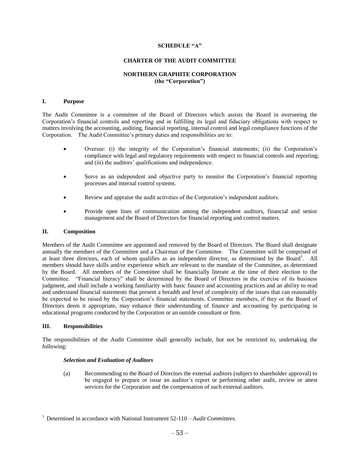#### **SCHEDULE "A"**

#### **CHARTER OF THE AUDIT COMMITTEE**

## **NORTHERN GRAPHITE CORPORATION (the "Corporation")**

#### <span id="page-54-0"></span>**I. Purpose**

The Audit Committee is a committee of the Board of Directors which assists the Board in overseeing the Corporation's financial controls and reporting and in fulfilling its legal and fiduciary obligations with respect to matters involving the accounting, auditing, financial reporting, internal control and legal compliance functions of the Corporation. The Audit Committee's primary duties and responsibilities are to:

- Oversee: (i) the integrity of the Corporation's financial statements; (ii) the Corporation's compliance with legal and regulatory requirements with respect to financial controls and reporting; and (iii) the auditors' qualifications and independence.
- Serve as an independent and objective party to monitor the Corporation's financial reporting processes and internal control systems.
- Review and appraise the audit activities of the Corporation's independent auditors.
- Provide open lines of communication among the independent auditors, financial and senior management and the Board of Directors for financial reporting and control matters.

#### **II. Composition**

Members of the Audit Committee are appointed and removed by the Board of Directors. The Board shall designate annually the members of the Committee and a Chairman of the Committee. The Committee will be comprised of at least three directors, each of whom qualifies as an independent director, as determined by the Board<sup>1</sup>. All members should have skills and/or experience which are relevant to the mandate of the Committee, as determined by the Board. All members of the Committee shall be financially literate at the time of their election to the Committee. "Financial literacy" shall be determined by the Board of Directors in the exercise of its business judgment, and shall include a working familiarity with basic finance and accounting practices and an ability to read and understand financial statements that present a breadth and level of complexity of the issues that can reasonably be expected to be raised by the Corporation's financial statements. Committee members, if they or the Board of Directors deem it appropriate, may enhance their understanding of finance and accounting by participating in educational programs conducted by the Corporation or an outside consultant or firm.

#### **III. Responsibilities**

The responsibilities of the Audit Committee shall generally include, but not be restricted to, undertaking the following:

#### *Selection and Evaluation of Auditors*

(a) Recommending to the Board of Directors the external auditors (subject to shareholder approval) to be engaged to prepare or issue an auditor's report or performing other audit, review or attest services for the Corporation and the compensation of such external auditors.

<sup>1</sup> Determined in accordance with National Instrument 52-110 – *Audit Committees*.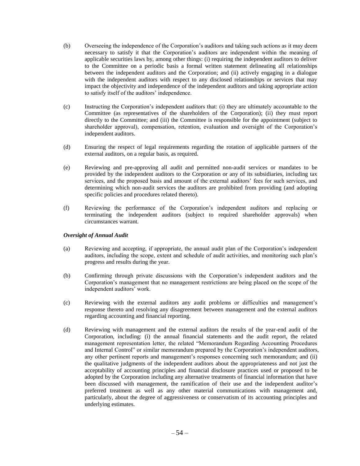- (b) Overseeing the independence of the Corporation's auditors and taking such actions as it may deem necessary to satisfy it that the Corporation's auditors are independent within the meaning of applicable securities laws by, among other things: (i) requiring the independent auditors to deliver to the Committee on a periodic basis a formal written statement delineating all relationships between the independent auditors and the Corporation; and (ii) actively engaging in a dialogue with the independent auditors with respect to any disclosed relationships or services that may impact the objectivity and independence of the independent auditors and taking appropriate action to satisfy itself of the auditors' independence.
- (c) Instructing the Corporation's independent auditors that: (i) they are ultimately accountable to the Committee (as representatives of the shareholders of the Corporation); (ii) they must report directly to the Committee; and (iii) the Committee is responsible for the appointment (subject to shareholder approval), compensation, retention, evaluation and oversight of the Corporation's independent auditors.
- (d) Ensuring the respect of legal requirements regarding the rotation of applicable partners of the external auditors, on a regular basis, as required.
- (e) Reviewing and pre-approving all audit and permitted non-audit services or mandates to be provided by the independent auditors to the Corporation or any of its subsidiaries, including tax services, and the proposed basis and amount of the external auditors' fees for such services, and determining which non-audit services the auditors are prohibited from providing (and adopting specific policies and procedures related thereto).
- (f) Reviewing the performance of the Corporation's independent auditors and replacing or terminating the independent auditors (subject to required shareholder approvals) when circumstances warrant.

## *Oversight of Annual Audit*

- (a) Reviewing and accepting, if appropriate, the annual audit plan of the Corporation's independent auditors, including the scope, extent and schedule of audit activities, and monitoring such plan's progress and results during the year.
- (b) Confirming through private discussions with the Corporation's independent auditors and the Corporation's management that no management restrictions are being placed on the scope of the independent auditors' work.
- (c) Reviewing with the external auditors any audit problems or difficulties and management's response thereto and resolving any disagreement between management and the external auditors regarding accounting and financial reporting.
- (d) Reviewing with management and the external auditors the results of the year-end audit of the Corporation, including: (i) the annual financial statements and the audit report, the related management representation letter, the related "Memorandum Regarding Accounting Procedures and Internal Control" or similar memorandum prepared by the Corporation's independent auditors, any other pertinent reports and management's responses concerning such memorandum; and (ii) the qualitative judgments of the independent auditors about the appropriateness and not just the acceptability of accounting principles and financial disclosure practices used or proposed to be adopted by the Corporation including any alternative treatments of financial information that have been discussed with management, the ramification of their use and the independent auditor's preferred treatment as well as any other material communications with management and, particularly, about the degree of aggressiveness or conservatism of its accounting principles and underlying estimates.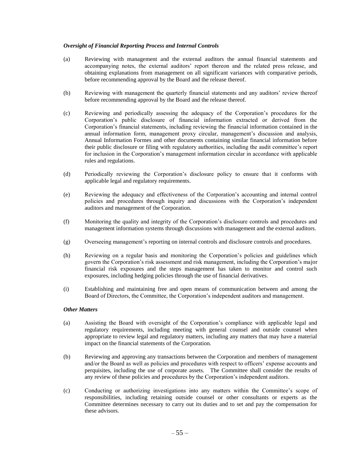## *Oversight of Financial Reporting Process and Internal Controls*

- (a) Reviewing with management and the external auditors the annual financial statements and accompanying notes, the external auditors' report thereon and the related press release, and obtaining explanations from management on all significant variances with comparative periods, before recommending approval by the Board and the release thereof.
- (b) Reviewing with management the quarterly financial statements and any auditors' review thereof before recommending approval by the Board and the release thereof.
- (c) Reviewing and periodically assessing the adequacy of the Corporation's procedures for the Corporation's public disclosure of financial information extracted or derived from the Corporation's financial statements, including reviewing the financial information contained in the annual information form, management proxy circular, management's discussion and analysis, Annual Information Formes and other documents containing similar financial information before their public disclosure or filing with regulatory authorities, including the audit committee's report for inclusion in the Corporation's management information circular in accordance with applicable rules and regulations.
- (d) Periodically reviewing the Corporation's disclosure policy to ensure that it conforms with applicable legal and regulatory requirements.
- (e) Reviewing the adequacy and effectiveness of the Corporation's accounting and internal control policies and procedures through inquiry and discussions with the Corporation's independent auditors and management of the Corporation.
- (f) Monitoring the quality and integrity of the Corporation's disclosure controls and procedures and management information systems through discussions with management and the external auditors.
- (g) Overseeing management's reporting on internal controls and disclosure controls and procedures.
- (h) Reviewing on a regular basis and monitoring the Corporation's policies and guidelines which govern the Corporation's risk assessment and risk management, including the Corporation's major financial risk exposures and the steps management has taken to monitor and control such exposures, including hedging policies through the use of financial derivatives.
- (i) Establishing and maintaining free and open means of communication between and among the Board of Directors, the Committee, the Corporation's independent auditors and management.

#### *Other Matters*

- (a) Assisting the Board with oversight of the Corporation's compliance with applicable legal and regulatory requirements, including meeting with general counsel and outside counsel when appropriate to review legal and regulatory matters, including any matters that may have a material impact on the financial statements of the Corporation.
- (b) Reviewing and approving any transactions between the Corporation and members of management and/or the Board as well as policies and procedures with respect to officers' expense accounts and perquisites, including the use of corporate assets. The Committee shall consider the results of any review of these policies and procedures by the Corporation's independent auditors.
- (c) Conducting or authorizing investigations into any matters within the Committee's scope of responsibilities, including retaining outside counsel or other consultants or experts as the Committee determines necessary to carry out its duties and to set and pay the compensation for these advisors.